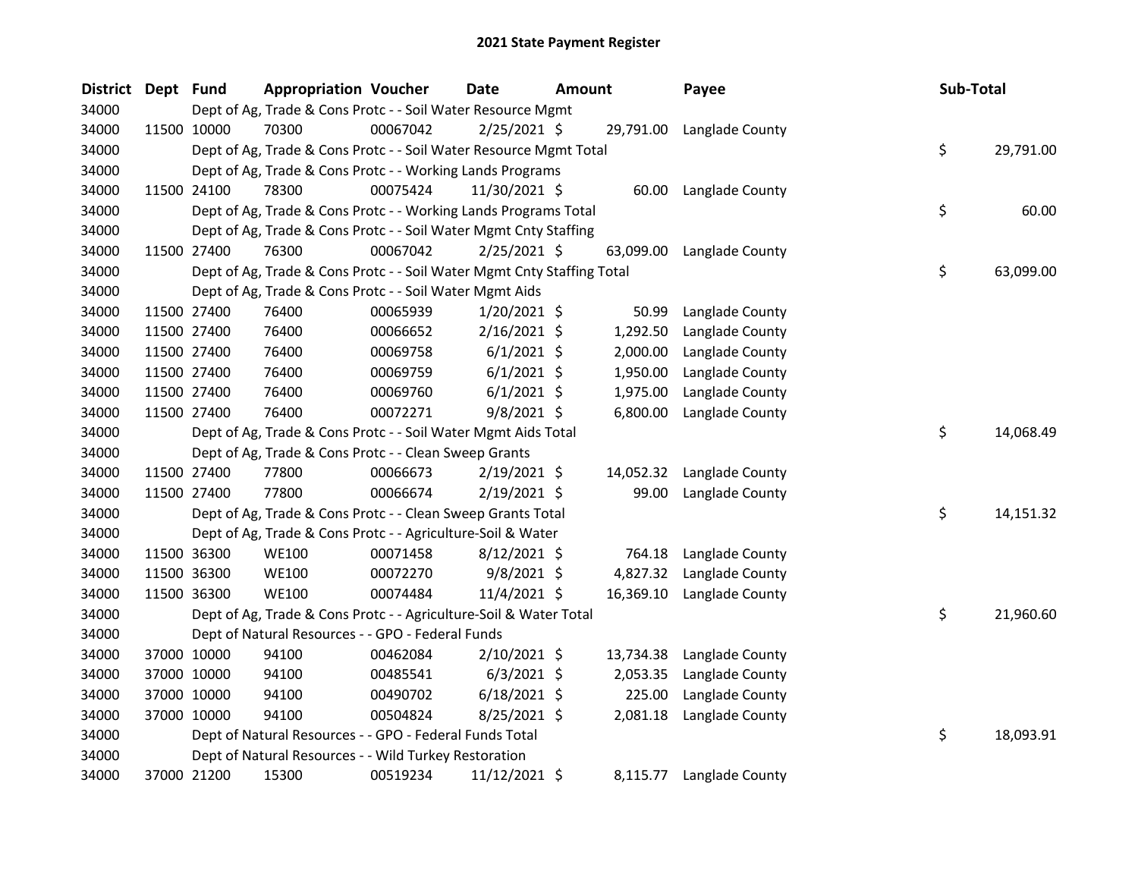| <b>District</b> | Dept Fund |             | <b>Appropriation Voucher</b>                                           |          | <b>Date</b>    | <b>Amount</b> |           | Payee                     | Sub-Total |           |
|-----------------|-----------|-------------|------------------------------------------------------------------------|----------|----------------|---------------|-----------|---------------------------|-----------|-----------|
| 34000           |           |             | Dept of Ag, Trade & Cons Protc - - Soil Water Resource Mgmt            |          |                |               |           |                           |           |           |
| 34000           |           | 11500 10000 | 70300                                                                  | 00067042 | $2/25/2021$ \$ |               |           | 29,791.00 Langlade County |           |           |
| 34000           |           |             | Dept of Ag, Trade & Cons Protc - - Soil Water Resource Mgmt Total      |          |                |               |           |                           | \$        | 29,791.00 |
| 34000           |           |             | Dept of Ag, Trade & Cons Protc - - Working Lands Programs              |          |                |               |           |                           |           |           |
| 34000           |           | 11500 24100 | 78300                                                                  | 00075424 | 11/30/2021 \$  |               |           | 60.00 Langlade County     |           |           |
| 34000           |           |             | Dept of Ag, Trade & Cons Protc - - Working Lands Programs Total        |          |                |               |           |                           | \$        | 60.00     |
| 34000           |           |             | Dept of Ag, Trade & Cons Protc - - Soil Water Mgmt Cnty Staffing       |          |                |               |           |                           |           |           |
| 34000           |           | 11500 27400 | 76300                                                                  | 00067042 | $2/25/2021$ \$ |               | 63,099.00 | Langlade County           |           |           |
| 34000           |           |             | Dept of Ag, Trade & Cons Protc - - Soil Water Mgmt Cnty Staffing Total |          |                |               |           |                           | \$        | 63,099.00 |
| 34000           |           |             | Dept of Ag, Trade & Cons Protc - - Soil Water Mgmt Aids                |          |                |               |           |                           |           |           |
| 34000           |           | 11500 27400 | 76400                                                                  | 00065939 | $1/20/2021$ \$ |               | 50.99     | Langlade County           |           |           |
| 34000           |           | 11500 27400 | 76400                                                                  | 00066652 | $2/16/2021$ \$ |               | 1,292.50  | Langlade County           |           |           |
| 34000           |           | 11500 27400 | 76400                                                                  | 00069758 | $6/1/2021$ \$  |               | 2,000.00  | Langlade County           |           |           |
| 34000           |           | 11500 27400 | 76400                                                                  | 00069759 | $6/1/2021$ \$  |               | 1,950.00  | Langlade County           |           |           |
| 34000           |           | 11500 27400 | 76400                                                                  | 00069760 | $6/1/2021$ \$  |               | 1,975.00  | Langlade County           |           |           |
| 34000           |           | 11500 27400 | 76400                                                                  | 00072271 | $9/8/2021$ \$  |               | 6,800.00  | Langlade County           |           |           |
| 34000           |           |             | Dept of Ag, Trade & Cons Protc - - Soil Water Mgmt Aids Total          |          |                |               |           |                           | \$        | 14,068.49 |
| 34000           |           |             | Dept of Ag, Trade & Cons Protc - - Clean Sweep Grants                  |          |                |               |           |                           |           |           |
| 34000           |           | 11500 27400 | 77800                                                                  | 00066673 | $2/19/2021$ \$ |               | 14,052.32 | Langlade County           |           |           |
| 34000           |           | 11500 27400 | 77800                                                                  | 00066674 | $2/19/2021$ \$ |               | 99.00     | Langlade County           |           |           |
| 34000           |           |             | Dept of Ag, Trade & Cons Protc - - Clean Sweep Grants Total            |          |                |               |           |                           | \$        | 14,151.32 |
| 34000           |           |             | Dept of Ag, Trade & Cons Protc - - Agriculture-Soil & Water            |          |                |               |           |                           |           |           |
| 34000           |           | 11500 36300 | <b>WE100</b>                                                           | 00071458 | 8/12/2021 \$   |               | 764.18    | Langlade County           |           |           |
| 34000           |           | 11500 36300 | <b>WE100</b>                                                           | 00072270 | $9/8/2021$ \$  |               | 4,827.32  | Langlade County           |           |           |
| 34000           |           | 11500 36300 | <b>WE100</b>                                                           | 00074484 | 11/4/2021 \$   |               | 16,369.10 | Langlade County           |           |           |
| 34000           |           |             | Dept of Ag, Trade & Cons Protc - - Agriculture-Soil & Water Total      |          |                |               |           |                           | \$        | 21,960.60 |
| 34000           |           |             | Dept of Natural Resources - - GPO - Federal Funds                      |          |                |               |           |                           |           |           |
| 34000           |           | 37000 10000 | 94100                                                                  | 00462084 | $2/10/2021$ \$ |               | 13,734.38 | Langlade County           |           |           |
| 34000           |           | 37000 10000 | 94100                                                                  | 00485541 | $6/3/2021$ \$  |               | 2,053.35  | Langlade County           |           |           |
| 34000           |           | 37000 10000 | 94100                                                                  | 00490702 | $6/18/2021$ \$ |               | 225.00    | Langlade County           |           |           |
| 34000           |           | 37000 10000 | 94100                                                                  | 00504824 | 8/25/2021 \$   |               | 2,081.18  | Langlade County           |           |           |
| 34000           |           |             | Dept of Natural Resources - - GPO - Federal Funds Total                |          |                |               |           |                           | \$        | 18,093.91 |
| 34000           |           |             | Dept of Natural Resources - - Wild Turkey Restoration                  |          |                |               |           |                           |           |           |
| 34000           |           | 37000 21200 | 15300                                                                  | 00519234 | 11/12/2021 \$  |               |           | 8,115.77 Langlade County  |           |           |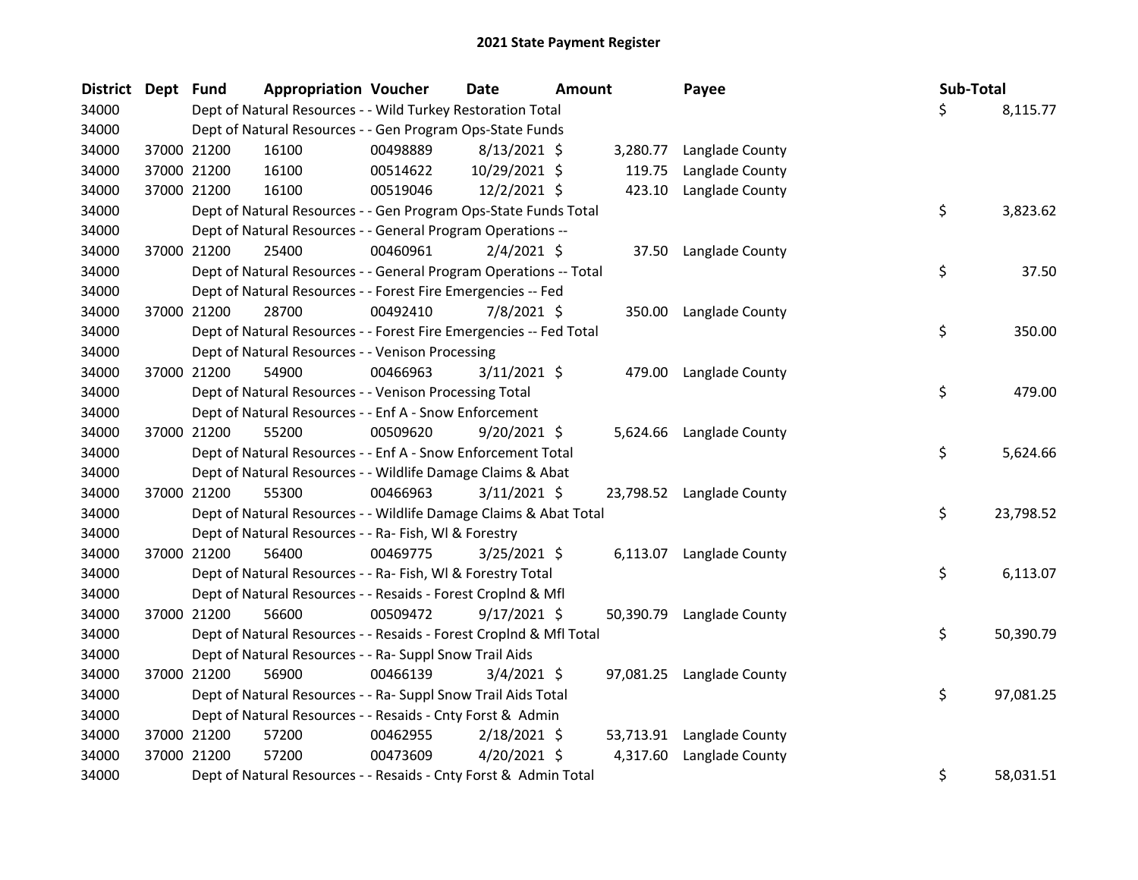| <b>District</b> | Dept Fund |             | <b>Appropriation Voucher</b>                                       |          | Date           | <b>Amount</b> |           | Payee                     | Sub-Total |           |
|-----------------|-----------|-------------|--------------------------------------------------------------------|----------|----------------|---------------|-----------|---------------------------|-----------|-----------|
| 34000           |           |             | Dept of Natural Resources - - Wild Turkey Restoration Total        |          |                |               |           |                           | Ś.        | 8,115.77  |
| 34000           |           |             | Dept of Natural Resources - - Gen Program Ops-State Funds          |          |                |               |           |                           |           |           |
| 34000           |           | 37000 21200 | 16100                                                              | 00498889 | $8/13/2021$ \$ |               | 3,280.77  | Langlade County           |           |           |
| 34000           |           | 37000 21200 | 16100                                                              | 00514622 | 10/29/2021 \$  |               | 119.75    | Langlade County           |           |           |
| 34000           |           | 37000 21200 | 16100                                                              | 00519046 | $12/2/2021$ \$ |               | 423.10    | Langlade County           |           |           |
| 34000           |           |             | Dept of Natural Resources - - Gen Program Ops-State Funds Total    |          |                |               |           |                           | \$        | 3,823.62  |
| 34000           |           |             | Dept of Natural Resources - - General Program Operations --        |          |                |               |           |                           |           |           |
| 34000           |           | 37000 21200 | 25400                                                              | 00460961 | $2/4/2021$ \$  |               |           | 37.50 Langlade County     |           |           |
| 34000           |           |             | Dept of Natural Resources - - General Program Operations -- Total  |          |                |               |           |                           | \$        | 37.50     |
| 34000           |           |             | Dept of Natural Resources - - Forest Fire Emergencies -- Fed       |          |                |               |           |                           |           |           |
| 34000           |           | 37000 21200 | 28700                                                              | 00492410 | 7/8/2021 \$    |               |           | 350.00 Langlade County    |           |           |
| 34000           |           |             | Dept of Natural Resources - - Forest Fire Emergencies -- Fed Total |          |                |               |           |                           | \$        | 350.00    |
| 34000           |           |             | Dept of Natural Resources - - Venison Processing                   |          |                |               |           |                           |           |           |
| 34000           |           | 37000 21200 | 54900                                                              | 00466963 | $3/11/2021$ \$ |               |           | 479.00 Langlade County    |           |           |
| 34000           |           |             | Dept of Natural Resources - - Venison Processing Total             |          |                |               |           |                           | \$        | 479.00    |
| 34000           |           |             | Dept of Natural Resources - - Enf A - Snow Enforcement             |          |                |               |           |                           |           |           |
| 34000           |           | 37000 21200 | 55200                                                              | 00509620 | $9/20/2021$ \$ |               |           | 5,624.66 Langlade County  |           |           |
| 34000           |           |             | Dept of Natural Resources - - Enf A - Snow Enforcement Total       |          |                |               |           |                           | \$        | 5,624.66  |
| 34000           |           |             | Dept of Natural Resources - - Wildlife Damage Claims & Abat        |          |                |               |           |                           |           |           |
| 34000           |           | 37000 21200 | 55300                                                              | 00466963 | $3/11/2021$ \$ |               |           | 23,798.52 Langlade County |           |           |
| 34000           |           |             | Dept of Natural Resources - - Wildlife Damage Claims & Abat Total  |          |                |               |           |                           | \$        | 23,798.52 |
| 34000           |           |             | Dept of Natural Resources - - Ra- Fish, WI & Forestry              |          |                |               |           |                           |           |           |
| 34000           |           | 37000 21200 | 56400                                                              | 00469775 | $3/25/2021$ \$ |               |           | 6,113.07 Langlade County  |           |           |
| 34000           |           |             | Dept of Natural Resources - - Ra- Fish, WI & Forestry Total        |          |                |               |           |                           | \$        | 6,113.07  |
| 34000           |           |             | Dept of Natural Resources - - Resaids - Forest CropInd & Mfl       |          |                |               |           |                           |           |           |
| 34000           |           | 37000 21200 | 56600                                                              | 00509472 | $9/17/2021$ \$ |               |           | 50,390.79 Langlade County |           |           |
| 34000           |           |             | Dept of Natural Resources - - Resaids - Forest CropInd & Mfl Total |          |                |               |           |                           | \$        | 50,390.79 |
| 34000           |           |             | Dept of Natural Resources - - Ra- Suppl Snow Trail Aids            |          |                |               |           |                           |           |           |
| 34000           |           | 37000 21200 | 56900                                                              | 00466139 | $3/4/2021$ \$  |               |           | 97,081.25 Langlade County |           |           |
| 34000           |           |             | Dept of Natural Resources - - Ra- Suppl Snow Trail Aids Total      |          |                |               |           |                           | \$        | 97,081.25 |
| 34000           |           |             | Dept of Natural Resources - - Resaids - Cnty Forst & Admin         |          |                |               |           |                           |           |           |
| 34000           |           | 37000 21200 | 57200                                                              | 00462955 | $2/18/2021$ \$ |               | 53,713.91 | Langlade County           |           |           |
| 34000           |           | 37000 21200 | 57200                                                              | 00473609 | $4/20/2021$ \$ |               | 4,317.60  | Langlade County           |           |           |
| 34000           |           |             | Dept of Natural Resources - - Resaids - Cnty Forst & Admin Total   |          |                |               |           |                           | \$        | 58,031.51 |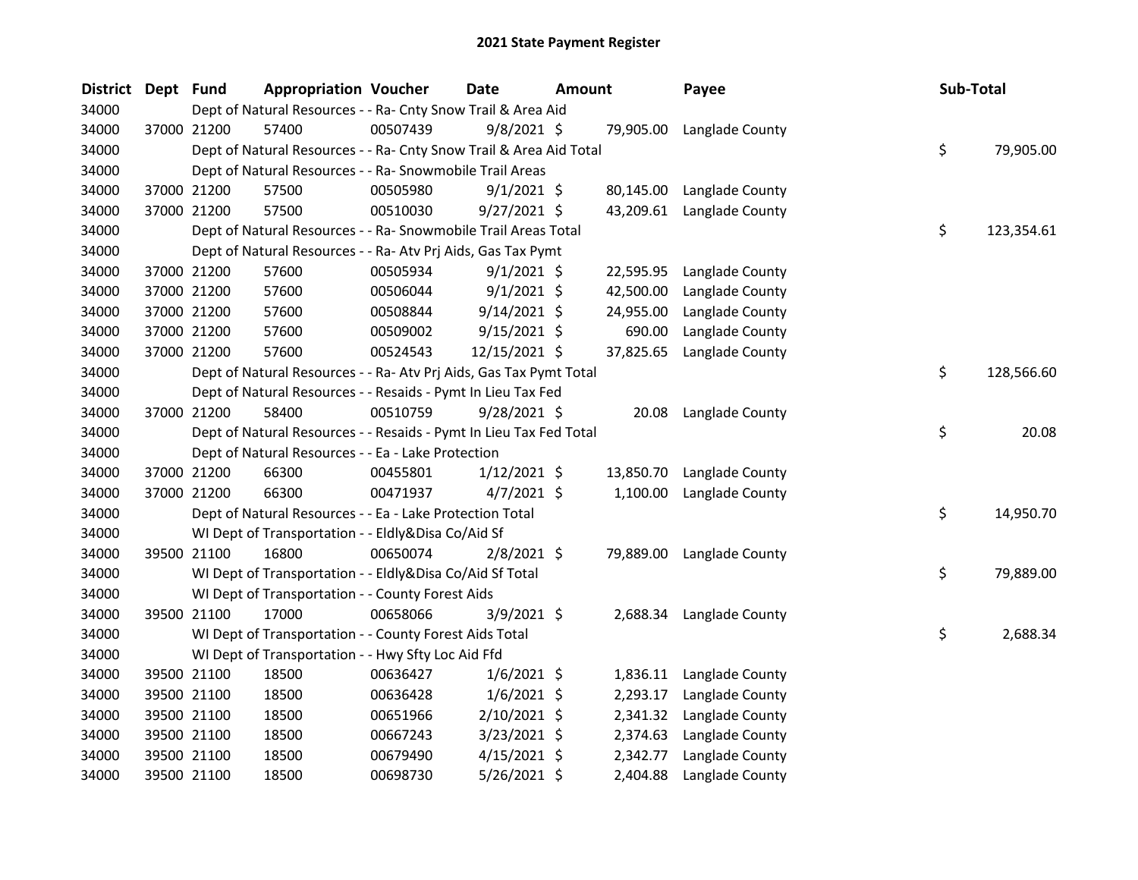| District Dept Fund |             |             | <b>Appropriation Voucher</b>                                       |          | <b>Date</b>    | <b>Amount</b> |           | Payee                    | Sub-Total |            |
|--------------------|-------------|-------------|--------------------------------------------------------------------|----------|----------------|---------------|-----------|--------------------------|-----------|------------|
| 34000              |             |             | Dept of Natural Resources - - Ra- Cnty Snow Trail & Area Aid       |          |                |               |           |                          |           |            |
| 34000              |             | 37000 21200 | 57400                                                              | 00507439 | 9/8/2021 \$    |               | 79,905.00 | Langlade County          |           |            |
| 34000              |             |             | Dept of Natural Resources - - Ra- Cnty Snow Trail & Area Aid Total |          |                |               |           |                          | \$        | 79,905.00  |
| 34000              |             |             | Dept of Natural Resources - - Ra- Snowmobile Trail Areas           |          |                |               |           |                          |           |            |
| 34000              |             | 37000 21200 | 57500                                                              | 00505980 | $9/1/2021$ \$  |               | 80,145.00 | Langlade County          |           |            |
| 34000              |             | 37000 21200 | 57500                                                              | 00510030 | $9/27/2021$ \$ |               | 43,209.61 | Langlade County          |           |            |
| 34000              |             |             | Dept of Natural Resources - - Ra- Snowmobile Trail Areas Total     |          |                |               |           |                          | \$        | 123,354.61 |
| 34000              |             |             | Dept of Natural Resources - - Ra- Atv Prj Aids, Gas Tax Pymt       |          |                |               |           |                          |           |            |
| 34000              |             | 37000 21200 | 57600                                                              | 00505934 | $9/1/2021$ \$  |               | 22,595.95 | Langlade County          |           |            |
| 34000              |             | 37000 21200 | 57600                                                              | 00506044 | $9/1/2021$ \$  |               | 42,500.00 | Langlade County          |           |            |
| 34000              |             | 37000 21200 | 57600                                                              | 00508844 | $9/14/2021$ \$ |               | 24,955.00 | Langlade County          |           |            |
| 34000              | 37000 21200 |             | 57600                                                              | 00509002 | $9/15/2021$ \$ |               | 690.00    | Langlade County          |           |            |
| 34000              |             | 37000 21200 | 57600                                                              | 00524543 | 12/15/2021 \$  |               | 37,825.65 | Langlade County          |           |            |
| 34000              |             |             | Dept of Natural Resources - - Ra- Atv Prj Aids, Gas Tax Pymt Total |          |                |               |           |                          | \$        | 128,566.60 |
| 34000              |             |             | Dept of Natural Resources - - Resaids - Pymt In Lieu Tax Fed       |          |                |               |           |                          |           |            |
| 34000              | 37000 21200 |             | 58400                                                              | 00510759 | 9/28/2021 \$   |               | 20.08     | Langlade County          |           |            |
| 34000              |             |             | Dept of Natural Resources - - Resaids - Pymt In Lieu Tax Fed Total |          |                |               |           |                          | \$        | 20.08      |
| 34000              |             |             | Dept of Natural Resources - - Ea - Lake Protection                 |          |                |               |           |                          |           |            |
| 34000              |             | 37000 21200 | 66300                                                              | 00455801 | $1/12/2021$ \$ |               | 13,850.70 | Langlade County          |           |            |
| 34000              |             | 37000 21200 | 66300                                                              | 00471937 | $4/7/2021$ \$  |               | 1,100.00  | Langlade County          |           |            |
| 34000              |             |             | Dept of Natural Resources - - Ea - Lake Protection Total           |          |                |               |           |                          | \$        | 14,950.70  |
| 34000              |             |             | WI Dept of Transportation - - Eldly&Disa Co/Aid Sf                 |          |                |               |           |                          |           |            |
| 34000              |             | 39500 21100 | 16800                                                              | 00650074 | $2/8/2021$ \$  |               | 79,889.00 | Langlade County          |           |            |
| 34000              |             |             | WI Dept of Transportation - - Eldly&Disa Co/Aid Sf Total           |          |                |               |           |                          | \$        | 79,889.00  |
| 34000              |             |             | WI Dept of Transportation - - County Forest Aids                   |          |                |               |           |                          |           |            |
| 34000              |             | 39500 21100 | 17000                                                              | 00658066 | 3/9/2021 \$    |               |           | 2,688.34 Langlade County |           |            |
| 34000              |             |             | WI Dept of Transportation - - County Forest Aids Total             |          |                |               |           |                          | \$        | 2,688.34   |
| 34000              |             |             | WI Dept of Transportation - - Hwy Sfty Loc Aid Ffd                 |          |                |               |           |                          |           |            |
| 34000              |             | 39500 21100 | 18500                                                              | 00636427 | $1/6/2021$ \$  |               | 1,836.11  | Langlade County          |           |            |
| 34000              |             | 39500 21100 | 18500                                                              | 00636428 | $1/6/2021$ \$  |               | 2,293.17  | Langlade County          |           |            |
| 34000              |             | 39500 21100 | 18500                                                              | 00651966 | 2/10/2021 \$   |               | 2,341.32  | Langlade County          |           |            |
| 34000              |             | 39500 21100 | 18500                                                              | 00667243 | $3/23/2021$ \$ |               | 2,374.63  | Langlade County          |           |            |
| 34000              |             | 39500 21100 | 18500                                                              | 00679490 | $4/15/2021$ \$ |               | 2,342.77  | Langlade County          |           |            |
| 34000              |             | 39500 21100 | 18500                                                              | 00698730 | 5/26/2021 \$   |               | 2,404.88  | Langlade County          |           |            |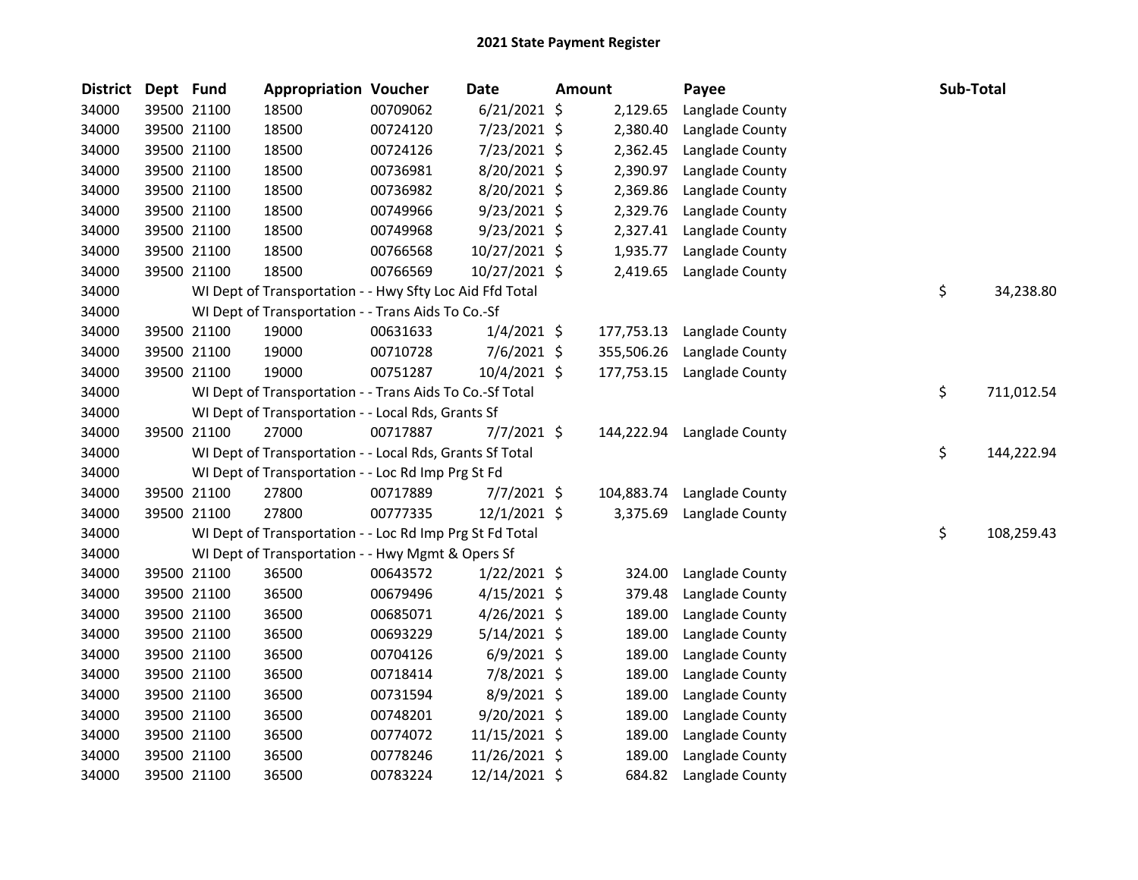| <b>District</b> | Dept Fund |             | <b>Appropriation Voucher</b>                             |          | <b>Date</b>    | <b>Amount</b> | Payee                      | Sub-Total |            |
|-----------------|-----------|-------------|----------------------------------------------------------|----------|----------------|---------------|----------------------------|-----------|------------|
| 34000           |           | 39500 21100 | 18500                                                    | 00709062 | $6/21/2021$ \$ | 2,129.65      | Langlade County            |           |            |
| 34000           |           | 39500 21100 | 18500                                                    | 00724120 | 7/23/2021 \$   | 2,380.40      | Langlade County            |           |            |
| 34000           |           | 39500 21100 | 18500                                                    | 00724126 | 7/23/2021 \$   | 2,362.45      | Langlade County            |           |            |
| 34000           |           | 39500 21100 | 18500                                                    | 00736981 | 8/20/2021 \$   | 2,390.97      | Langlade County            |           |            |
| 34000           |           | 39500 21100 | 18500                                                    | 00736982 | 8/20/2021 \$   | 2,369.86      | Langlade County            |           |            |
| 34000           |           | 39500 21100 | 18500                                                    | 00749966 | $9/23/2021$ \$ | 2,329.76      | Langlade County            |           |            |
| 34000           |           | 39500 21100 | 18500                                                    | 00749968 | 9/23/2021 \$   | 2,327.41      | Langlade County            |           |            |
| 34000           |           | 39500 21100 | 18500                                                    | 00766568 | 10/27/2021 \$  | 1,935.77      | Langlade County            |           |            |
| 34000           |           | 39500 21100 | 18500                                                    | 00766569 | 10/27/2021 \$  | 2,419.65      | Langlade County            |           |            |
| 34000           |           |             | WI Dept of Transportation - - Hwy Sfty Loc Aid Ffd Total |          |                |               |                            | \$        | 34,238.80  |
| 34000           |           |             | WI Dept of Transportation - - Trans Aids To Co.-Sf       |          |                |               |                            |           |            |
| 34000           |           | 39500 21100 | 19000                                                    | 00631633 | $1/4/2021$ \$  | 177,753.13    | Langlade County            |           |            |
| 34000           |           | 39500 21100 | 19000                                                    | 00710728 | $7/6/2021$ \$  | 355,506.26    | Langlade County            |           |            |
| 34000           |           | 39500 21100 | 19000                                                    | 00751287 | $10/4/2021$ \$ | 177,753.15    | Langlade County            |           |            |
| 34000           |           |             | WI Dept of Transportation - - Trans Aids To Co.-Sf Total |          |                |               |                            | \$        | 711,012.54 |
| 34000           |           |             | WI Dept of Transportation - - Local Rds, Grants Sf       |          |                |               |                            |           |            |
| 34000           |           | 39500 21100 | 27000                                                    | 00717887 | $7/7/2021$ \$  |               | 144,222.94 Langlade County |           |            |
| 34000           |           |             | WI Dept of Transportation - - Local Rds, Grants Sf Total |          |                |               |                            | \$        | 144,222.94 |
| 34000           |           |             | WI Dept of Transportation - - Loc Rd Imp Prg St Fd       |          |                |               |                            |           |            |
| 34000           |           | 39500 21100 | 27800                                                    | 00717889 | $7/7/2021$ \$  | 104,883.74    | Langlade County            |           |            |
| 34000           |           | 39500 21100 | 27800                                                    | 00777335 | $12/1/2021$ \$ | 3,375.69      | Langlade County            |           |            |
| 34000           |           |             | WI Dept of Transportation - - Loc Rd Imp Prg St Fd Total |          |                |               |                            | \$        | 108,259.43 |
| 34000           |           |             | WI Dept of Transportation - - Hwy Mgmt & Opers Sf        |          |                |               |                            |           |            |
| 34000           |           | 39500 21100 | 36500                                                    | 00643572 | $1/22/2021$ \$ | 324.00        | Langlade County            |           |            |
| 34000           |           | 39500 21100 | 36500                                                    | 00679496 | $4/15/2021$ \$ | 379.48        | Langlade County            |           |            |
| 34000           |           | 39500 21100 | 36500                                                    | 00685071 | $4/26/2021$ \$ | 189.00        | Langlade County            |           |            |
| 34000           |           | 39500 21100 | 36500                                                    | 00693229 | 5/14/2021 \$   | 189.00        | Langlade County            |           |            |
| 34000           |           | 39500 21100 | 36500                                                    | 00704126 | $6/9/2021$ \$  | 189.00        | Langlade County            |           |            |
| 34000           |           | 39500 21100 | 36500                                                    | 00718414 | 7/8/2021 \$    | 189.00        | Langlade County            |           |            |
| 34000           |           | 39500 21100 | 36500                                                    | 00731594 | 8/9/2021 \$    | 189.00        | Langlade County            |           |            |
| 34000           |           | 39500 21100 | 36500                                                    | 00748201 | 9/20/2021 \$   | 189.00        | Langlade County            |           |            |
| 34000           |           | 39500 21100 | 36500                                                    | 00774072 | 11/15/2021 \$  | 189.00        | Langlade County            |           |            |
| 34000           |           | 39500 21100 | 36500                                                    | 00778246 | 11/26/2021 \$  | 189.00        | Langlade County            |           |            |
| 34000           |           | 39500 21100 | 36500                                                    | 00783224 | 12/14/2021 \$  | 684.82        | Langlade County            |           |            |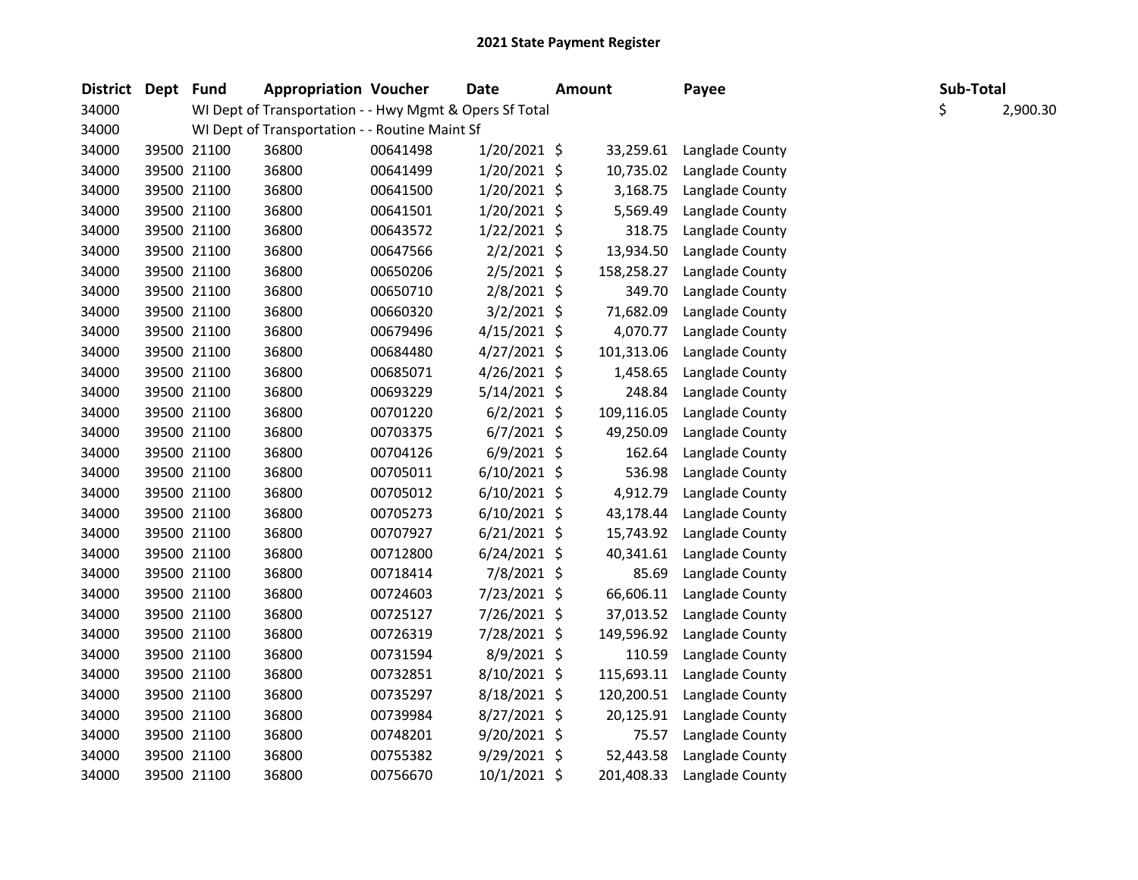| <b>District</b> | Dept Fund |             | <b>Appropriation Voucher</b>                            |          | Date           | <b>Amount</b> |            | Payee           | Sub-Total |          |
|-----------------|-----------|-------------|---------------------------------------------------------|----------|----------------|---------------|------------|-----------------|-----------|----------|
| 34000           |           |             | WI Dept of Transportation - - Hwy Mgmt & Opers Sf Total |          |                |               |            |                 | \$        | 2,900.30 |
| 34000           |           |             | WI Dept of Transportation - - Routine Maint Sf          |          |                |               |            |                 |           |          |
| 34000           |           | 39500 21100 | 36800                                                   | 00641498 | 1/20/2021 \$   |               | 33,259.61  | Langlade County |           |          |
| 34000           |           | 39500 21100 | 36800                                                   | 00641499 | 1/20/2021 \$   |               | 10,735.02  | Langlade County |           |          |
| 34000           |           | 39500 21100 | 36800                                                   | 00641500 | $1/20/2021$ \$ |               | 3,168.75   | Langlade County |           |          |
| 34000           |           | 39500 21100 | 36800                                                   | 00641501 | 1/20/2021 \$   |               | 5,569.49   | Langlade County |           |          |
| 34000           |           | 39500 21100 | 36800                                                   | 00643572 | $1/22/2021$ \$ |               | 318.75     | Langlade County |           |          |
| 34000           |           | 39500 21100 | 36800                                                   | 00647566 | 2/2/2021 \$    |               | 13,934.50  | Langlade County |           |          |
| 34000           |           | 39500 21100 | 36800                                                   | 00650206 | $2/5/2021$ \$  |               | 158,258.27 | Langlade County |           |          |
| 34000           |           | 39500 21100 | 36800                                                   | 00650710 | $2/8/2021$ \$  |               | 349.70     | Langlade County |           |          |
| 34000           |           | 39500 21100 | 36800                                                   | 00660320 | $3/2/2021$ \$  |               | 71,682.09  | Langlade County |           |          |
| 34000           |           | 39500 21100 | 36800                                                   | 00679496 | 4/15/2021 \$   |               | 4,070.77   | Langlade County |           |          |
| 34000           |           | 39500 21100 | 36800                                                   | 00684480 | $4/27/2021$ \$ |               | 101,313.06 | Langlade County |           |          |
| 34000           |           | 39500 21100 | 36800                                                   | 00685071 | $4/26/2021$ \$ |               | 1,458.65   | Langlade County |           |          |
| 34000           |           | 39500 21100 | 36800                                                   | 00693229 | $5/14/2021$ \$ |               | 248.84     | Langlade County |           |          |
| 34000           |           | 39500 21100 | 36800                                                   | 00701220 | $6/2/2021$ \$  |               | 109,116.05 | Langlade County |           |          |
| 34000           |           | 39500 21100 | 36800                                                   | 00703375 | $6/7/2021$ \$  |               | 49,250.09  | Langlade County |           |          |
| 34000           |           | 39500 21100 | 36800                                                   | 00704126 | $6/9/2021$ \$  |               | 162.64     | Langlade County |           |          |
| 34000           |           | 39500 21100 | 36800                                                   | 00705011 | $6/10/2021$ \$ |               | 536.98     | Langlade County |           |          |
| 34000           |           | 39500 21100 | 36800                                                   | 00705012 | $6/10/2021$ \$ |               | 4,912.79   | Langlade County |           |          |
| 34000           |           | 39500 21100 | 36800                                                   | 00705273 | $6/10/2021$ \$ |               | 43,178.44  | Langlade County |           |          |
| 34000           |           | 39500 21100 | 36800                                                   | 00707927 | $6/21/2021$ \$ |               | 15,743.92  | Langlade County |           |          |
| 34000           |           | 39500 21100 | 36800                                                   | 00712800 | $6/24/2021$ \$ |               | 40,341.61  | Langlade County |           |          |
| 34000           |           | 39500 21100 | 36800                                                   | 00718414 | 7/8/2021 \$    |               | 85.69      | Langlade County |           |          |
| 34000           |           | 39500 21100 | 36800                                                   | 00724603 | 7/23/2021 \$   |               | 66,606.11  | Langlade County |           |          |
| 34000           |           | 39500 21100 | 36800                                                   | 00725127 | 7/26/2021 \$   |               | 37,013.52  | Langlade County |           |          |
| 34000           |           | 39500 21100 | 36800                                                   | 00726319 | 7/28/2021 \$   |               | 149,596.92 | Langlade County |           |          |
| 34000           |           | 39500 21100 | 36800                                                   | 00731594 | 8/9/2021 \$    |               | 110.59     | Langlade County |           |          |
| 34000           |           | 39500 21100 | 36800                                                   | 00732851 | 8/10/2021 \$   |               | 115,693.11 | Langlade County |           |          |
| 34000           |           | 39500 21100 | 36800                                                   | 00735297 | $8/18/2021$ \$ |               | 120,200.51 | Langlade County |           |          |
| 34000           |           | 39500 21100 | 36800                                                   | 00739984 | 8/27/2021 \$   |               | 20,125.91  | Langlade County |           |          |
| 34000           |           | 39500 21100 | 36800                                                   | 00748201 | $9/20/2021$ \$ |               | 75.57      | Langlade County |           |          |
| 34000           |           | 39500 21100 | 36800                                                   | 00755382 | $9/29/2021$ \$ |               | 52,443.58  | Langlade County |           |          |
| 34000           |           | 39500 21100 | 36800                                                   | 00756670 | 10/1/2021 \$   |               | 201,408.33 | Langlade County |           |          |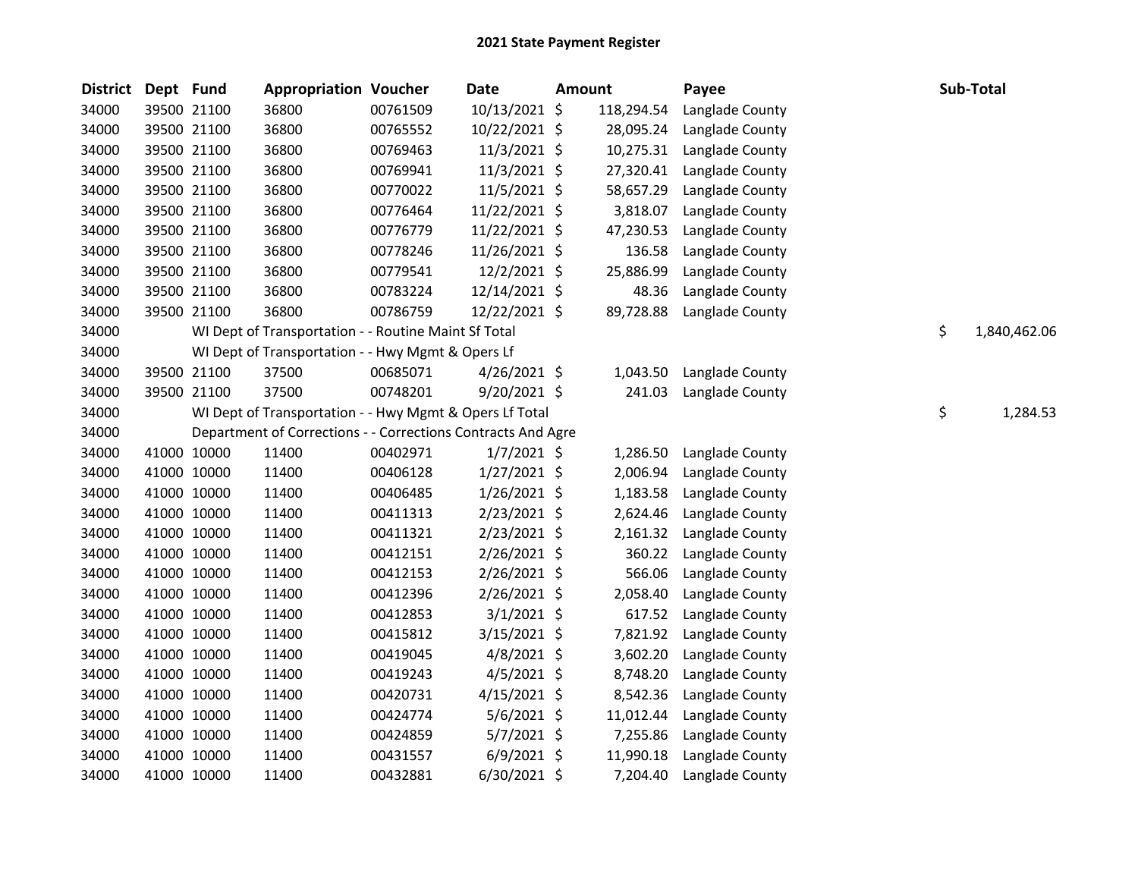| <b>District</b> | Dept Fund |             | <b>Appropriation Voucher</b>                                 |          | <b>Date</b>    | <b>Amount</b> |            | Payee           | Sub-Total          |
|-----------------|-----------|-------------|--------------------------------------------------------------|----------|----------------|---------------|------------|-----------------|--------------------|
| 34000           |           | 39500 21100 | 36800                                                        | 00761509 | 10/13/2021 \$  |               | 118,294.54 | Langlade County |                    |
| 34000           |           | 39500 21100 | 36800                                                        | 00765552 | 10/22/2021 \$  |               | 28,095.24  | Langlade County |                    |
| 34000           |           | 39500 21100 | 36800                                                        | 00769463 | 11/3/2021 \$   |               | 10,275.31  | Langlade County |                    |
| 34000           |           | 39500 21100 | 36800                                                        | 00769941 | 11/3/2021 \$   |               | 27,320.41  | Langlade County |                    |
| 34000           |           | 39500 21100 | 36800                                                        | 00770022 | 11/5/2021 \$   |               | 58,657.29  | Langlade County |                    |
| 34000           |           | 39500 21100 | 36800                                                        | 00776464 | 11/22/2021 \$  |               | 3,818.07   | Langlade County |                    |
| 34000           |           | 39500 21100 | 36800                                                        | 00776779 | 11/22/2021 \$  |               | 47,230.53  | Langlade County |                    |
| 34000           |           | 39500 21100 | 36800                                                        | 00778246 | 11/26/2021 \$  |               | 136.58     | Langlade County |                    |
| 34000           |           | 39500 21100 | 36800                                                        | 00779541 | 12/2/2021 \$   |               | 25,886.99  | Langlade County |                    |
| 34000           |           | 39500 21100 | 36800                                                        | 00783224 | 12/14/2021 \$  |               | 48.36      | Langlade County |                    |
| 34000           |           | 39500 21100 | 36800                                                        | 00786759 | 12/22/2021 \$  |               | 89,728.88  | Langlade County |                    |
| 34000           |           |             | WI Dept of Transportation - - Routine Maint Sf Total         |          |                |               |            |                 | \$<br>1,840,462.06 |
| 34000           |           |             | WI Dept of Transportation - - Hwy Mgmt & Opers Lf            |          |                |               |            |                 |                    |
| 34000           |           | 39500 21100 | 37500                                                        | 00685071 | $4/26/2021$ \$ |               | 1,043.50   | Langlade County |                    |
| 34000           |           | 39500 21100 | 37500                                                        | 00748201 | $9/20/2021$ \$ |               | 241.03     | Langlade County |                    |
| 34000           |           |             | WI Dept of Transportation - - Hwy Mgmt & Opers Lf Total      |          |                |               |            |                 | \$<br>1,284.53     |
| 34000           |           |             | Department of Corrections - - Corrections Contracts And Agre |          |                |               |            |                 |                    |
| 34000           |           | 41000 10000 | 11400                                                        | 00402971 | $1/7/2021$ \$  |               | 1,286.50   | Langlade County |                    |
| 34000           |           | 41000 10000 | 11400                                                        | 00406128 | $1/27/2021$ \$ |               | 2,006.94   | Langlade County |                    |
| 34000           |           | 41000 10000 | 11400                                                        | 00406485 | $1/26/2021$ \$ |               | 1,183.58   | Langlade County |                    |
| 34000           |           | 41000 10000 | 11400                                                        | 00411313 | $2/23/2021$ \$ |               | 2,624.46   | Langlade County |                    |
| 34000           |           | 41000 10000 | 11400                                                        | 00411321 | $2/23/2021$ \$ |               | 2,161.32   | Langlade County |                    |
| 34000           |           | 41000 10000 | 11400                                                        | 00412151 | 2/26/2021 \$   |               | 360.22     | Langlade County |                    |
| 34000           |           | 41000 10000 | 11400                                                        | 00412153 | $2/26/2021$ \$ |               | 566.06     | Langlade County |                    |
| 34000           |           | 41000 10000 | 11400                                                        | 00412396 | 2/26/2021 \$   |               | 2,058.40   | Langlade County |                    |
| 34000           |           | 41000 10000 | 11400                                                        | 00412853 | $3/1/2021$ \$  |               | 617.52     | Langlade County |                    |
| 34000           |           | 41000 10000 | 11400                                                        | 00415812 | $3/15/2021$ \$ |               | 7,821.92   | Langlade County |                    |
| 34000           |           | 41000 10000 | 11400                                                        | 00419045 | 4/8/2021 \$    |               | 3,602.20   | Langlade County |                    |
| 34000           |           | 41000 10000 | 11400                                                        | 00419243 | 4/5/2021 \$    |               | 8,748.20   | Langlade County |                    |
| 34000           |           | 41000 10000 | 11400                                                        | 00420731 | $4/15/2021$ \$ |               | 8,542.36   | Langlade County |                    |
| 34000           |           | 41000 10000 | 11400                                                        | 00424774 | $5/6/2021$ \$  |               | 11,012.44  | Langlade County |                    |
| 34000           |           | 41000 10000 | 11400                                                        | 00424859 | $5/7/2021$ \$  |               | 7,255.86   | Langlade County |                    |
| 34000           |           | 41000 10000 | 11400                                                        | 00431557 | $6/9/2021$ \$  |               | 11,990.18  | Langlade County |                    |
| 34000           |           | 41000 10000 | 11400                                                        | 00432881 | 6/30/2021 \$   |               | 7,204.40   | Langlade County |                    |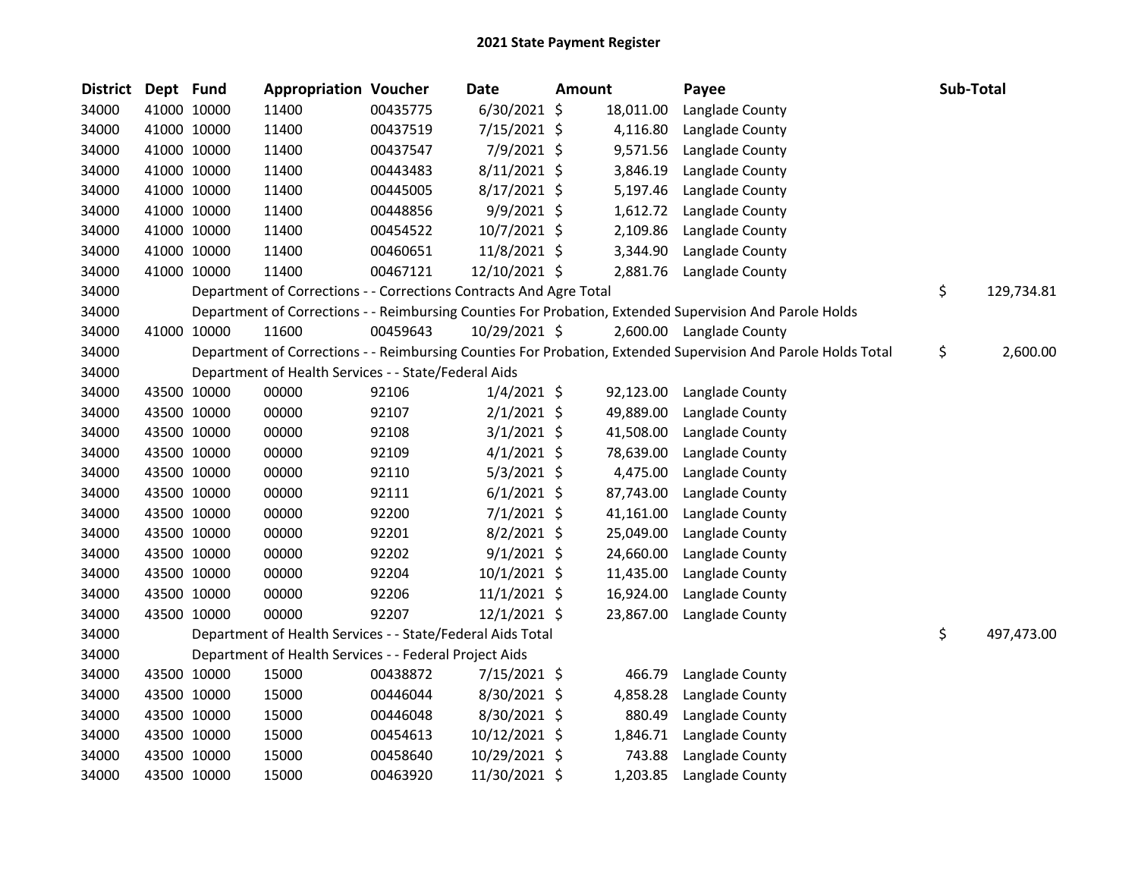| 34000<br>6/30/2021 \$<br>41000 10000<br>11400<br>00435775<br>18,011.00<br>Langlade County<br>34000<br>41000 10000<br>11400<br>00437519<br>7/15/2021 \$<br>4,116.80<br>Langlade County<br>7/9/2021 \$<br>34000<br>41000 10000<br>11400<br>00437547<br>9,571.56<br>Langlade County<br>8/11/2021 \$<br>34000<br>41000 10000<br>11400<br>00443483<br>3,846.19<br>Langlade County<br>34000<br>41000 10000<br>11400<br>8/17/2021 \$<br>00445005<br>5,197.46<br>Langlade County<br>34000<br>41000 10000<br>11400<br>00448856<br>$9/9/2021$ \$<br>1,612.72<br>Langlade County |            |
|-----------------------------------------------------------------------------------------------------------------------------------------------------------------------------------------------------------------------------------------------------------------------------------------------------------------------------------------------------------------------------------------------------------------------------------------------------------------------------------------------------------------------------------------------------------------------|------------|
|                                                                                                                                                                                                                                                                                                                                                                                                                                                                                                                                                                       |            |
|                                                                                                                                                                                                                                                                                                                                                                                                                                                                                                                                                                       |            |
|                                                                                                                                                                                                                                                                                                                                                                                                                                                                                                                                                                       |            |
|                                                                                                                                                                                                                                                                                                                                                                                                                                                                                                                                                                       |            |
|                                                                                                                                                                                                                                                                                                                                                                                                                                                                                                                                                                       |            |
|                                                                                                                                                                                                                                                                                                                                                                                                                                                                                                                                                                       |            |
| 34000<br>41000 10000<br>11400<br>00454522<br>$10/7/2021$ \$<br>2,109.86<br>Langlade County                                                                                                                                                                                                                                                                                                                                                                                                                                                                            |            |
| 41000 10000<br>11400<br>11/8/2021 \$<br>34000<br>00460651<br>3,344.90<br>Langlade County                                                                                                                                                                                                                                                                                                                                                                                                                                                                              |            |
| 34000<br>41000 10000<br>11400<br>00467121<br>12/10/2021 \$<br>2,881.76<br>Langlade County                                                                                                                                                                                                                                                                                                                                                                                                                                                                             |            |
| \$<br>34000<br>Department of Corrections - - Corrections Contracts And Agre Total                                                                                                                                                                                                                                                                                                                                                                                                                                                                                     | 129,734.81 |
| 34000<br>Department of Corrections - - Reimbursing Counties For Probation, Extended Supervision And Parole Holds                                                                                                                                                                                                                                                                                                                                                                                                                                                      |            |
| 34000<br>41000 10000<br>11600<br>00459643<br>10/29/2021 \$<br>2,600.00 Langlade County                                                                                                                                                                                                                                                                                                                                                                                                                                                                                |            |
| Department of Corrections - - Reimbursing Counties For Probation, Extended Supervision And Parole Holds Total<br>\$<br>34000                                                                                                                                                                                                                                                                                                                                                                                                                                          | 2,600.00   |
| 34000<br>Department of Health Services - - State/Federal Aids                                                                                                                                                                                                                                                                                                                                                                                                                                                                                                         |            |
| 34000<br>43500 10000<br>00000<br>92106<br>$1/4/2021$ \$<br>92,123.00<br>Langlade County                                                                                                                                                                                                                                                                                                                                                                                                                                                                               |            |
| 34000<br>43500 10000<br>00000<br>92107<br>$2/1/2021$ \$<br>49,889.00<br>Langlade County                                                                                                                                                                                                                                                                                                                                                                                                                                                                               |            |
| 43500 10000<br>92108<br>$3/1/2021$ \$<br>34000<br>00000<br>41,508.00<br>Langlade County                                                                                                                                                                                                                                                                                                                                                                                                                                                                               |            |
| $4/1/2021$ \$<br>34000<br>43500 10000<br>00000<br>92109<br>78,639.00<br>Langlade County                                                                                                                                                                                                                                                                                                                                                                                                                                                                               |            |
| $5/3/2021$ \$<br>34000<br>43500 10000<br>00000<br>92110<br>4,475.00<br>Langlade County                                                                                                                                                                                                                                                                                                                                                                                                                                                                                |            |
| 43500 10000<br>00000<br>$6/1/2021$ \$<br>34000<br>92111<br>87,743.00<br>Langlade County                                                                                                                                                                                                                                                                                                                                                                                                                                                                               |            |
| 34000<br>43500 10000<br>00000<br>92200<br>$7/1/2021$ \$<br>41,161.00<br>Langlade County                                                                                                                                                                                                                                                                                                                                                                                                                                                                               |            |
| 34000<br>43500 10000<br>00000<br>92201<br>$8/2/2021$ \$<br>25,049.00<br>Langlade County                                                                                                                                                                                                                                                                                                                                                                                                                                                                               |            |
| $9/1/2021$ \$<br>34000<br>43500 10000<br>00000<br>92202<br>24,660.00<br>Langlade County                                                                                                                                                                                                                                                                                                                                                                                                                                                                               |            |
| 43500 10000<br>00000<br>92204<br>$10/1/2021$ \$<br>34000<br>11,435.00<br>Langlade County                                                                                                                                                                                                                                                                                                                                                                                                                                                                              |            |
| 34000<br>43500 10000<br>00000<br>92206<br>$11/1/2021$ \$<br>16,924.00<br>Langlade County                                                                                                                                                                                                                                                                                                                                                                                                                                                                              |            |
| 34000<br>43500 10000<br>00000<br>92207<br>$12/1/2021$ \$<br>23,867.00<br>Langlade County                                                                                                                                                                                                                                                                                                                                                                                                                                                                              |            |
| \$<br>34000<br>Department of Health Services - - State/Federal Aids Total                                                                                                                                                                                                                                                                                                                                                                                                                                                                                             | 497,473.00 |
| 34000<br>Department of Health Services - - Federal Project Aids                                                                                                                                                                                                                                                                                                                                                                                                                                                                                                       |            |
| 34000<br>43500 10000<br>15000<br>00438872<br>7/15/2021 \$<br>466.79<br>Langlade County                                                                                                                                                                                                                                                                                                                                                                                                                                                                                |            |
| 43500 10000<br>15000<br>8/30/2021 \$<br>34000<br>00446044<br>4,858.28<br>Langlade County                                                                                                                                                                                                                                                                                                                                                                                                                                                                              |            |
| 34000<br>43500 10000<br>15000<br>00446048<br>8/30/2021 \$<br>880.49<br>Langlade County                                                                                                                                                                                                                                                                                                                                                                                                                                                                                |            |
| 43500 10000<br>34000<br>15000<br>00454613<br>10/12/2021 \$<br>1,846.71<br>Langlade County                                                                                                                                                                                                                                                                                                                                                                                                                                                                             |            |
| 34000<br>43500 10000<br>15000<br>00458640<br>10/29/2021 \$<br>743.88<br>Langlade County                                                                                                                                                                                                                                                                                                                                                                                                                                                                               |            |
| 11/30/2021 \$<br>34000<br>43500 10000<br>15000<br>00463920<br>1,203.85<br>Langlade County                                                                                                                                                                                                                                                                                                                                                                                                                                                                             |            |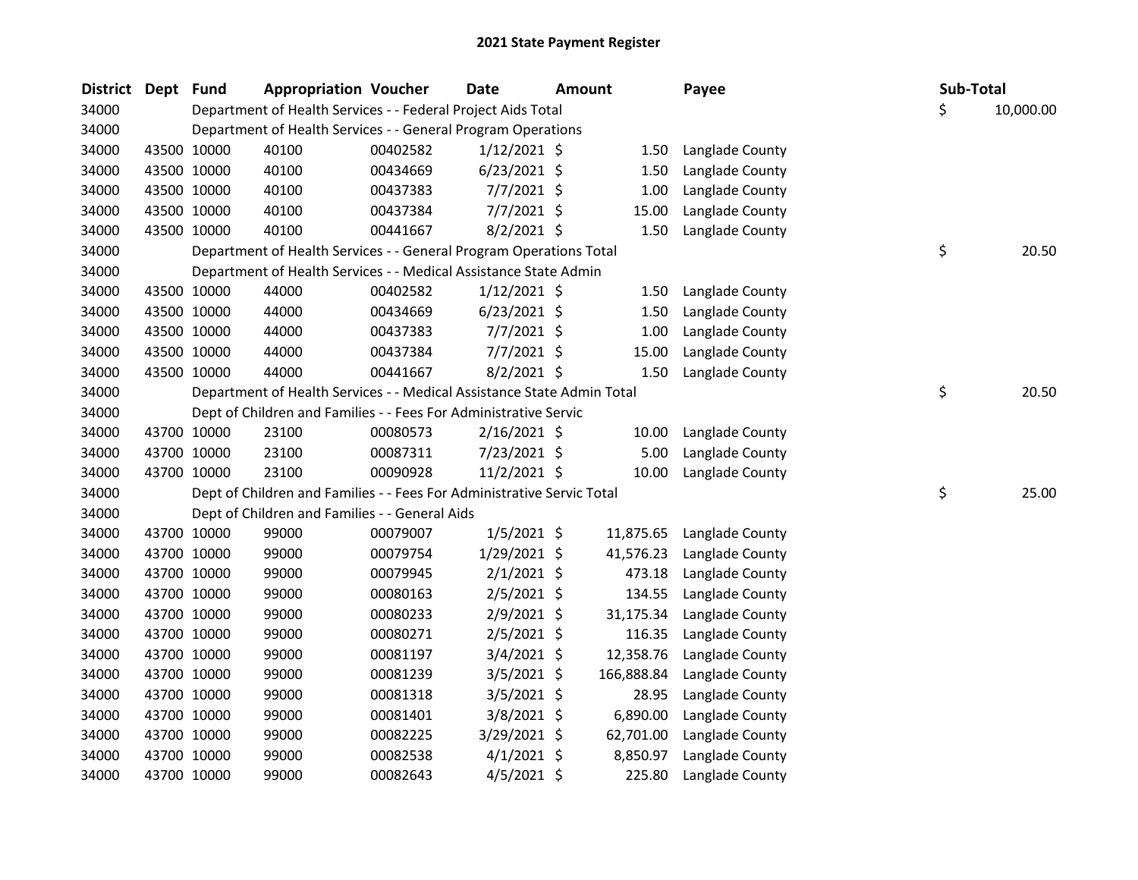| <b>District</b> | Dept Fund |             | <b>Appropriation Voucher</b>                                           |          | <b>Date</b>    | <b>Amount</b> |            | Payee           | Sub-Total |           |
|-----------------|-----------|-------------|------------------------------------------------------------------------|----------|----------------|---------------|------------|-----------------|-----------|-----------|
| 34000           |           |             | Department of Health Services - - Federal Project Aids Total           |          |                |               |            |                 | \$        | 10,000.00 |
| 34000           |           |             | Department of Health Services - - General Program Operations           |          |                |               |            |                 |           |           |
| 34000           |           | 43500 10000 | 40100                                                                  | 00402582 | $1/12/2021$ \$ |               | 1.50       | Langlade County |           |           |
| 34000           |           | 43500 10000 | 40100                                                                  | 00434669 | $6/23/2021$ \$ |               | 1.50       | Langlade County |           |           |
| 34000           |           | 43500 10000 | 40100                                                                  | 00437383 | $7/7/2021$ \$  |               | 1.00       | Langlade County |           |           |
| 34000           |           | 43500 10000 | 40100                                                                  | 00437384 | $7/7/2021$ \$  |               | 15.00      | Langlade County |           |           |
| 34000           |           | 43500 10000 | 40100                                                                  | 00441667 | 8/2/2021 \$    |               | 1.50       | Langlade County |           |           |
| 34000           |           |             | Department of Health Services - - General Program Operations Total     |          |                |               |            |                 | \$        | 20.50     |
| 34000           |           |             | Department of Health Services - - Medical Assistance State Admin       |          |                |               |            |                 |           |           |
| 34000           |           | 43500 10000 | 44000                                                                  | 00402582 | $1/12/2021$ \$ |               | 1.50       | Langlade County |           |           |
| 34000           |           | 43500 10000 | 44000                                                                  | 00434669 | $6/23/2021$ \$ |               | 1.50       | Langlade County |           |           |
| 34000           |           | 43500 10000 | 44000                                                                  | 00437383 | $7/7/2021$ \$  |               | 1.00       | Langlade County |           |           |
| 34000           |           | 43500 10000 | 44000                                                                  | 00437384 | $7/7/2021$ \$  |               | 15.00      | Langlade County |           |           |
| 34000           |           | 43500 10000 | 44000                                                                  | 00441667 | 8/2/2021 \$    |               | 1.50       | Langlade County |           |           |
| 34000           |           |             | Department of Health Services - - Medical Assistance State Admin Total |          |                |               |            |                 | \$        | 20.50     |
| 34000           |           |             | Dept of Children and Families - - Fees For Administrative Servic       |          |                |               |            |                 |           |           |
| 34000           |           | 43700 10000 | 23100                                                                  | 00080573 | 2/16/2021 \$   |               | 10.00      | Langlade County |           |           |
| 34000           |           | 43700 10000 | 23100                                                                  | 00087311 | 7/23/2021 \$   |               | 5.00       | Langlade County |           |           |
| 34000           |           | 43700 10000 | 23100                                                                  | 00090928 | $11/2/2021$ \$ |               | 10.00      | Langlade County |           |           |
| 34000           |           |             | Dept of Children and Families - - Fees For Administrative Servic Total |          |                |               |            |                 | \$        | 25.00     |
| 34000           |           |             | Dept of Children and Families - - General Aids                         |          |                |               |            |                 |           |           |
| 34000           |           | 43700 10000 | 99000                                                                  | 00079007 | $1/5/2021$ \$  |               | 11,875.65  | Langlade County |           |           |
| 34000           |           | 43700 10000 | 99000                                                                  | 00079754 | 1/29/2021 \$   |               | 41,576.23  | Langlade County |           |           |
| 34000           |           | 43700 10000 | 99000                                                                  | 00079945 | $2/1/2021$ \$  |               | 473.18     | Langlade County |           |           |
| 34000           |           | 43700 10000 | 99000                                                                  | 00080163 | $2/5/2021$ \$  |               | 134.55     | Langlade County |           |           |
| 34000           |           | 43700 10000 | 99000                                                                  | 00080233 | $2/9/2021$ \$  |               | 31,175.34  | Langlade County |           |           |
| 34000           |           | 43700 10000 | 99000                                                                  | 00080271 | $2/5/2021$ \$  |               | 116.35     | Langlade County |           |           |
| 34000           |           | 43700 10000 | 99000                                                                  | 00081197 | $3/4/2021$ \$  |               | 12,358.76  | Langlade County |           |           |
| 34000           |           | 43700 10000 | 99000                                                                  | 00081239 | $3/5/2021$ \$  |               | 166,888.84 | Langlade County |           |           |
| 34000           |           | 43700 10000 | 99000                                                                  | 00081318 | $3/5/2021$ \$  |               | 28.95      | Langlade County |           |           |
| 34000           |           | 43700 10000 | 99000                                                                  | 00081401 | $3/8/2021$ \$  |               | 6,890.00   | Langlade County |           |           |
| 34000           |           | 43700 10000 | 99000                                                                  | 00082225 | 3/29/2021 \$   |               | 62,701.00  | Langlade County |           |           |
| 34000           |           | 43700 10000 | 99000                                                                  | 00082538 | $4/1/2021$ \$  |               | 8,850.97   | Langlade County |           |           |
| 34000           |           | 43700 10000 | 99000                                                                  | 00082643 | $4/5/2021$ \$  |               | 225.80     | Langlade County |           |           |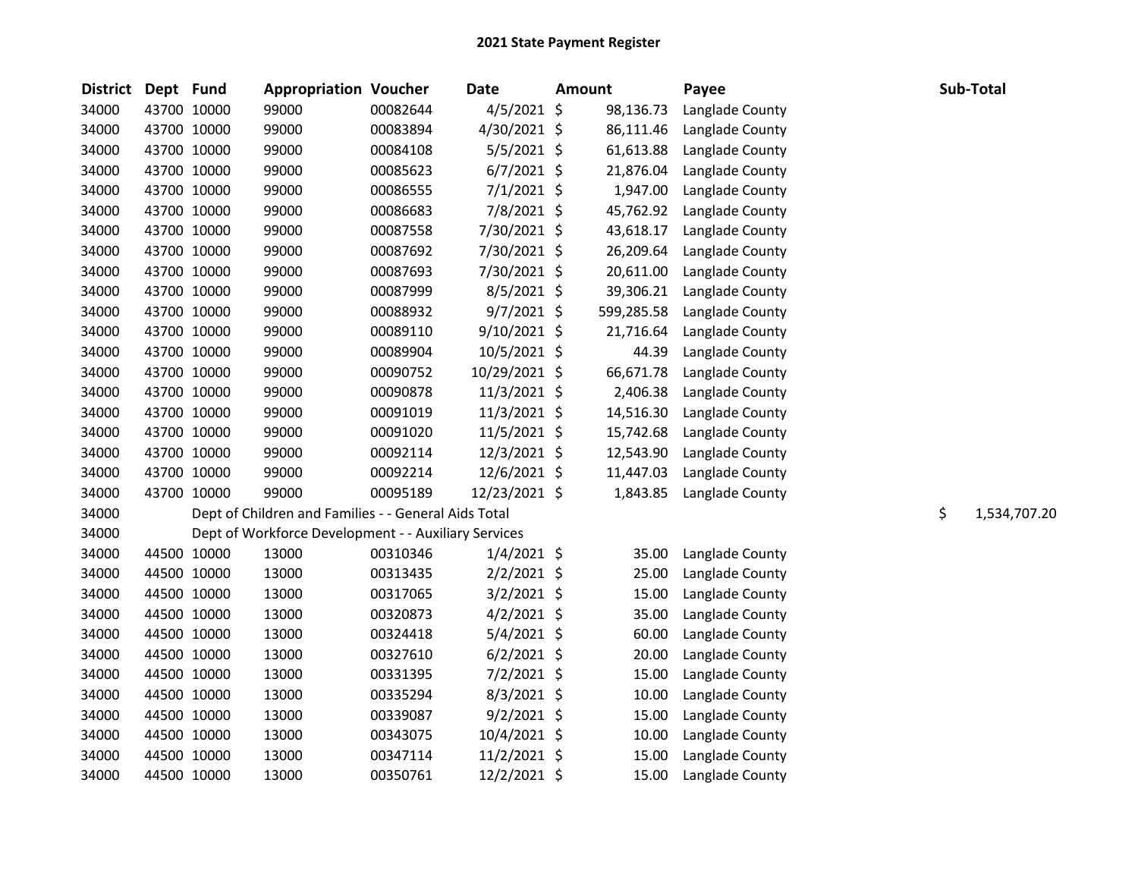| <b>District</b> | Dept Fund   | <b>Appropriation Voucher</b>                         |          | <b>Date</b>    | <b>Amount</b> |            | Payee           | Sub-Total          |
|-----------------|-------------|------------------------------------------------------|----------|----------------|---------------|------------|-----------------|--------------------|
| 34000           | 43700 10000 | 99000                                                | 00082644 | $4/5/2021$ \$  |               | 98,136.73  | Langlade County |                    |
| 34000           | 43700 10000 | 99000                                                | 00083894 | 4/30/2021 \$   |               | 86,111.46  | Langlade County |                    |
| 34000           | 43700 10000 | 99000                                                | 00084108 | 5/5/2021 \$    |               | 61,613.88  | Langlade County |                    |
| 34000           | 43700 10000 | 99000                                                | 00085623 | $6/7/2021$ \$  |               | 21,876.04  | Langlade County |                    |
| 34000           | 43700 10000 | 99000                                                | 00086555 | $7/1/2021$ \$  |               | 1,947.00   | Langlade County |                    |
| 34000           | 43700 10000 | 99000                                                | 00086683 | 7/8/2021 \$    |               | 45,762.92  | Langlade County |                    |
| 34000           | 43700 10000 | 99000                                                | 00087558 | 7/30/2021 \$   |               | 43,618.17  | Langlade County |                    |
| 34000           | 43700 10000 | 99000                                                | 00087692 | 7/30/2021 \$   |               | 26,209.64  | Langlade County |                    |
| 34000           | 43700 10000 | 99000                                                | 00087693 | 7/30/2021 \$   |               | 20,611.00  | Langlade County |                    |
| 34000           | 43700 10000 | 99000                                                | 00087999 | $8/5/2021$ \$  |               | 39,306.21  | Langlade County |                    |
| 34000           | 43700 10000 | 99000                                                | 00088932 | $9/7/2021$ \$  |               | 599,285.58 | Langlade County |                    |
| 34000           | 43700 10000 | 99000                                                | 00089110 | 9/10/2021 \$   |               | 21,716.64  | Langlade County |                    |
| 34000           | 43700 10000 | 99000                                                | 00089904 | 10/5/2021 \$   |               | 44.39      | Langlade County |                    |
| 34000           | 43700 10000 | 99000                                                | 00090752 | 10/29/2021 \$  |               | 66,671.78  | Langlade County |                    |
| 34000           | 43700 10000 | 99000                                                | 00090878 | $11/3/2021$ \$ |               | 2,406.38   | Langlade County |                    |
| 34000           | 43700 10000 | 99000                                                | 00091019 | $11/3/2021$ \$ |               | 14,516.30  | Langlade County |                    |
| 34000           | 43700 10000 | 99000                                                | 00091020 | 11/5/2021 \$   |               | 15,742.68  | Langlade County |                    |
| 34000           | 43700 10000 | 99000                                                | 00092114 | 12/3/2021 \$   |               | 12,543.90  | Langlade County |                    |
| 34000           | 43700 10000 | 99000                                                | 00092214 | 12/6/2021 \$   |               | 11,447.03  | Langlade County |                    |
| 34000           | 43700 10000 | 99000                                                | 00095189 | 12/23/2021 \$  |               | 1,843.85   | Langlade County |                    |
| 34000           |             | Dept of Children and Families - - General Aids Total |          |                |               |            |                 | \$<br>1,534,707.20 |
| 34000           |             | Dept of Workforce Development - - Auxiliary Services |          |                |               |            |                 |                    |
| 34000           | 44500 10000 | 13000                                                | 00310346 | $1/4/2021$ \$  |               | 35.00      | Langlade County |                    |
| 34000           | 44500 10000 | 13000                                                | 00313435 | $2/2/2021$ \$  |               | 25.00      | Langlade County |                    |
| 34000           | 44500 10000 | 13000                                                | 00317065 | 3/2/2021 \$    |               | 15.00      | Langlade County |                    |
| 34000           | 44500 10000 | 13000                                                | 00320873 | $4/2/2021$ \$  |               | 35.00      | Langlade County |                    |
| 34000           | 44500 10000 | 13000                                                | 00324418 | 5/4/2021 \$    |               | 60.00      | Langlade County |                    |
| 34000           | 44500 10000 | 13000                                                | 00327610 | $6/2/2021$ \$  |               | 20.00      | Langlade County |                    |
| 34000           | 44500 10000 | 13000                                                | 00331395 | $7/2/2021$ \$  |               | 15.00      | Langlade County |                    |
| 34000           | 44500 10000 | 13000                                                | 00335294 | 8/3/2021 \$    |               | 10.00      | Langlade County |                    |
| 34000           | 44500 10000 | 13000                                                | 00339087 | $9/2/2021$ \$  |               | 15.00      | Langlade County |                    |
| 34000           | 44500 10000 | 13000                                                | 00343075 | 10/4/2021 \$   |               | 10.00      | Langlade County |                    |
| 34000           | 44500 10000 | 13000                                                | 00347114 | $11/2/2021$ \$ |               | 15.00      | Langlade County |                    |
| 34000           | 44500 10000 | 13000                                                | 00350761 | $12/2/2021$ \$ |               | 15.00      | Langlade County |                    |
|                 |             |                                                      |          |                |               |            |                 |                    |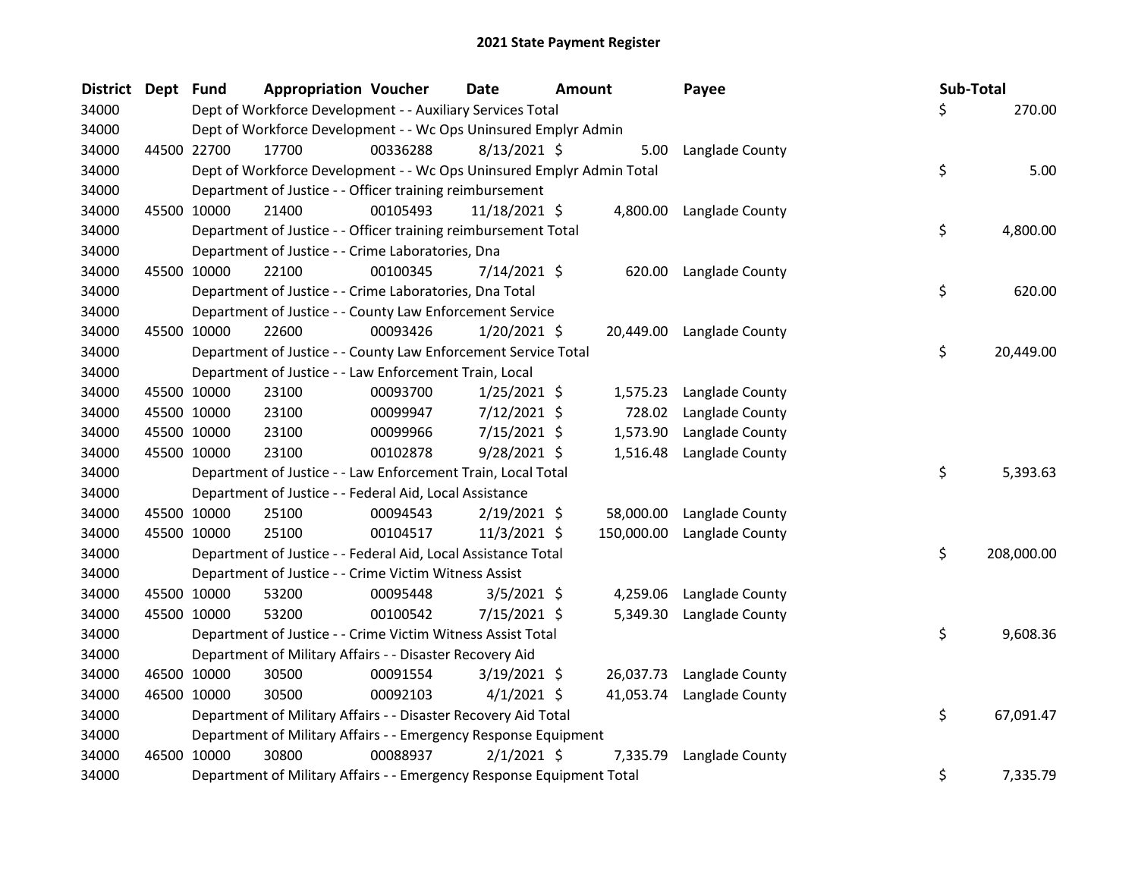| <b>District</b> | Dept Fund |             | <b>Appropriation Voucher</b>                                          |          | Date           | Amount |            | Payee           | Sub-Total |            |
|-----------------|-----------|-------------|-----------------------------------------------------------------------|----------|----------------|--------|------------|-----------------|-----------|------------|
| 34000           |           |             | Dept of Workforce Development - - Auxiliary Services Total            |          |                |        |            |                 | Ś.        | 270.00     |
| 34000           |           |             | Dept of Workforce Development - - Wc Ops Uninsured Emplyr Admin       |          |                |        |            |                 |           |            |
| 34000           |           | 44500 22700 | 17700                                                                 | 00336288 | $8/13/2021$ \$ |        | 5.00       | Langlade County |           |            |
| 34000           |           |             | Dept of Workforce Development - - Wc Ops Uninsured Emplyr Admin Total |          |                |        |            |                 | \$        | 5.00       |
| 34000           |           |             | Department of Justice - - Officer training reimbursement              |          |                |        |            |                 |           |            |
| 34000           |           | 45500 10000 | 21400                                                                 | 00105493 | 11/18/2021 \$  |        | 4,800.00   | Langlade County |           |            |
| 34000           |           |             | Department of Justice - - Officer training reimbursement Total        |          |                |        |            |                 | \$        | 4,800.00   |
| 34000           |           |             | Department of Justice - - Crime Laboratories, Dna                     |          |                |        |            |                 |           |            |
| 34000           |           | 45500 10000 | 22100                                                                 | 00100345 | 7/14/2021 \$   |        | 620.00     | Langlade County |           |            |
| 34000           |           |             | Department of Justice - - Crime Laboratories, Dna Total               |          |                |        |            |                 | \$        | 620.00     |
| 34000           |           |             | Department of Justice - - County Law Enforcement Service              |          |                |        |            |                 |           |            |
| 34000           |           | 45500 10000 | 22600                                                                 | 00093426 | $1/20/2021$ \$ |        | 20,449.00  | Langlade County |           |            |
| 34000           |           |             | Department of Justice - - County Law Enforcement Service Total        |          |                |        |            |                 | \$        | 20,449.00  |
| 34000           |           |             | Department of Justice - - Law Enforcement Train, Local                |          |                |        |            |                 |           |            |
| 34000           |           | 45500 10000 | 23100                                                                 | 00093700 | $1/25/2021$ \$ |        | 1,575.23   | Langlade County |           |            |
| 34000           |           | 45500 10000 | 23100                                                                 | 00099947 | $7/12/2021$ \$ |        | 728.02     | Langlade County |           |            |
| 34000           |           | 45500 10000 | 23100                                                                 | 00099966 | 7/15/2021 \$   |        | 1,573.90   | Langlade County |           |            |
| 34000           |           | 45500 10000 | 23100                                                                 | 00102878 | 9/28/2021 \$   |        | 1,516.48   | Langlade County |           |            |
| 34000           |           |             | Department of Justice - - Law Enforcement Train, Local Total          |          |                |        |            |                 | \$        | 5,393.63   |
| 34000           |           |             | Department of Justice - - Federal Aid, Local Assistance               |          |                |        |            |                 |           |            |
| 34000           |           | 45500 10000 | 25100                                                                 | 00094543 | $2/19/2021$ \$ |        | 58,000.00  | Langlade County |           |            |
| 34000           |           | 45500 10000 | 25100                                                                 | 00104517 | $11/3/2021$ \$ |        | 150,000.00 | Langlade County |           |            |
| 34000           |           |             | Department of Justice - - Federal Aid, Local Assistance Total         |          |                |        |            |                 | \$        | 208,000.00 |
| 34000           |           |             | Department of Justice - - Crime Victim Witness Assist                 |          |                |        |            |                 |           |            |
| 34000           |           | 45500 10000 | 53200                                                                 | 00095448 | $3/5/2021$ \$  |        | 4,259.06   | Langlade County |           |            |
| 34000           |           | 45500 10000 | 53200                                                                 | 00100542 | $7/15/2021$ \$ |        | 5,349.30   | Langlade County |           |            |
| 34000           |           |             | Department of Justice - - Crime Victim Witness Assist Total           |          |                |        |            |                 | \$        | 9,608.36   |
| 34000           |           |             | Department of Military Affairs - - Disaster Recovery Aid              |          |                |        |            |                 |           |            |
| 34000           |           | 46500 10000 | 30500                                                                 | 00091554 | $3/19/2021$ \$ |        | 26,037.73  | Langlade County |           |            |
| 34000           |           | 46500 10000 | 30500                                                                 | 00092103 | $4/1/2021$ \$  |        | 41,053.74  | Langlade County |           |            |
| 34000           |           |             | Department of Military Affairs - - Disaster Recovery Aid Total        |          |                |        |            |                 | \$        | 67,091.47  |
| 34000           |           |             | Department of Military Affairs - - Emergency Response Equipment       |          |                |        |            |                 |           |            |
| 34000           |           | 46500 10000 | 30800                                                                 | 00088937 | $2/1/2021$ \$  |        | 7,335.79   | Langlade County |           |            |
| 34000           |           |             | Department of Military Affairs - - Emergency Response Equipment Total |          |                |        |            |                 | \$        | 7,335.79   |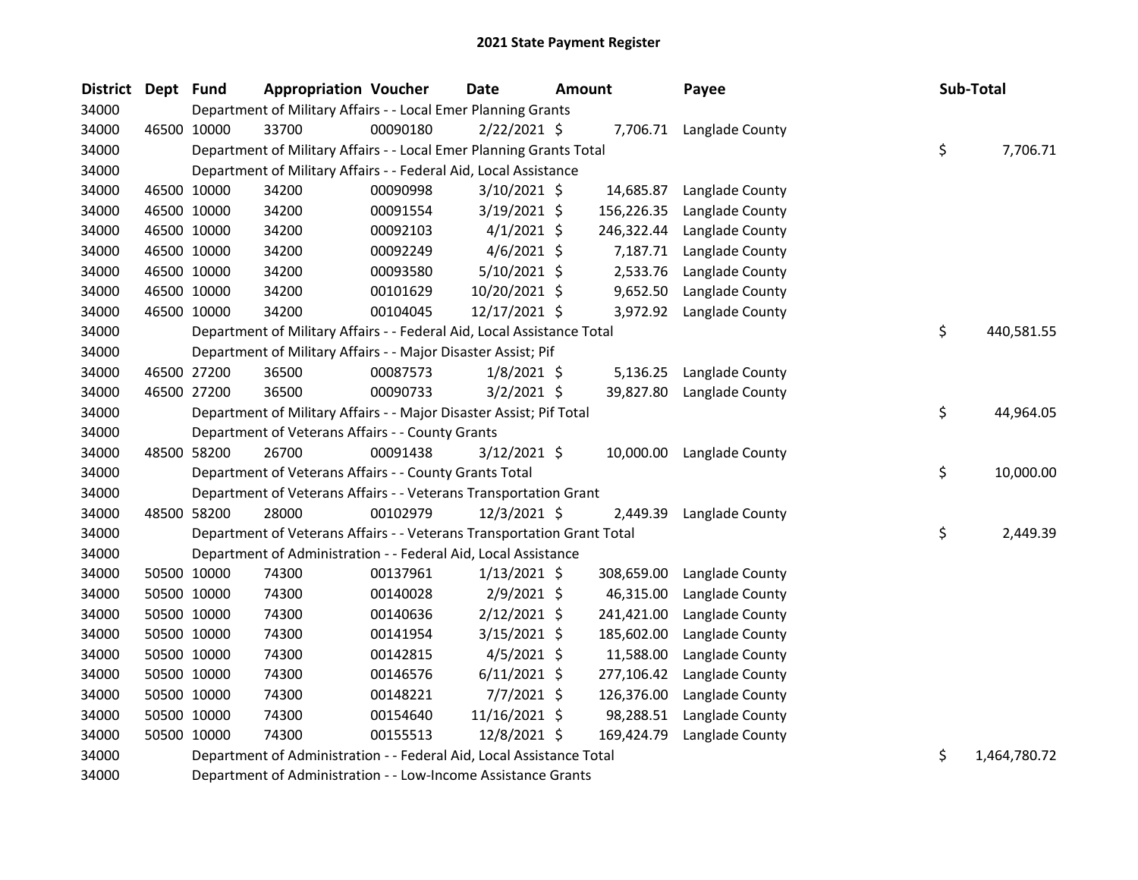| <b>District</b> | Dept Fund |             | <b>Appropriation Voucher</b>                                           |          | <b>Date</b>    | <b>Amount</b> |            | Payee                    | Sub-Total          |
|-----------------|-----------|-------------|------------------------------------------------------------------------|----------|----------------|---------------|------------|--------------------------|--------------------|
| 34000           |           |             | Department of Military Affairs - - Local Emer Planning Grants          |          |                |               |            |                          |                    |
| 34000           |           | 46500 10000 | 33700                                                                  | 00090180 | $2/22/2021$ \$ |               |            | 7,706.71 Langlade County |                    |
| 34000           |           |             | Department of Military Affairs - - Local Emer Planning Grants Total    |          |                |               |            |                          | \$<br>7,706.71     |
| 34000           |           |             | Department of Military Affairs - - Federal Aid, Local Assistance       |          |                |               |            |                          |                    |
| 34000           |           | 46500 10000 | 34200                                                                  | 00090998 | $3/10/2021$ \$ |               | 14,685.87  | Langlade County          |                    |
| 34000           |           | 46500 10000 | 34200                                                                  | 00091554 | 3/19/2021 \$   |               | 156,226.35 | Langlade County          |                    |
| 34000           |           | 46500 10000 | 34200                                                                  | 00092103 | $4/1/2021$ \$  |               | 246,322.44 | Langlade County          |                    |
| 34000           |           | 46500 10000 | 34200                                                                  | 00092249 | $4/6/2021$ \$  |               | 7,187.71   | Langlade County          |                    |
| 34000           |           | 46500 10000 | 34200                                                                  | 00093580 | 5/10/2021 \$   |               | 2,533.76   | Langlade County          |                    |
| 34000           |           | 46500 10000 | 34200                                                                  | 00101629 | 10/20/2021 \$  |               | 9,652.50   | Langlade County          |                    |
| 34000           |           | 46500 10000 | 34200                                                                  | 00104045 | 12/17/2021 \$  |               | 3,972.92   | Langlade County          |                    |
| 34000           |           |             | Department of Military Affairs - - Federal Aid, Local Assistance Total |          |                |               |            |                          | \$<br>440,581.55   |
| 34000           |           |             | Department of Military Affairs - - Major Disaster Assist; Pif          |          |                |               |            |                          |                    |
| 34000           |           | 46500 27200 | 36500                                                                  | 00087573 | $1/8/2021$ \$  |               | 5,136.25   | Langlade County          |                    |
| 34000           |           | 46500 27200 | 36500                                                                  | 00090733 | $3/2/2021$ \$  |               | 39,827.80  | Langlade County          |                    |
| 34000           |           |             | Department of Military Affairs - - Major Disaster Assist; Pif Total    |          |                |               |            |                          | \$<br>44,964.05    |
| 34000           |           |             | Department of Veterans Affairs - - County Grants                       |          |                |               |            |                          |                    |
| 34000           |           | 48500 58200 | 26700                                                                  | 00091438 | $3/12/2021$ \$ |               | 10,000.00  | Langlade County          |                    |
| 34000           |           |             | Department of Veterans Affairs - - County Grants Total                 |          |                |               |            |                          | \$<br>10,000.00    |
| 34000           |           |             | Department of Veterans Affairs - - Veterans Transportation Grant       |          |                |               |            |                          |                    |
| 34000           |           | 48500 58200 | 28000                                                                  | 00102979 | 12/3/2021 \$   |               | 2,449.39   | Langlade County          |                    |
| 34000           |           |             | Department of Veterans Affairs - - Veterans Transportation Grant Total |          |                |               |            |                          | \$<br>2,449.39     |
| 34000           |           |             | Department of Administration - - Federal Aid, Local Assistance         |          |                |               |            |                          |                    |
| 34000           |           | 50500 10000 | 74300                                                                  | 00137961 | $1/13/2021$ \$ |               | 308,659.00 | Langlade County          |                    |
| 34000           |           | 50500 10000 | 74300                                                                  | 00140028 | $2/9/2021$ \$  |               | 46,315.00  | Langlade County          |                    |
| 34000           |           | 50500 10000 | 74300                                                                  | 00140636 | $2/12/2021$ \$ |               | 241,421.00 | Langlade County          |                    |
| 34000           |           | 50500 10000 | 74300                                                                  | 00141954 | $3/15/2021$ \$ |               | 185,602.00 | Langlade County          |                    |
| 34000           |           | 50500 10000 | 74300                                                                  | 00142815 | $4/5/2021$ \$  |               | 11,588.00  | Langlade County          |                    |
| 34000           |           | 50500 10000 | 74300                                                                  | 00146576 | $6/11/2021$ \$ |               | 277,106.42 | Langlade County          |                    |
| 34000           |           | 50500 10000 | 74300                                                                  | 00148221 | $7/7/2021$ \$  |               | 126,376.00 | Langlade County          |                    |
| 34000           |           | 50500 10000 | 74300                                                                  | 00154640 | 11/16/2021 \$  |               | 98,288.51  | Langlade County          |                    |
| 34000           |           | 50500 10000 | 74300                                                                  | 00155513 | 12/8/2021 \$   |               | 169,424.79 | Langlade County          |                    |
| 34000           |           |             | Department of Administration - - Federal Aid, Local Assistance Total   |          |                |               |            |                          | \$<br>1,464,780.72 |
| $2.000$         |           |             |                                                                        |          |                |               |            |                          |                    |

Department of Administration - - Low-Income Assistance Grants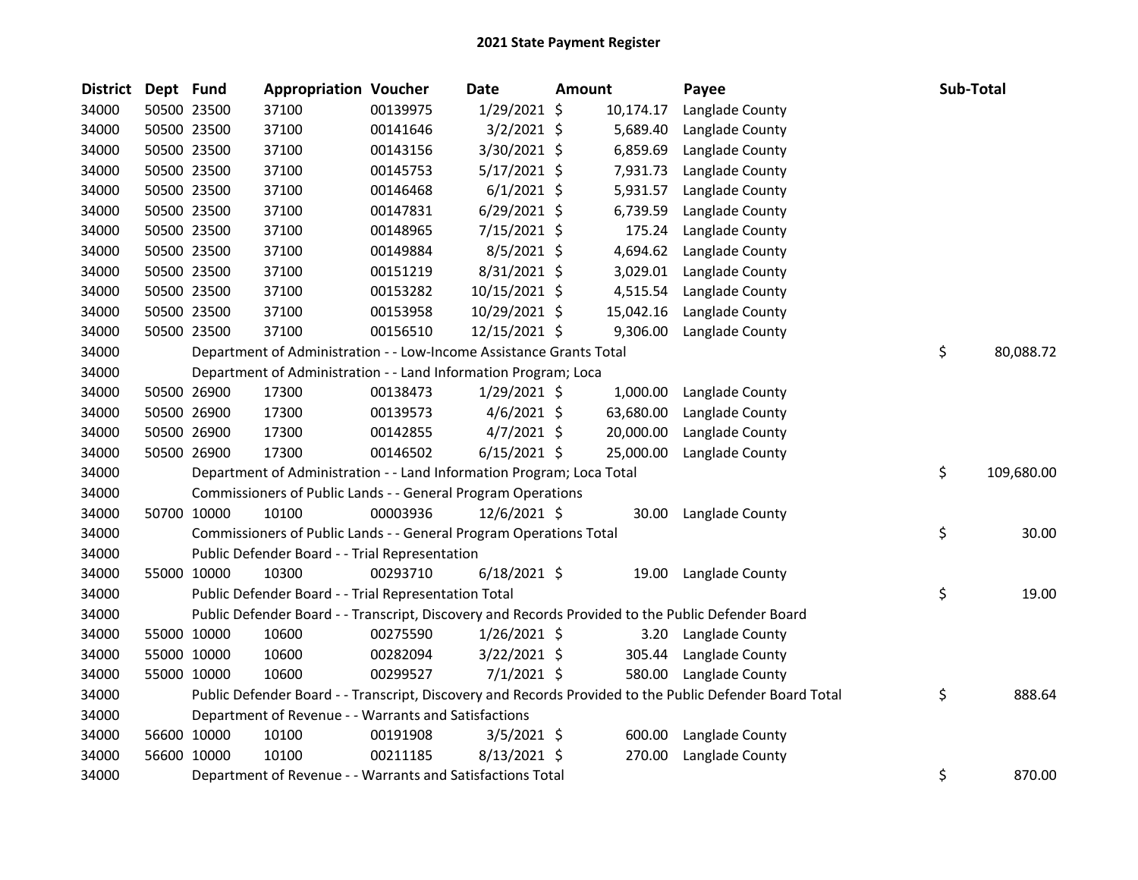| <b>District</b> | Dept Fund |             | <b>Appropriation Voucher</b>                                          |          | <b>Date</b>    | Amount |           | Payee                                                                                                   | Sub-Total |            |
|-----------------|-----------|-------------|-----------------------------------------------------------------------|----------|----------------|--------|-----------|---------------------------------------------------------------------------------------------------------|-----------|------------|
| 34000           |           | 50500 23500 | 37100                                                                 | 00139975 | 1/29/2021 \$   |        | 10,174.17 | Langlade County                                                                                         |           |            |
| 34000           |           | 50500 23500 | 37100                                                                 | 00141646 | $3/2/2021$ \$  |        | 5,689.40  | Langlade County                                                                                         |           |            |
| 34000           |           | 50500 23500 | 37100                                                                 | 00143156 | 3/30/2021 \$   |        | 6,859.69  | Langlade County                                                                                         |           |            |
| 34000           |           | 50500 23500 | 37100                                                                 | 00145753 | $5/17/2021$ \$ |        | 7,931.73  | Langlade County                                                                                         |           |            |
| 34000           |           | 50500 23500 | 37100                                                                 | 00146468 | $6/1/2021$ \$  |        | 5,931.57  | Langlade County                                                                                         |           |            |
| 34000           |           | 50500 23500 | 37100                                                                 | 00147831 | $6/29/2021$ \$ |        | 6,739.59  | Langlade County                                                                                         |           |            |
| 34000           |           | 50500 23500 | 37100                                                                 | 00148965 | $7/15/2021$ \$ |        | 175.24    | Langlade County                                                                                         |           |            |
| 34000           |           | 50500 23500 | 37100                                                                 | 00149884 | 8/5/2021 \$    |        | 4,694.62  | Langlade County                                                                                         |           |            |
| 34000           |           | 50500 23500 | 37100                                                                 | 00151219 | 8/31/2021 \$   |        | 3,029.01  | Langlade County                                                                                         |           |            |
| 34000           |           | 50500 23500 | 37100                                                                 | 00153282 | 10/15/2021 \$  |        | 4,515.54  | Langlade County                                                                                         |           |            |
| 34000           |           | 50500 23500 | 37100                                                                 | 00153958 | 10/29/2021 \$  |        | 15,042.16 | Langlade County                                                                                         |           |            |
| 34000           |           | 50500 23500 | 37100                                                                 | 00156510 | 12/15/2021 \$  |        | 9,306.00  | Langlade County                                                                                         |           |            |
| 34000           |           |             | Department of Administration - - Low-Income Assistance Grants Total   |          |                |        |           |                                                                                                         | \$        | 80,088.72  |
| 34000           |           |             | Department of Administration - - Land Information Program; Loca       |          |                |        |           |                                                                                                         |           |            |
| 34000           |           | 50500 26900 | 17300                                                                 | 00138473 | $1/29/2021$ \$ |        | 1,000.00  | Langlade County                                                                                         |           |            |
| 34000           |           | 50500 26900 | 17300                                                                 | 00139573 | $4/6/2021$ \$  |        | 63,680.00 | Langlade County                                                                                         |           |            |
| 34000           |           | 50500 26900 | 17300                                                                 | 00142855 | $4/7/2021$ \$  |        | 20,000.00 | Langlade County                                                                                         |           |            |
| 34000           |           | 50500 26900 | 17300                                                                 | 00146502 | $6/15/2021$ \$ |        | 25,000.00 | Langlade County                                                                                         |           |            |
| 34000           |           |             | Department of Administration - - Land Information Program; Loca Total |          |                |        |           |                                                                                                         | \$        | 109,680.00 |
| 34000           |           |             | Commissioners of Public Lands - - General Program Operations          |          |                |        |           |                                                                                                         |           |            |
| 34000           |           | 50700 10000 | 10100                                                                 | 00003936 | 12/6/2021 \$   |        | 30.00     | Langlade County                                                                                         |           |            |
| 34000           |           |             | Commissioners of Public Lands - - General Program Operations Total    |          |                |        |           |                                                                                                         | \$        | 30.00      |
| 34000           |           |             | Public Defender Board - - Trial Representation                        |          |                |        |           |                                                                                                         |           |            |
| 34000           |           | 55000 10000 | 10300                                                                 | 00293710 | $6/18/2021$ \$ |        | 19.00     | Langlade County                                                                                         |           |            |
| 34000           |           |             | Public Defender Board - - Trial Representation Total                  |          |                |        |           |                                                                                                         | \$        | 19.00      |
| 34000           |           |             |                                                                       |          |                |        |           | Public Defender Board - - Transcript, Discovery and Records Provided to the Public Defender Board       |           |            |
| 34000           |           | 55000 10000 | 10600                                                                 | 00275590 | $1/26/2021$ \$ |        | 3.20      | Langlade County                                                                                         |           |            |
| 34000           |           | 55000 10000 | 10600                                                                 | 00282094 | 3/22/2021 \$   |        | 305.44    | Langlade County                                                                                         |           |            |
| 34000           |           | 55000 10000 | 10600                                                                 | 00299527 | $7/1/2021$ \$  |        | 580.00    | Langlade County                                                                                         |           |            |
| 34000           |           |             |                                                                       |          |                |        |           | Public Defender Board - - Transcript, Discovery and Records Provided to the Public Defender Board Total | \$        | 888.64     |
| 34000           |           |             | Department of Revenue - - Warrants and Satisfactions                  |          |                |        |           |                                                                                                         |           |            |
| 34000           |           | 56600 10000 | 10100                                                                 | 00191908 | $3/5/2021$ \$  |        | 600.00    | Langlade County                                                                                         |           |            |
| 34000           |           | 56600 10000 | 10100                                                                 | 00211185 | $8/13/2021$ \$ |        | 270.00    | Langlade County                                                                                         |           |            |
| 34000           |           |             | Department of Revenue - - Warrants and Satisfactions Total            |          |                |        |           |                                                                                                         | \$        | 870.00     |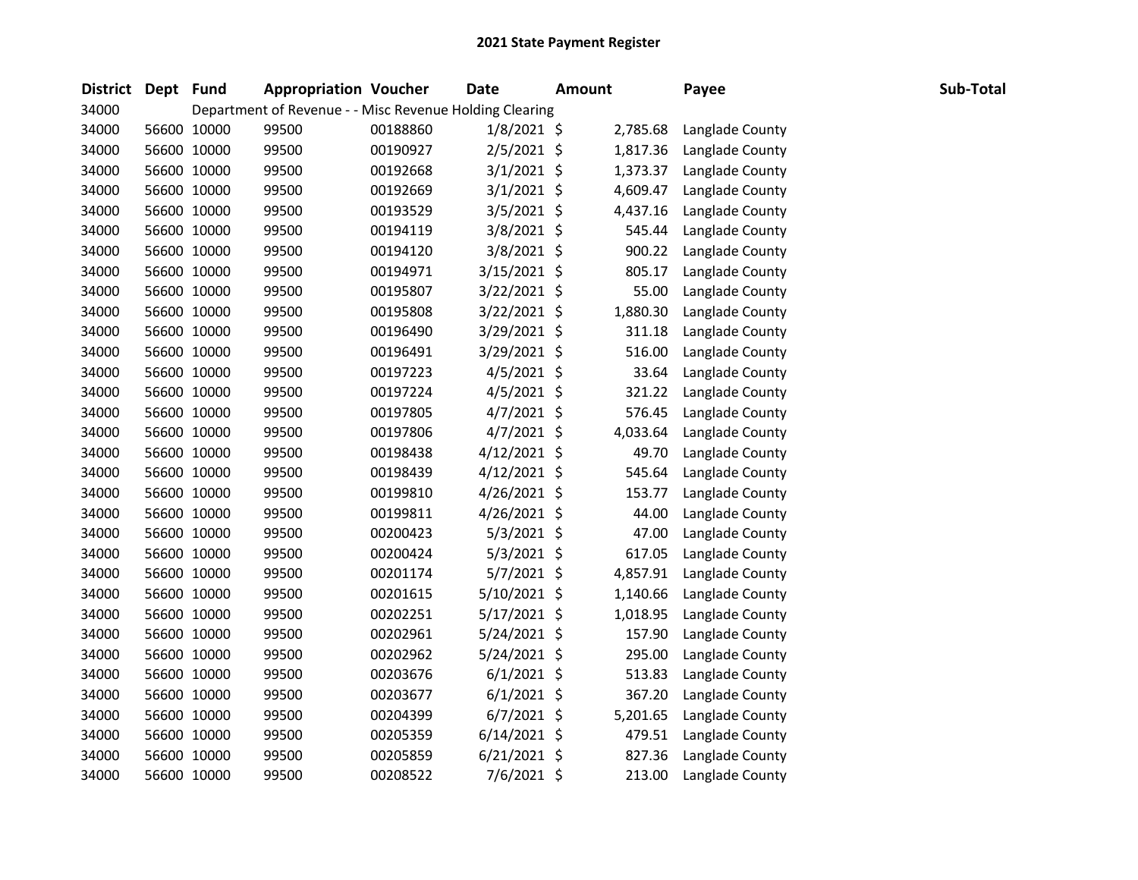| <b>District</b> | Dept Fund |             |       | <b>Appropriation Voucher</b>                            | <b>Date</b>    | <b>Amount</b> | Payee           | Sub-Total |
|-----------------|-----------|-------------|-------|---------------------------------------------------------|----------------|---------------|-----------------|-----------|
| 34000           |           |             |       | Department of Revenue - - Misc Revenue Holding Clearing |                |               |                 |           |
| 34000           |           | 56600 10000 | 99500 | 00188860                                                | $1/8/2021$ \$  | 2,785.68      | Langlade County |           |
| 34000           |           | 56600 10000 | 99500 | 00190927                                                | 2/5/2021 \$    | 1,817.36      | Langlade County |           |
| 34000           |           | 56600 10000 | 99500 | 00192668                                                | $3/1/2021$ \$  | 1,373.37      | Langlade County |           |
| 34000           |           | 56600 10000 | 99500 | 00192669                                                | $3/1/2021$ \$  | 4,609.47      | Langlade County |           |
| 34000           |           | 56600 10000 | 99500 | 00193529                                                | 3/5/2021 \$    | 4,437.16      | Langlade County |           |
| 34000           |           | 56600 10000 | 99500 | 00194119                                                | 3/8/2021 \$    | 545.44        | Langlade County |           |
| 34000           |           | 56600 10000 | 99500 | 00194120                                                | 3/8/2021 \$    | 900.22        | Langlade County |           |
| 34000           |           | 56600 10000 | 99500 | 00194971                                                | 3/15/2021 \$   | 805.17        | Langlade County |           |
| 34000           |           | 56600 10000 | 99500 | 00195807                                                | 3/22/2021 \$   | 55.00         | Langlade County |           |
| 34000           |           | 56600 10000 | 99500 | 00195808                                                | 3/22/2021 \$   | 1,880.30      | Langlade County |           |
| 34000           |           | 56600 10000 | 99500 | 00196490                                                | 3/29/2021 \$   | 311.18        | Langlade County |           |
| 34000           |           | 56600 10000 | 99500 | 00196491                                                | 3/29/2021 \$   | 516.00        | Langlade County |           |
| 34000           |           | 56600 10000 | 99500 | 00197223                                                | 4/5/2021 \$    | 33.64         | Langlade County |           |
| 34000           |           | 56600 10000 | 99500 | 00197224                                                | $4/5/2021$ \$  | 321.22        | Langlade County |           |
| 34000           |           | 56600 10000 | 99500 | 00197805                                                | $4/7/2021$ \$  | 576.45        | Langlade County |           |
| 34000           |           | 56600 10000 | 99500 | 00197806                                                | $4/7/2021$ \$  | 4,033.64      | Langlade County |           |
| 34000           |           | 56600 10000 | 99500 | 00198438                                                | $4/12/2021$ \$ | 49.70         | Langlade County |           |
| 34000           |           | 56600 10000 | 99500 | 00198439                                                | $4/12/2021$ \$ | 545.64        | Langlade County |           |
| 34000           |           | 56600 10000 | 99500 | 00199810                                                | 4/26/2021 \$   | 153.77        | Langlade County |           |
| 34000           |           | 56600 10000 | 99500 | 00199811                                                | $4/26/2021$ \$ | 44.00         | Langlade County |           |
| 34000           |           | 56600 10000 | 99500 | 00200423                                                | 5/3/2021 \$    | 47.00         | Langlade County |           |
| 34000           |           | 56600 10000 | 99500 | 00200424                                                | $5/3/2021$ \$  | 617.05        | Langlade County |           |
| 34000           |           | 56600 10000 | 99500 | 00201174                                                | 5/7/2021 \$    | 4,857.91      | Langlade County |           |
| 34000           |           | 56600 10000 | 99500 | 00201615                                                | 5/10/2021 \$   | 1,140.66      | Langlade County |           |
| 34000           |           | 56600 10000 | 99500 | 00202251                                                | 5/17/2021 \$   | 1,018.95      | Langlade County |           |
| 34000           |           | 56600 10000 | 99500 | 00202961                                                | 5/24/2021 \$   | 157.90        | Langlade County |           |
| 34000           |           | 56600 10000 | 99500 | 00202962                                                | 5/24/2021 \$   | 295.00        | Langlade County |           |
| 34000           |           | 56600 10000 | 99500 | 00203676                                                | $6/1/2021$ \$  | 513.83        | Langlade County |           |
| 34000           |           | 56600 10000 | 99500 | 00203677                                                | $6/1/2021$ \$  | 367.20        | Langlade County |           |
| 34000           |           | 56600 10000 | 99500 | 00204399                                                | $6/7/2021$ \$  | 5,201.65      | Langlade County |           |
| 34000           |           | 56600 10000 | 99500 | 00205359                                                | $6/14/2021$ \$ | 479.51        | Langlade County |           |
| 34000           |           | 56600 10000 | 99500 | 00205859                                                | $6/21/2021$ \$ | 827.36        | Langlade County |           |
| 34000           |           | 56600 10000 | 99500 | 00208522                                                | 7/6/2021 \$    | 213.00        | Langlade County |           |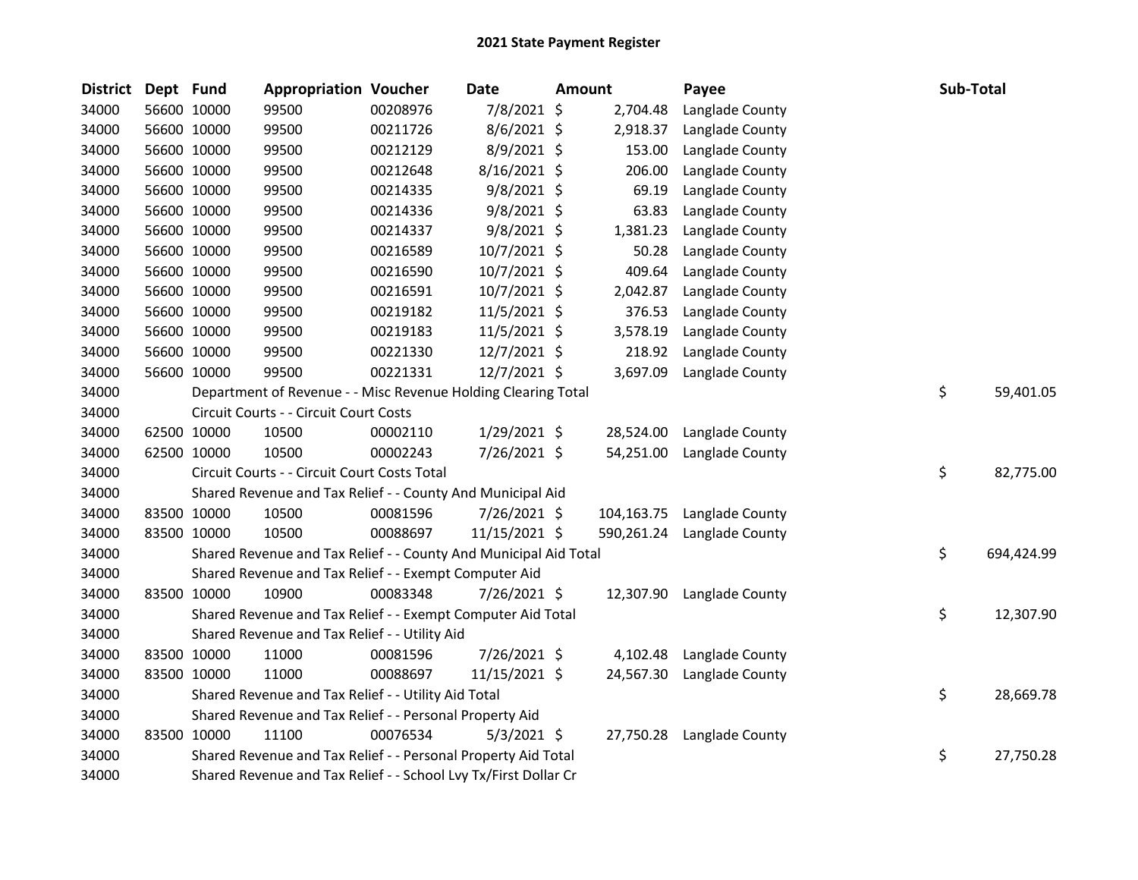| <b>District</b> | Dept Fund |             | <b>Appropriation Voucher</b>                                     |          | <b>Date</b>    | <b>Amount</b> |            | Payee           | Sub-Total |            |
|-----------------|-----------|-------------|------------------------------------------------------------------|----------|----------------|---------------|------------|-----------------|-----------|------------|
| 34000           |           | 56600 10000 | 99500                                                            | 00208976 | 7/8/2021 \$    |               | 2,704.48   | Langlade County |           |            |
| 34000           |           | 56600 10000 | 99500                                                            | 00211726 | 8/6/2021 \$    |               | 2,918.37   | Langlade County |           |            |
| 34000           |           | 56600 10000 | 99500                                                            | 00212129 | 8/9/2021 \$    |               | 153.00     | Langlade County |           |            |
| 34000           |           | 56600 10000 | 99500                                                            | 00212648 | $8/16/2021$ \$ |               | 206.00     | Langlade County |           |            |
| 34000           |           | 56600 10000 | 99500                                                            | 00214335 | $9/8/2021$ \$  |               | 69.19      | Langlade County |           |            |
| 34000           |           | 56600 10000 | 99500                                                            | 00214336 | $9/8/2021$ \$  |               | 63.83      | Langlade County |           |            |
| 34000           |           | 56600 10000 | 99500                                                            | 00214337 | $9/8/2021$ \$  |               | 1,381.23   | Langlade County |           |            |
| 34000           |           | 56600 10000 | 99500                                                            | 00216589 | 10/7/2021 \$   |               | 50.28      | Langlade County |           |            |
| 34000           |           | 56600 10000 | 99500                                                            | 00216590 | 10/7/2021 \$   |               | 409.64     | Langlade County |           |            |
| 34000           |           | 56600 10000 | 99500                                                            | 00216591 | 10/7/2021 \$   |               | 2,042.87   | Langlade County |           |            |
| 34000           |           | 56600 10000 | 99500                                                            | 00219182 | 11/5/2021 \$   |               | 376.53     | Langlade County |           |            |
| 34000           |           | 56600 10000 | 99500                                                            | 00219183 | $11/5/2021$ \$ |               | 3,578.19   | Langlade County |           |            |
| 34000           |           | 56600 10000 | 99500                                                            | 00221330 | 12/7/2021 \$   |               | 218.92     | Langlade County |           |            |
| 34000           |           | 56600 10000 | 99500                                                            | 00221331 | 12/7/2021 \$   |               | 3,697.09   | Langlade County |           |            |
| 34000           |           |             | Department of Revenue - - Misc Revenue Holding Clearing Total    |          |                |               |            |                 | \$        | 59,401.05  |
| 34000           |           |             | Circuit Courts - - Circuit Court Costs                           |          |                |               |            |                 |           |            |
| 34000           |           | 62500 10000 | 10500                                                            | 00002110 | $1/29/2021$ \$ |               | 28,524.00  | Langlade County |           |            |
| 34000           |           | 62500 10000 | 10500                                                            | 00002243 | 7/26/2021 \$   |               | 54,251.00  | Langlade County |           |            |
| 34000           |           |             | Circuit Courts - - Circuit Court Costs Total                     |          |                |               |            |                 | \$        | 82,775.00  |
| 34000           |           |             | Shared Revenue and Tax Relief - - County And Municipal Aid       |          |                |               |            |                 |           |            |
| 34000           |           | 83500 10000 | 10500                                                            | 00081596 | 7/26/2021 \$   |               | 104,163.75 | Langlade County |           |            |
| 34000           |           | 83500 10000 | 10500                                                            | 00088697 | 11/15/2021 \$  |               | 590,261.24 | Langlade County |           |            |
| 34000           |           |             | Shared Revenue and Tax Relief - - County And Municipal Aid Total |          |                |               |            |                 | \$        | 694,424.99 |
| 34000           |           |             | Shared Revenue and Tax Relief - - Exempt Computer Aid            |          |                |               |            |                 |           |            |
| 34000           |           | 83500 10000 | 10900                                                            | 00083348 | 7/26/2021 \$   |               | 12,307.90  | Langlade County |           |            |
| 34000           |           |             | Shared Revenue and Tax Relief - - Exempt Computer Aid Total      |          |                |               |            |                 | \$        | 12,307.90  |
| 34000           |           |             | Shared Revenue and Tax Relief - - Utility Aid                    |          |                |               |            |                 |           |            |
| 34000           |           | 83500 10000 | 11000                                                            | 00081596 | 7/26/2021 \$   |               | 4,102.48   | Langlade County |           |            |
| 34000           |           | 83500 10000 | 11000                                                            | 00088697 | 11/15/2021 \$  |               | 24,567.30  | Langlade County |           |            |
| 34000           |           |             | Shared Revenue and Tax Relief - - Utility Aid Total              |          |                |               |            |                 | \$        | 28,669.78  |
| 34000           |           |             | Shared Revenue and Tax Relief - - Personal Property Aid          |          |                |               |            |                 |           |            |
| 34000           |           | 83500 10000 | 11100                                                            | 00076534 | $5/3/2021$ \$  |               | 27,750.28  | Langlade County |           |            |
| 34000           |           |             | Shared Revenue and Tax Relief - - Personal Property Aid Total    |          |                |               |            |                 | \$        | 27,750.28  |
| 34000           |           |             | Shared Revenue and Tax Relief - - School Lvy Tx/First Dollar Cr  |          |                |               |            |                 |           |            |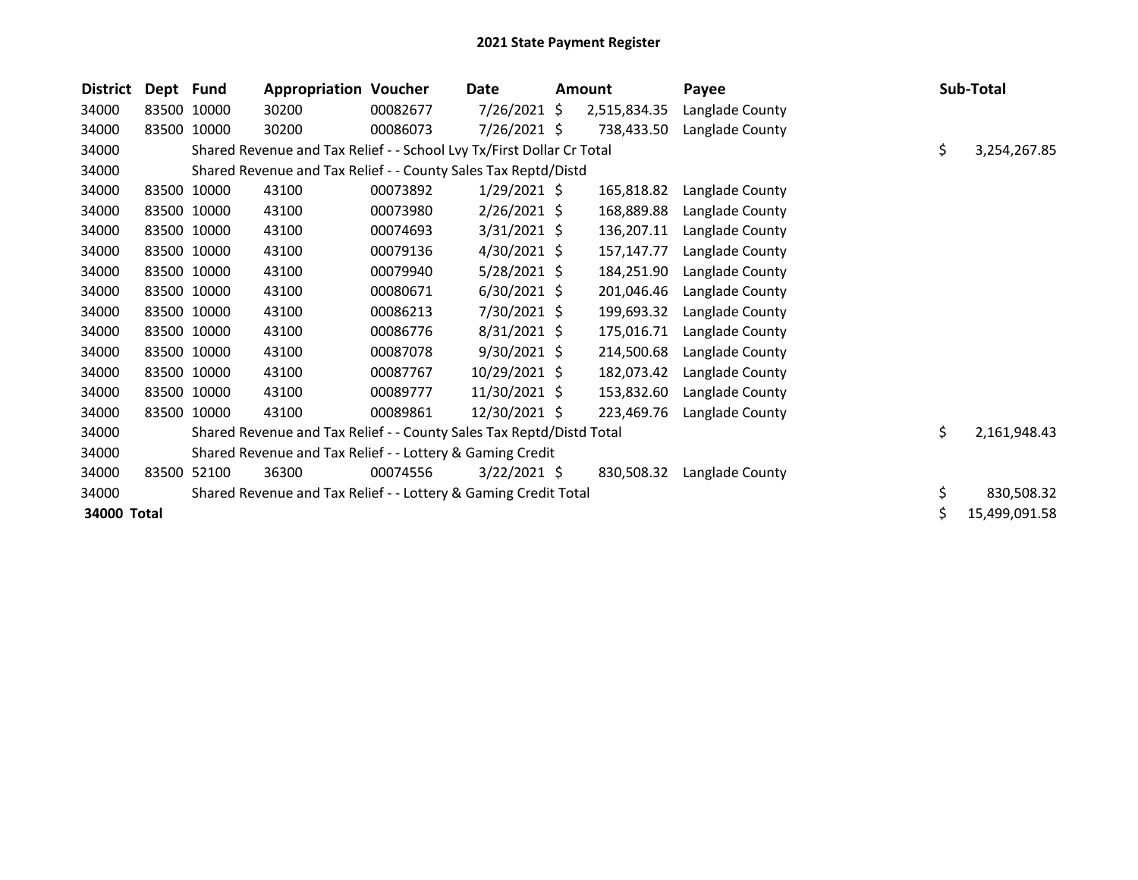| <b>District</b> | Dept Fund   |             | <b>Appropriation Voucher</b>                                          |          | Date           | <b>Amount</b> | Payee           |    | Sub-Total     |
|-----------------|-------------|-------------|-----------------------------------------------------------------------|----------|----------------|---------------|-----------------|----|---------------|
| 34000           | 83500 10000 |             | 30200                                                                 | 00082677 | $7/26/2021$ \$ | 2,515,834.35  | Langlade County |    |               |
| 34000           | 83500 10000 |             | 30200                                                                 | 00086073 | $7/26/2021$ \$ | 738,433.50    | Langlade County |    |               |
| 34000           |             |             | Shared Revenue and Tax Relief - - School Lvy Tx/First Dollar Cr Total |          |                |               |                 | \$ | 3,254,267.85  |
| 34000           |             |             | Shared Revenue and Tax Relief - - County Sales Tax Reptd/Distd        |          |                |               |                 |    |               |
| 34000           | 83500 10000 |             | 43100                                                                 | 00073892 | $1/29/2021$ \$ | 165,818.82    | Langlade County |    |               |
| 34000           |             | 83500 10000 | 43100                                                                 | 00073980 | $2/26/2021$ \$ | 168,889.88    | Langlade County |    |               |
| 34000           |             | 83500 10000 | 43100                                                                 | 00074693 | $3/31/2021$ \$ | 136,207.11    | Langlade County |    |               |
| 34000           | 83500 10000 |             | 43100                                                                 | 00079136 | $4/30/2021$ \$ | 157,147.77    | Langlade County |    |               |
| 34000           |             | 83500 10000 | 43100                                                                 | 00079940 | $5/28/2021$ \$ | 184,251.90    | Langlade County |    |               |
| 34000           |             | 83500 10000 | 43100                                                                 | 00080671 | $6/30/2021$ \$ | 201,046.46    | Langlade County |    |               |
| 34000           | 83500 10000 |             | 43100                                                                 | 00086213 | 7/30/2021 \$   | 199,693.32    | Langlade County |    |               |
| 34000           |             | 83500 10000 | 43100                                                                 | 00086776 | 8/31/2021 \$   | 175,016.71    | Langlade County |    |               |
| 34000           |             | 83500 10000 | 43100                                                                 | 00087078 | $9/30/2021$ \$ | 214,500.68    | Langlade County |    |               |
| 34000           | 83500 10000 |             | 43100                                                                 | 00087767 | 10/29/2021 \$  | 182,073.42    | Langlade County |    |               |
| 34000           |             | 83500 10000 | 43100                                                                 | 00089777 | 11/30/2021 \$  | 153,832.60    | Langlade County |    |               |
| 34000           |             | 83500 10000 | 43100                                                                 | 00089861 | 12/30/2021 \$  | 223,469.76    | Langlade County |    |               |
| 34000           |             |             | Shared Revenue and Tax Relief - - County Sales Tax Reptd/Distd Total  |          |                |               |                 | \$ | 2,161,948.43  |
| 34000           |             |             | Shared Revenue and Tax Relief - - Lottery & Gaming Credit             |          |                |               |                 |    |               |
| 34000           | 83500       | 52100       | 36300                                                                 | 00074556 | $3/22/2021$ \$ | 830,508.32    | Langlade County |    |               |
| 34000           |             |             | Shared Revenue and Tax Relief - - Lottery & Gaming Credit Total       |          |                |               |                 | \$ | 830,508.32    |
| 34000 Total     |             |             |                                                                       |          |                |               |                 | Ś  | 15,499,091.58 |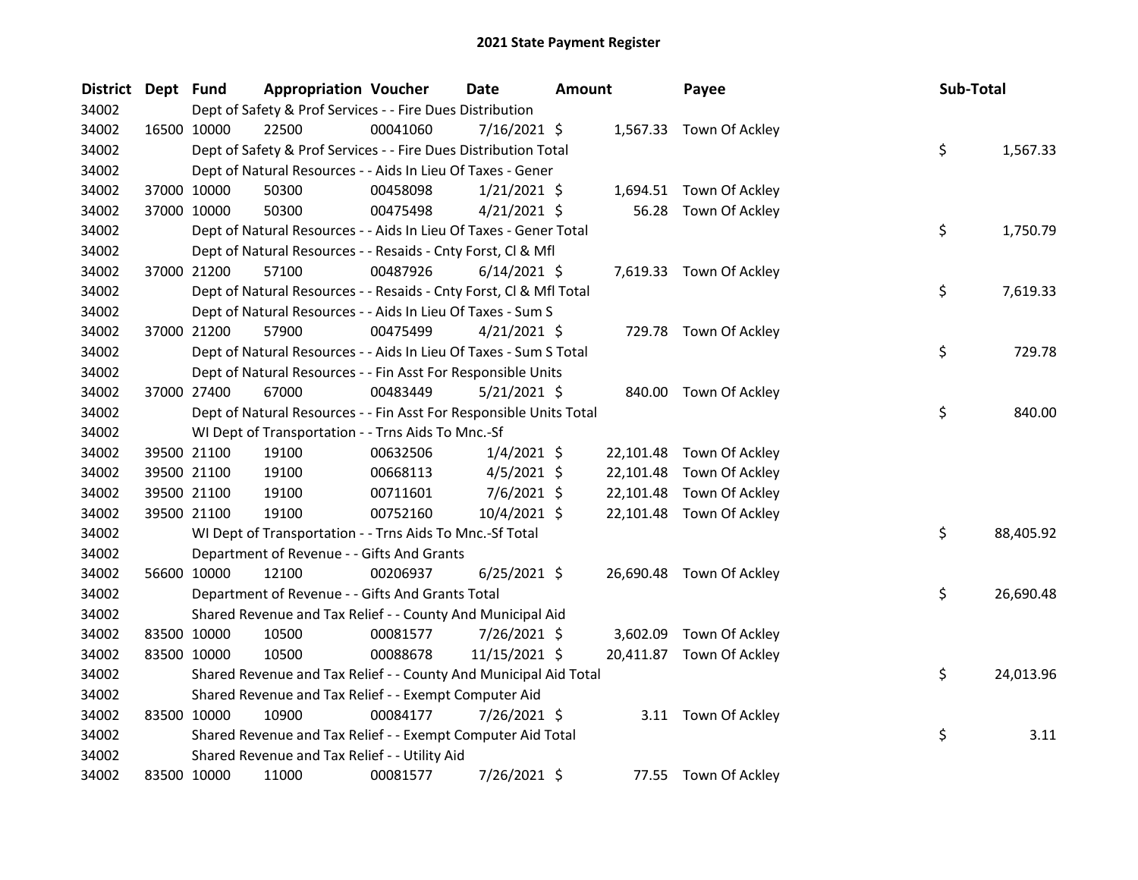| District Dept Fund |             | <b>Appropriation Voucher</b>                                       |          | <b>Date</b>    | Amount |           | Payee                    | Sub-Total |           |
|--------------------|-------------|--------------------------------------------------------------------|----------|----------------|--------|-----------|--------------------------|-----------|-----------|
| 34002              |             | Dept of Safety & Prof Services - - Fire Dues Distribution          |          |                |        |           |                          |           |           |
| 34002              | 16500 10000 | 22500                                                              | 00041060 | $7/16/2021$ \$ |        |           | 1,567.33 Town Of Ackley  |           |           |
| 34002              |             | Dept of Safety & Prof Services - - Fire Dues Distribution Total    |          |                |        |           |                          | \$        | 1,567.33  |
| 34002              |             | Dept of Natural Resources - - Aids In Lieu Of Taxes - Gener        |          |                |        |           |                          |           |           |
| 34002              | 37000 10000 | 50300                                                              | 00458098 | $1/21/2021$ \$ |        |           | 1,694.51 Town Of Ackley  |           |           |
| 34002              | 37000 10000 | 50300                                                              | 00475498 | $4/21/2021$ \$ |        | 56.28     | Town Of Ackley           |           |           |
| 34002              |             | Dept of Natural Resources - - Aids In Lieu Of Taxes - Gener Total  |          |                |        |           |                          | \$        | 1,750.79  |
| 34002              |             | Dept of Natural Resources - - Resaids - Cnty Forst, Cl & Mfl       |          |                |        |           |                          |           |           |
| 34002              | 37000 21200 | 57100                                                              | 00487926 | $6/14/2021$ \$ |        |           | 7,619.33 Town Of Ackley  |           |           |
| 34002              |             | Dept of Natural Resources - - Resaids - Cnty Forst, Cl & Mfl Total |          |                |        |           |                          | \$        | 7,619.33  |
| 34002              |             | Dept of Natural Resources - - Aids In Lieu Of Taxes - Sum S        |          |                |        |           |                          |           |           |
| 34002              | 37000 21200 | 57900                                                              | 00475499 | $4/21/2021$ \$ |        |           | 729.78 Town Of Ackley    |           |           |
| 34002              |             | Dept of Natural Resources - - Aids In Lieu Of Taxes - Sum S Total  |          |                |        |           |                          | \$        | 729.78    |
| 34002              |             | Dept of Natural Resources - - Fin Asst For Responsible Units       |          |                |        |           |                          |           |           |
| 34002              | 37000 27400 | 67000                                                              | 00483449 | $5/21/2021$ \$ |        |           | 840.00 Town Of Ackley    |           |           |
| 34002              |             | Dept of Natural Resources - - Fin Asst For Responsible Units Total |          |                |        |           |                          | \$        | 840.00    |
| 34002              |             | WI Dept of Transportation - - Trns Aids To Mnc.-Sf                 |          |                |        |           |                          |           |           |
| 34002              | 39500 21100 | 19100                                                              | 00632506 | $1/4/2021$ \$  |        |           | 22,101.48 Town Of Ackley |           |           |
| 34002              | 39500 21100 | 19100                                                              | 00668113 | $4/5/2021$ \$  |        | 22,101.48 | Town Of Ackley           |           |           |
| 34002              | 39500 21100 | 19100                                                              | 00711601 | $7/6/2021$ \$  |        | 22,101.48 | Town Of Ackley           |           |           |
| 34002              | 39500 21100 | 19100                                                              | 00752160 | 10/4/2021 \$   |        |           | 22,101.48 Town Of Ackley |           |           |
| 34002              |             | WI Dept of Transportation - - Trns Aids To Mnc.-Sf Total           |          |                |        |           |                          | \$        | 88,405.92 |
| 34002              |             | Department of Revenue - - Gifts And Grants                         |          |                |        |           |                          |           |           |
| 34002              | 56600 10000 | 12100                                                              | 00206937 | $6/25/2021$ \$ |        |           | 26,690.48 Town Of Ackley |           |           |
| 34002              |             | Department of Revenue - - Gifts And Grants Total                   |          |                |        |           |                          | \$        | 26,690.48 |
| 34002              |             | Shared Revenue and Tax Relief - - County And Municipal Aid         |          |                |        |           |                          |           |           |
| 34002              | 83500 10000 | 10500                                                              | 00081577 | 7/26/2021 \$   |        | 3,602.09  | Town Of Ackley           |           |           |
| 34002              | 83500 10000 | 10500                                                              | 00088678 | 11/15/2021 \$  |        |           | 20,411.87 Town Of Ackley |           |           |
| 34002              |             | Shared Revenue and Tax Relief - - County And Municipal Aid Total   |          |                |        |           |                          | \$        | 24,013.96 |
| 34002              |             | Shared Revenue and Tax Relief - - Exempt Computer Aid              |          |                |        |           |                          |           |           |
| 34002              | 83500 10000 | 10900                                                              | 00084177 | 7/26/2021 \$   |        |           | 3.11 Town Of Ackley      |           |           |
| 34002              |             | Shared Revenue and Tax Relief - - Exempt Computer Aid Total        |          |                |        |           |                          | \$        | 3.11      |
| 34002              |             | Shared Revenue and Tax Relief - - Utility Aid                      |          |                |        |           |                          |           |           |
| 34002              | 83500 10000 | 11000                                                              | 00081577 | 7/26/2021 \$   |        |           | 77.55 Town Of Ackley     |           |           |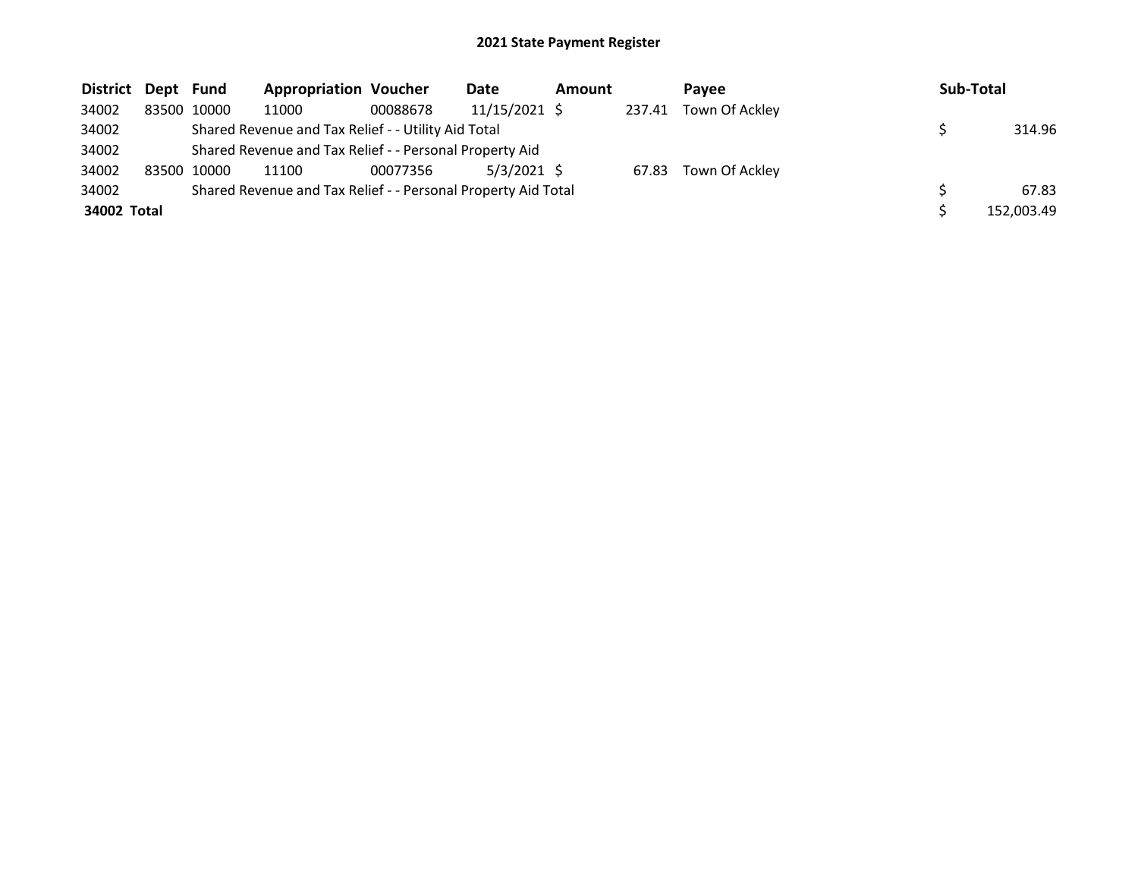| District Dept Fund |             | <b>Appropriation Voucher</b>                                  |          | Date          | <b>Amount</b> |        | <b>Pavee</b>   | Sub-Total  |
|--------------------|-------------|---------------------------------------------------------------|----------|---------------|---------------|--------|----------------|------------|
| 34002              | 83500 10000 | 11000                                                         | 00088678 | 11/15/2021 \$ |               | 237.41 | Town Of Ackley |            |
| 34002              |             | Shared Revenue and Tax Relief - - Utility Aid Total           |          |               |               |        |                | 314.96     |
| 34002              |             | Shared Revenue and Tax Relief - - Personal Property Aid       |          |               |               |        |                |            |
| 34002              | 83500 10000 | 11100                                                         | 00077356 | $5/3/2021$ \$ |               | 67.83  | Town Of Ackley |            |
| 34002              |             | Shared Revenue and Tax Relief - - Personal Property Aid Total |          |               |               |        |                | 67.83      |
| 34002 Total        |             |                                                               |          |               |               |        |                | 152,003.49 |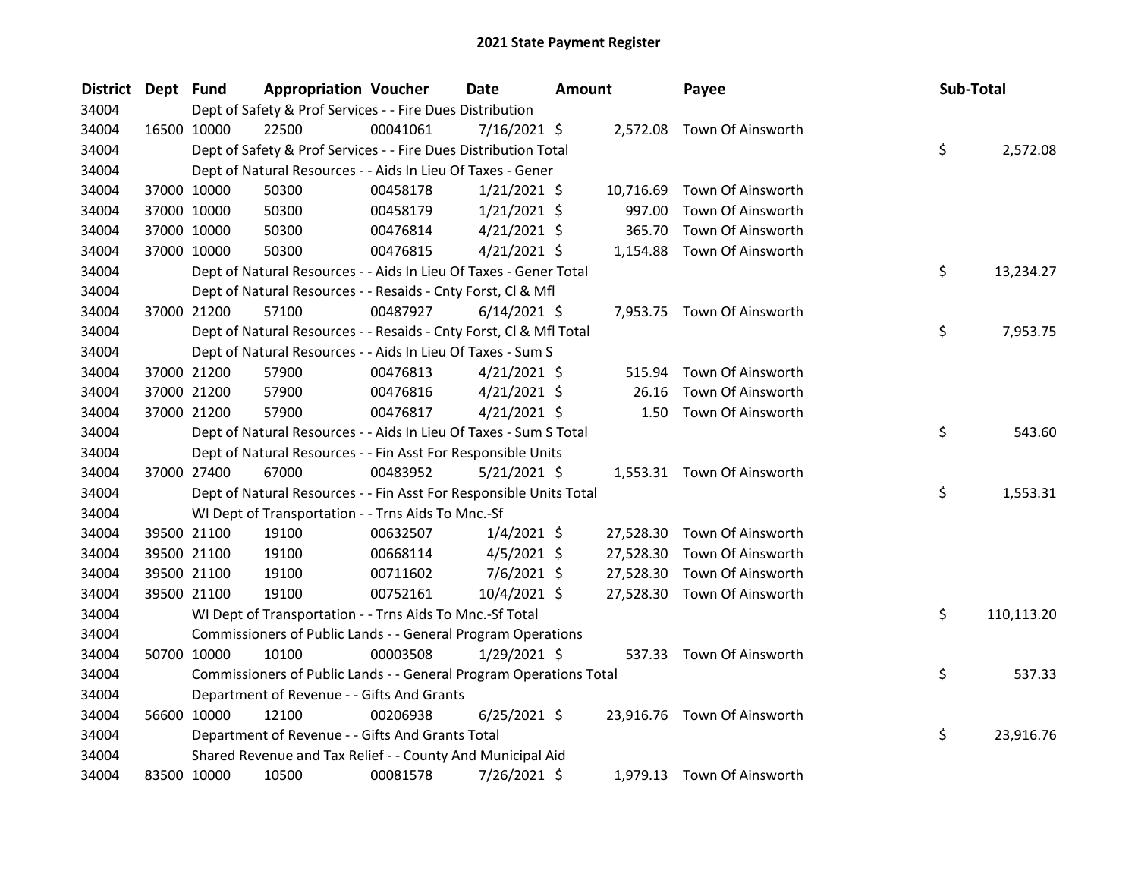| District Dept Fund |             | <b>Appropriation Voucher</b>                                       |          | Date           | Amount |           | Payee                       | Sub-Total |            |
|--------------------|-------------|--------------------------------------------------------------------|----------|----------------|--------|-----------|-----------------------------|-----------|------------|
| 34004              |             | Dept of Safety & Prof Services - - Fire Dues Distribution          |          |                |        |           |                             |           |            |
| 34004              | 16500 10000 | 22500                                                              | 00041061 | $7/16/2021$ \$ |        |           | 2,572.08 Town Of Ainsworth  |           |            |
| 34004              |             | Dept of Safety & Prof Services - - Fire Dues Distribution Total    |          |                |        |           |                             | \$        | 2,572.08   |
| 34004              |             | Dept of Natural Resources - - Aids In Lieu Of Taxes - Gener        |          |                |        |           |                             |           |            |
| 34004              | 37000 10000 | 50300                                                              | 00458178 | $1/21/2021$ \$ |        | 10,716.69 | Town Of Ainsworth           |           |            |
| 34004              | 37000 10000 | 50300                                                              | 00458179 | $1/21/2021$ \$ |        | 997.00    | Town Of Ainsworth           |           |            |
| 34004              | 37000 10000 | 50300                                                              | 00476814 | $4/21/2021$ \$ |        | 365.70    | Town Of Ainsworth           |           |            |
| 34004              | 37000 10000 | 50300                                                              | 00476815 | $4/21/2021$ \$ |        |           | 1,154.88 Town Of Ainsworth  |           |            |
| 34004              |             | Dept of Natural Resources - - Aids In Lieu Of Taxes - Gener Total  |          |                |        |           |                             | \$        | 13,234.27  |
| 34004              |             | Dept of Natural Resources - - Resaids - Cnty Forst, Cl & Mfl       |          |                |        |           |                             |           |            |
| 34004              | 37000 21200 | 57100                                                              | 00487927 | $6/14/2021$ \$ |        |           | 7,953.75 Town Of Ainsworth  |           |            |
| 34004              |             | Dept of Natural Resources - - Resaids - Cnty Forst, Cl & Mfl Total |          |                |        |           |                             | \$        | 7,953.75   |
| 34004              |             | Dept of Natural Resources - - Aids In Lieu Of Taxes - Sum S        |          |                |        |           |                             |           |            |
| 34004              | 37000 21200 | 57900                                                              | 00476813 | $4/21/2021$ \$ |        | 515.94    | Town Of Ainsworth           |           |            |
| 34004              | 37000 21200 | 57900                                                              | 00476816 | $4/21/2021$ \$ |        | 26.16     | Town Of Ainsworth           |           |            |
| 34004              | 37000 21200 | 57900                                                              | 00476817 | $4/21/2021$ \$ |        |           | 1.50 Town Of Ainsworth      |           |            |
| 34004              |             | Dept of Natural Resources - - Aids In Lieu Of Taxes - Sum S Total  |          |                |        |           |                             | \$        | 543.60     |
| 34004              |             | Dept of Natural Resources - - Fin Asst For Responsible Units       |          |                |        |           |                             |           |            |
| 34004              | 37000 27400 | 67000                                                              | 00483952 | $5/21/2021$ \$ |        |           | 1,553.31 Town Of Ainsworth  |           |            |
| 34004              |             | Dept of Natural Resources - - Fin Asst For Responsible Units Total |          |                |        |           |                             | \$        | 1,553.31   |
| 34004              |             | WI Dept of Transportation - - Trns Aids To Mnc.-Sf                 |          |                |        |           |                             |           |            |
| 34004              | 39500 21100 | 19100                                                              | 00632507 | $1/4/2021$ \$  |        | 27,528.30 | Town Of Ainsworth           |           |            |
| 34004              | 39500 21100 | 19100                                                              | 00668114 | $4/5/2021$ \$  |        | 27,528.30 | Town Of Ainsworth           |           |            |
| 34004              | 39500 21100 | 19100                                                              | 00711602 | 7/6/2021 \$    |        | 27,528.30 | Town Of Ainsworth           |           |            |
| 34004              | 39500 21100 | 19100                                                              | 00752161 | 10/4/2021 \$   |        |           | 27,528.30 Town Of Ainsworth |           |            |
| 34004              |             | WI Dept of Transportation - - Trns Aids To Mnc.-Sf Total           |          |                |        |           |                             | \$        | 110,113.20 |
| 34004              |             | Commissioners of Public Lands - - General Program Operations       |          |                |        |           |                             |           |            |
| 34004              | 50700 10000 | 10100                                                              | 00003508 | $1/29/2021$ \$ |        | 537.33    | Town Of Ainsworth           |           |            |
| 34004              |             | Commissioners of Public Lands - - General Program Operations Total |          |                |        |           |                             | \$        | 537.33     |
| 34004              |             | Department of Revenue - - Gifts And Grants                         |          |                |        |           |                             |           |            |
| 34004              | 56600 10000 | 12100                                                              | 00206938 | $6/25/2021$ \$ |        |           | 23,916.76 Town Of Ainsworth |           |            |
| 34004              |             | Department of Revenue - - Gifts And Grants Total                   |          |                |        |           |                             | \$        | 23,916.76  |
| 34004              |             | Shared Revenue and Tax Relief - - County And Municipal Aid         |          |                |        |           |                             |           |            |
| 34004              | 83500 10000 | 10500                                                              | 00081578 | 7/26/2021 \$   |        |           | 1,979.13 Town Of Ainsworth  |           |            |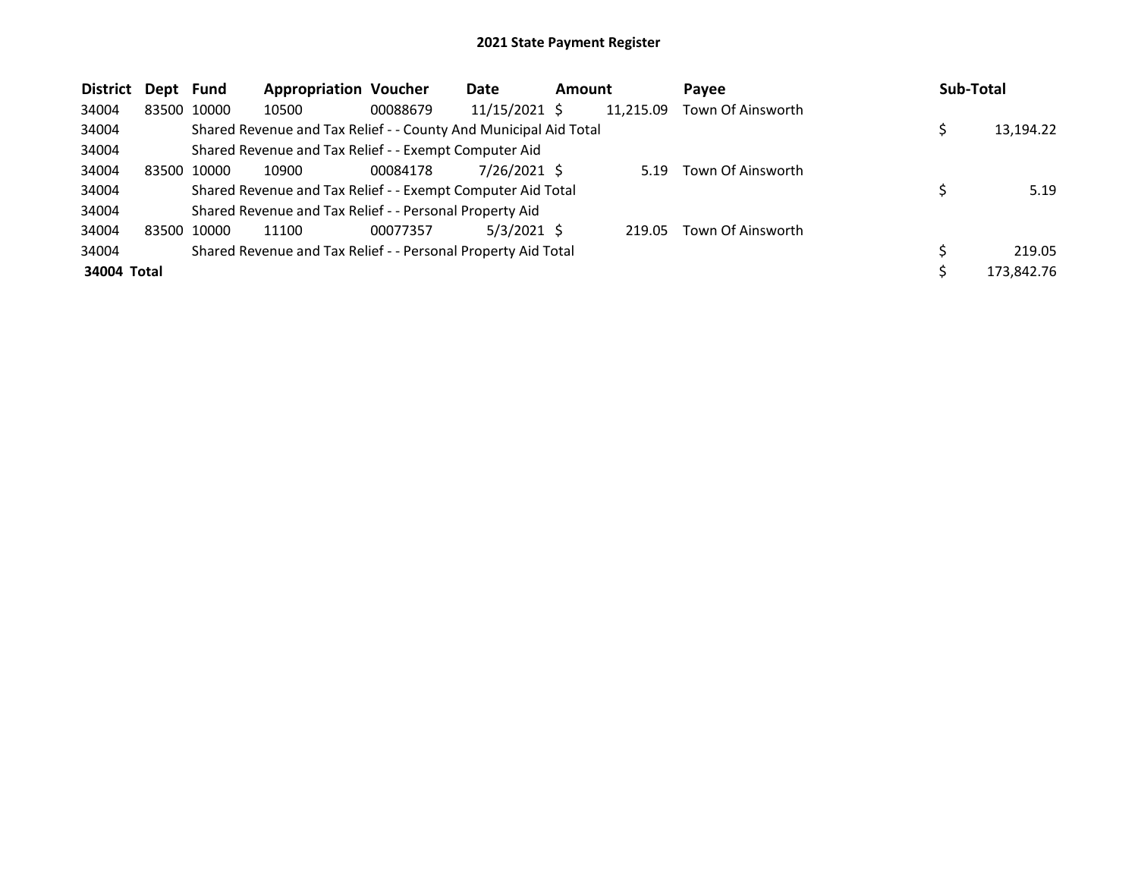| <b>District</b> | Dept Fund |             | <b>Appropriation Voucher</b>                                     |          | Date            | <b>Amount</b> |           | Payee             |    | Sub-Total  |
|-----------------|-----------|-------------|------------------------------------------------------------------|----------|-----------------|---------------|-----------|-------------------|----|------------|
| 34004           |           | 83500 10000 | 10500                                                            | 00088679 | $11/15/2021$ \$ |               | 11,215.09 | Town Of Ainsworth |    |            |
| 34004           |           |             | Shared Revenue and Tax Relief - - County And Municipal Aid Total |          |                 |               |           |                   |    | 13,194.22  |
| 34004           |           |             | Shared Revenue and Tax Relief - - Exempt Computer Aid            |          |                 |               |           |                   |    |            |
| 34004           |           | 83500 10000 | 10900                                                            | 00084178 | 7/26/2021 S     |               | 5.19      | Town Of Ainsworth |    |            |
| 34004           |           |             | Shared Revenue and Tax Relief - - Exempt Computer Aid Total      |          |                 |               |           |                   |    | 5.19       |
| 34004           |           |             | Shared Revenue and Tax Relief - - Personal Property Aid          |          |                 |               |           |                   |    |            |
| 34004           | 83500     | 10000       | 11100                                                            | 00077357 | $5/3/2021$ \$   |               | 219.05    | Town Of Ainsworth |    |            |
| 34004           |           |             | Shared Revenue and Tax Relief - - Personal Property Aid Total    |          |                 |               |           |                   | Ś. | 219.05     |
| 34004 Total     |           |             |                                                                  |          |                 |               |           |                   |    | 173.842.76 |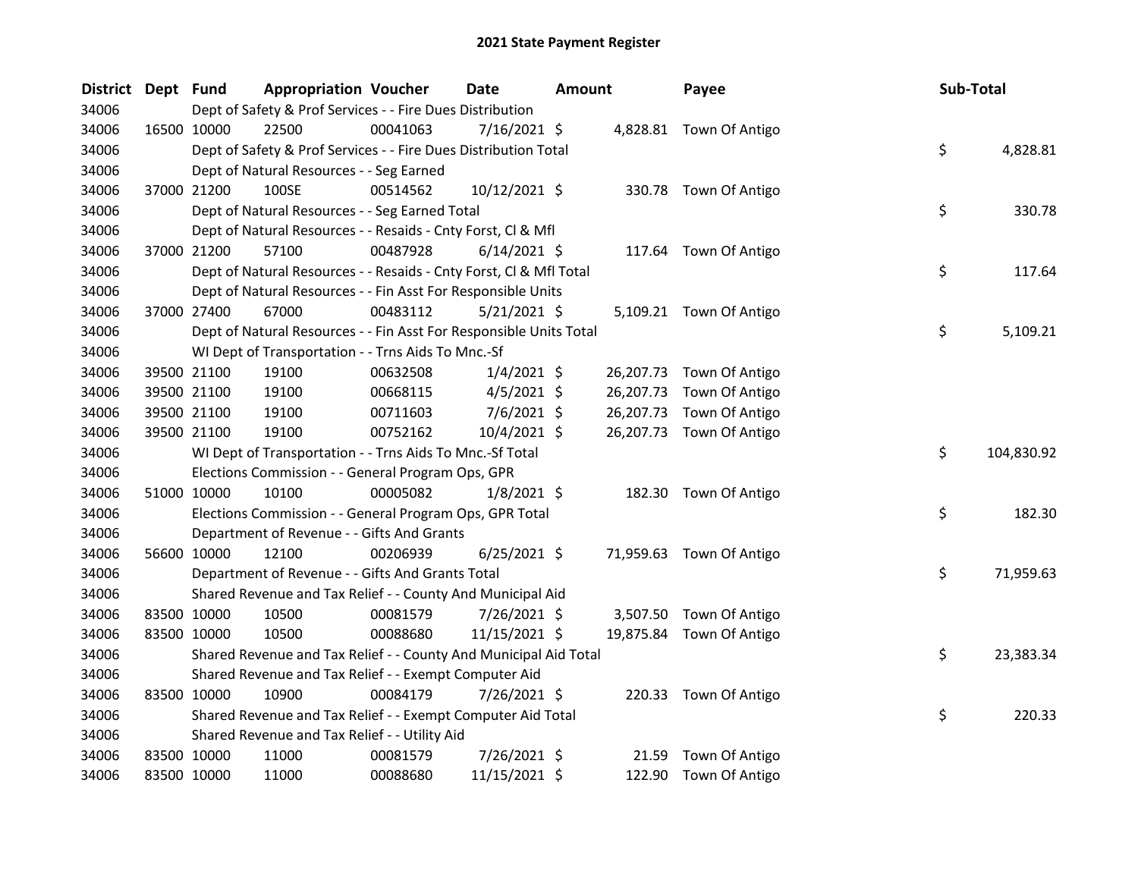| District Dept Fund |             |             | <b>Appropriation Voucher</b>                                       |          | Date           | <b>Amount</b> |           | Payee                    | Sub-Total |            |
|--------------------|-------------|-------------|--------------------------------------------------------------------|----------|----------------|---------------|-----------|--------------------------|-----------|------------|
| 34006              |             |             | Dept of Safety & Prof Services - - Fire Dues Distribution          |          |                |               |           |                          |           |            |
| 34006              |             | 16500 10000 | 22500                                                              | 00041063 | $7/16/2021$ \$ |               |           | 4,828.81 Town Of Antigo  |           |            |
| 34006              |             |             | Dept of Safety & Prof Services - - Fire Dues Distribution Total    |          |                |               |           |                          | \$        | 4,828.81   |
| 34006              |             |             | Dept of Natural Resources - - Seg Earned                           |          |                |               |           |                          |           |            |
| 34006              |             | 37000 21200 | 100SE                                                              | 00514562 | 10/12/2021 \$  |               |           | 330.78 Town Of Antigo    |           |            |
| 34006              |             |             | Dept of Natural Resources - - Seg Earned Total                     |          |                |               |           |                          | \$        | 330.78     |
| 34006              |             |             | Dept of Natural Resources - - Resaids - Cnty Forst, Cl & Mfl       |          |                |               |           |                          |           |            |
| 34006              |             | 37000 21200 | 57100                                                              | 00487928 | $6/14/2021$ \$ |               |           | 117.64 Town Of Antigo    |           |            |
| 34006              |             |             | Dept of Natural Resources - - Resaids - Cnty Forst, Cl & Mfl Total |          |                |               |           |                          | \$        | 117.64     |
| 34006              |             |             | Dept of Natural Resources - - Fin Asst For Responsible Units       |          |                |               |           |                          |           |            |
| 34006              |             | 37000 27400 | 67000                                                              | 00483112 | $5/21/2021$ \$ |               |           | 5,109.21 Town Of Antigo  |           |            |
| 34006              |             |             | Dept of Natural Resources - - Fin Asst For Responsible Units Total |          |                |               |           |                          | \$        | 5,109.21   |
| 34006              |             |             | WI Dept of Transportation - - Trns Aids To Mnc.-Sf                 |          |                |               |           |                          |           |            |
| 34006              |             | 39500 21100 | 19100                                                              | 00632508 | $1/4/2021$ \$  |               | 26,207.73 | Town Of Antigo           |           |            |
| 34006              |             | 39500 21100 | 19100                                                              | 00668115 | $4/5/2021$ \$  |               | 26,207.73 | Town Of Antigo           |           |            |
| 34006              |             | 39500 21100 | 19100                                                              | 00711603 | 7/6/2021 \$    |               | 26,207.73 | Town Of Antigo           |           |            |
| 34006              |             | 39500 21100 | 19100                                                              | 00752162 | $10/4/2021$ \$ |               |           | 26,207.73 Town Of Antigo |           |            |
| 34006              |             |             | WI Dept of Transportation - - Trns Aids To Mnc.-Sf Total           |          |                |               |           |                          | \$        | 104,830.92 |
| 34006              |             |             | Elections Commission - - General Program Ops, GPR                  |          |                |               |           |                          |           |            |
| 34006              |             | 51000 10000 | 10100                                                              | 00005082 | $1/8/2021$ \$  |               |           | 182.30 Town Of Antigo    |           |            |
| 34006              |             |             | Elections Commission - - General Program Ops, GPR Total            |          |                |               |           |                          | \$        | 182.30     |
| 34006              |             |             | Department of Revenue - - Gifts And Grants                         |          |                |               |           |                          |           |            |
| 34006              |             | 56600 10000 | 12100                                                              | 00206939 | $6/25/2021$ \$ |               |           | 71,959.63 Town Of Antigo |           |            |
| 34006              |             |             | Department of Revenue - - Gifts And Grants Total                   |          |                |               |           |                          | \$        | 71,959.63  |
| 34006              |             |             | Shared Revenue and Tax Relief - - County And Municipal Aid         |          |                |               |           |                          |           |            |
| 34006              |             | 83500 10000 | 10500                                                              | 00081579 | 7/26/2021 \$   |               |           | 3,507.50 Town Of Antigo  |           |            |
| 34006              |             | 83500 10000 | 10500                                                              | 00088680 | 11/15/2021 \$  |               |           | 19,875.84 Town Of Antigo |           |            |
| 34006              |             |             | Shared Revenue and Tax Relief - - County And Municipal Aid Total   |          |                |               |           |                          | \$        | 23,383.34  |
| 34006              |             |             | Shared Revenue and Tax Relief - - Exempt Computer Aid              |          |                |               |           |                          |           |            |
| 34006              |             | 83500 10000 | 10900                                                              | 00084179 | 7/26/2021 \$   |               |           | 220.33 Town Of Antigo    |           |            |
| 34006              |             |             | Shared Revenue and Tax Relief - - Exempt Computer Aid Total        |          |                |               |           |                          | \$        | 220.33     |
| 34006              |             |             | Shared Revenue and Tax Relief - - Utility Aid                      |          |                |               |           |                          |           |            |
| 34006              |             | 83500 10000 | 11000                                                              | 00081579 | 7/26/2021 \$   |               | 21.59     | Town Of Antigo           |           |            |
| 34006              | 83500 10000 |             | 11000                                                              | 00088680 | 11/15/2021 \$  |               |           | 122.90 Town Of Antigo    |           |            |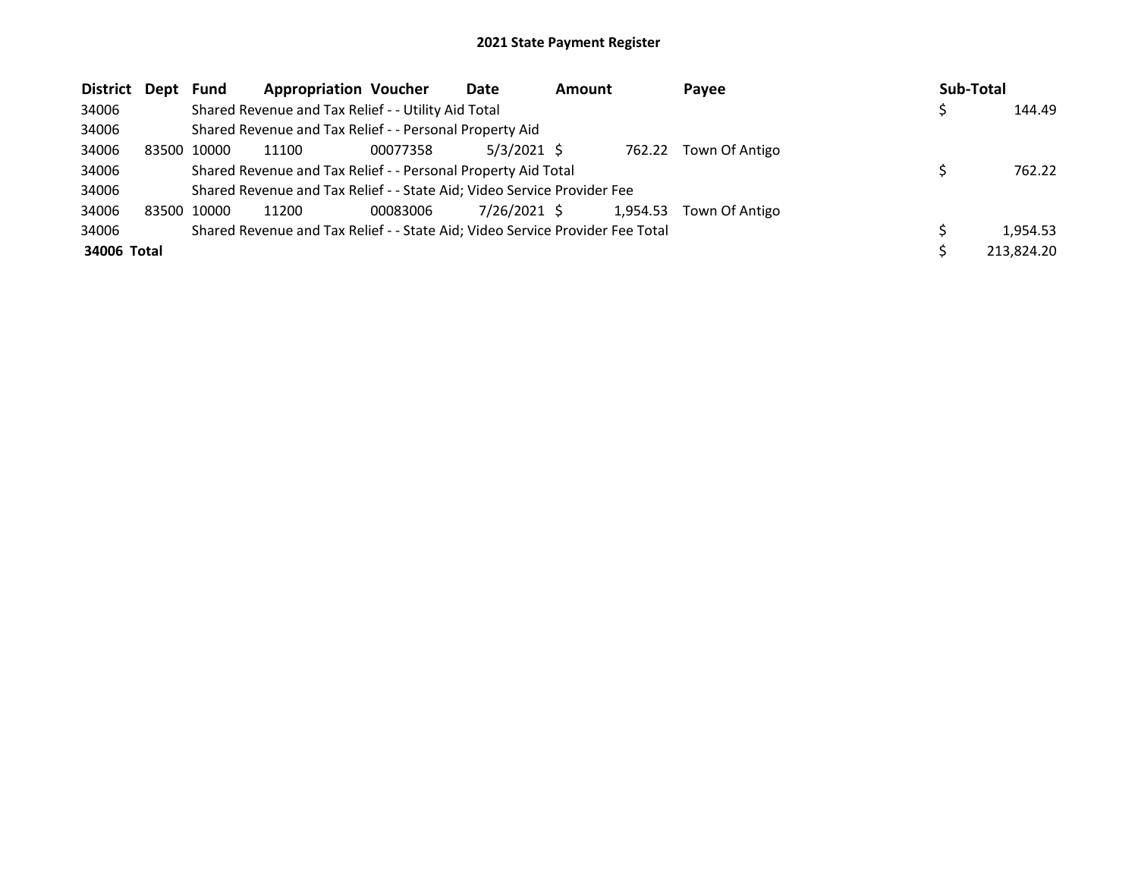| District Dept |       | Fund  | <b>Appropriation Voucher</b>                                                  |          | Date          | <b>Amount</b> |          | <b>Pavee</b>   | Sub-Total |            |
|---------------|-------|-------|-------------------------------------------------------------------------------|----------|---------------|---------------|----------|----------------|-----------|------------|
| 34006         |       |       | Shared Revenue and Tax Relief - - Utility Aid Total                           |          |               |               |          |                |           | 144.49     |
| 34006         |       |       | Shared Revenue and Tax Relief - - Personal Property Aid                       |          |               |               |          |                |           |            |
| 34006         | 83500 | 10000 | 11100                                                                         | 00077358 | $5/3/2021$ \$ |               | 762.22   | Town Of Antigo |           |            |
| 34006         |       |       | Shared Revenue and Tax Relief - - Personal Property Aid Total                 |          |               |               |          |                |           | 762.22     |
| 34006         |       |       | Shared Revenue and Tax Relief - - State Aid; Video Service Provider Fee       |          |               |               |          |                |           |            |
| 34006         | 83500 | 10000 | 11200                                                                         | 00083006 | 7/26/2021 \$  |               | 1,954.53 | Town Of Antigo |           |            |
| 34006         |       |       | Shared Revenue and Tax Relief - - State Aid; Video Service Provider Fee Total |          |               |               |          |                |           | 1,954.53   |
| 34006 Total   |       |       |                                                                               |          |               |               |          |                |           | 213,824.20 |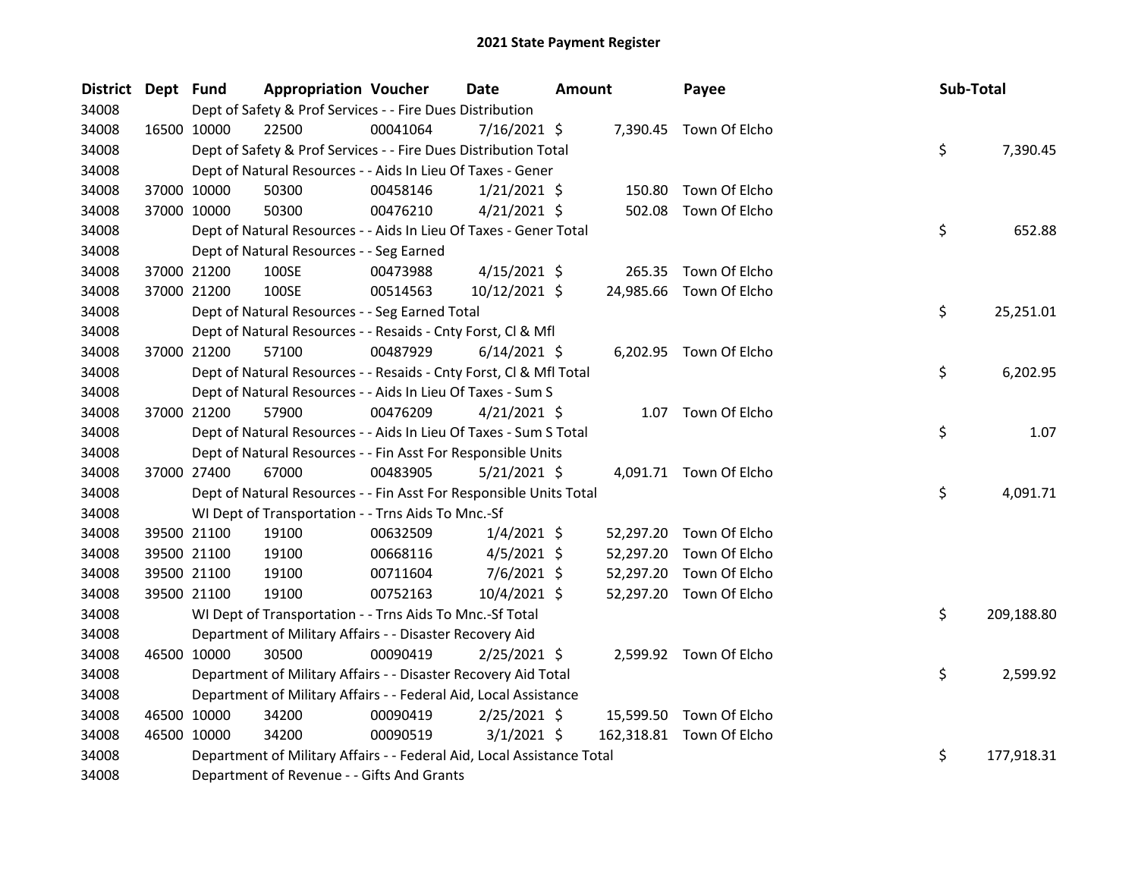| District Dept Fund |             | <b>Appropriation Voucher</b>                                           |          | Date           | <b>Amount</b> |           | Payee                    | Sub-Total |            |
|--------------------|-------------|------------------------------------------------------------------------|----------|----------------|---------------|-----------|--------------------------|-----------|------------|
| 34008              |             | Dept of Safety & Prof Services - - Fire Dues Distribution              |          |                |               |           |                          |           |            |
| 34008              | 16500 10000 | 22500                                                                  | 00041064 | $7/16/2021$ \$ |               |           | 7,390.45 Town Of Elcho   |           |            |
| 34008              |             | Dept of Safety & Prof Services - - Fire Dues Distribution Total        |          |                |               |           |                          | \$        | 7,390.45   |
| 34008              |             | Dept of Natural Resources - - Aids In Lieu Of Taxes - Gener            |          |                |               |           |                          |           |            |
| 34008              | 37000 10000 | 50300                                                                  | 00458146 | $1/21/2021$ \$ |               |           | 150.80 Town Of Elcho     |           |            |
| 34008              | 37000 10000 | 50300                                                                  | 00476210 | 4/21/2021 \$   |               |           | 502.08 Town Of Elcho     |           |            |
| 34008              |             | Dept of Natural Resources - - Aids In Lieu Of Taxes - Gener Total      |          |                |               |           |                          | \$        | 652.88     |
| 34008              |             | Dept of Natural Resources - - Seg Earned                               |          |                |               |           |                          |           |            |
| 34008              | 37000 21200 | 100SE                                                                  | 00473988 | $4/15/2021$ \$ |               |           | 265.35 Town Of Elcho     |           |            |
| 34008              | 37000 21200 | 100SE                                                                  | 00514563 | 10/12/2021 \$  |               |           | 24,985.66 Town Of Elcho  |           |            |
| 34008              |             | Dept of Natural Resources - - Seg Earned Total                         |          |                |               |           |                          | \$        | 25,251.01  |
| 34008              |             | Dept of Natural Resources - - Resaids - Cnty Forst, Cl & Mfl           |          |                |               |           |                          |           |            |
| 34008              | 37000 21200 | 57100                                                                  | 00487929 | $6/14/2021$ \$ |               |           | 6,202.95 Town Of Elcho   |           |            |
| 34008              |             | Dept of Natural Resources - - Resaids - Cnty Forst, Cl & Mfl Total     |          |                |               |           |                          | \$        | 6,202.95   |
| 34008              |             | Dept of Natural Resources - - Aids In Lieu Of Taxes - Sum S            |          |                |               |           |                          |           |            |
| 34008              | 37000 21200 | 57900                                                                  | 00476209 | $4/21/2021$ \$ |               |           | 1.07 Town Of Elcho       |           |            |
| 34008              |             | Dept of Natural Resources - - Aids In Lieu Of Taxes - Sum S Total      |          |                |               |           |                          | \$        | 1.07       |
| 34008              |             | Dept of Natural Resources - - Fin Asst For Responsible Units           |          |                |               |           |                          |           |            |
| 34008              | 37000 27400 | 67000                                                                  | 00483905 | $5/21/2021$ \$ |               |           | 4,091.71 Town Of Elcho   |           |            |
| 34008              |             | Dept of Natural Resources - - Fin Asst For Responsible Units Total     |          |                |               |           |                          | \$        | 4,091.71   |
| 34008              |             | WI Dept of Transportation - - Trns Aids To Mnc.-Sf                     |          |                |               |           |                          |           |            |
| 34008              | 39500 21100 | 19100                                                                  | 00632509 | $1/4/2021$ \$  |               |           | 52,297.20 Town Of Elcho  |           |            |
| 34008              | 39500 21100 | 19100                                                                  | 00668116 | $4/5/2021$ \$  |               | 52,297.20 | Town Of Elcho            |           |            |
| 34008              | 39500 21100 | 19100                                                                  | 00711604 | 7/6/2021 \$    |               | 52,297.20 | Town Of Elcho            |           |            |
| 34008              | 39500 21100 | 19100                                                                  | 00752163 | 10/4/2021 \$   |               |           | 52,297.20 Town Of Elcho  |           |            |
| 34008              |             | WI Dept of Transportation - - Trns Aids To Mnc.-Sf Total               |          |                |               |           |                          | \$        | 209,188.80 |
| 34008              |             | Department of Military Affairs - - Disaster Recovery Aid               |          |                |               |           |                          |           |            |
| 34008              | 46500 10000 | 30500                                                                  | 00090419 | $2/25/2021$ \$ |               |           | 2,599.92 Town Of Elcho   |           |            |
| 34008              |             | Department of Military Affairs - - Disaster Recovery Aid Total         |          |                |               |           |                          | \$        | 2,599.92   |
| 34008              |             | Department of Military Affairs - - Federal Aid, Local Assistance       |          |                |               |           |                          |           |            |
| 34008              | 46500 10000 | 34200                                                                  | 00090419 | $2/25/2021$ \$ |               |           | 15,599.50 Town Of Elcho  |           |            |
| 34008              | 46500 10000 | 34200                                                                  | 00090519 | $3/1/2021$ \$  |               |           | 162,318.81 Town Of Elcho |           |            |
| 34008              |             | Department of Military Affairs - - Federal Aid, Local Assistance Total |          |                |               |           |                          | \$        | 177,918.31 |
| 34008              |             | Department of Revenue - - Gifts And Grants                             |          |                |               |           |                          |           |            |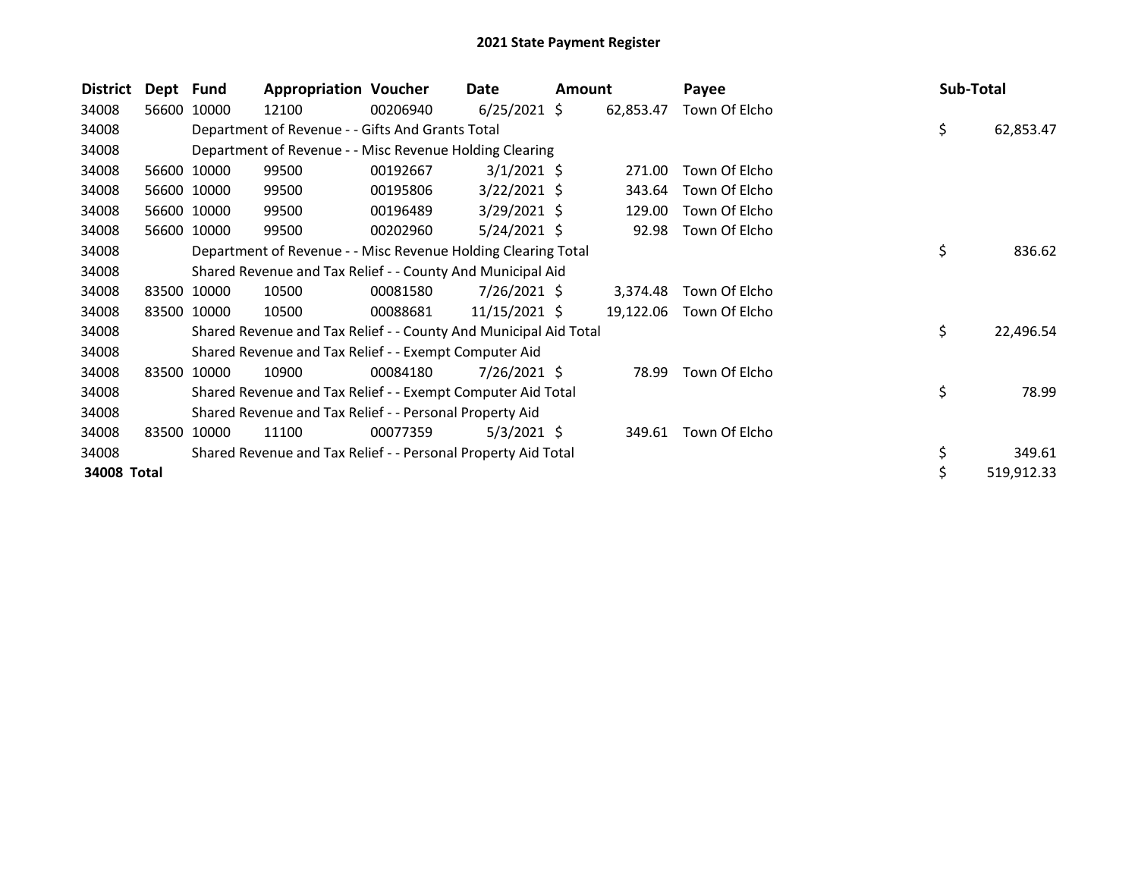| <b>District</b> | Dept Fund |             | <b>Appropriation Voucher</b>                                     |          | Date            | Amount |           | Payee         | Sub-Total |            |
|-----------------|-----------|-------------|------------------------------------------------------------------|----------|-----------------|--------|-----------|---------------|-----------|------------|
| 34008           |           | 56600 10000 | 12100                                                            | 00206940 | $6/25/2021$ \$  |        | 62,853.47 | Town Of Elcho |           |            |
| 34008           |           |             | Department of Revenue - - Gifts And Grants Total                 |          |                 |        |           |               | \$        | 62,853.47  |
| 34008           |           |             | Department of Revenue - - Misc Revenue Holding Clearing          |          |                 |        |           |               |           |            |
| 34008           |           | 56600 10000 | 99500                                                            | 00192667 | $3/1/2021$ \$   |        | 271.00    | Town Of Elcho |           |            |
| 34008           |           | 56600 10000 | 99500                                                            | 00195806 | $3/22/2021$ \$  |        | 343.64    | Town Of Elcho |           |            |
| 34008           |           | 56600 10000 | 99500                                                            | 00196489 | $3/29/2021$ \$  |        | 129.00    | Town Of Elcho |           |            |
| 34008           |           | 56600 10000 | 99500                                                            | 00202960 | $5/24/2021$ \$  |        | 92.98     | Town Of Elcho |           |            |
| 34008           |           |             | Department of Revenue - - Misc Revenue Holding Clearing Total    |          |                 |        |           |               | \$        | 836.62     |
| 34008           |           |             | Shared Revenue and Tax Relief - - County And Municipal Aid       |          |                 |        |           |               |           |            |
| 34008           |           | 83500 10000 | 10500                                                            | 00081580 | $7/26/2021$ \$  |        | 3,374.48  | Town Of Elcho |           |            |
| 34008           |           | 83500 10000 | 10500                                                            | 00088681 | $11/15/2021$ \$ |        | 19,122.06 | Town Of Elcho |           |            |
| 34008           |           |             | Shared Revenue and Tax Relief - - County And Municipal Aid Total |          |                 |        |           |               | \$        | 22,496.54  |
| 34008           |           |             | Shared Revenue and Tax Relief - - Exempt Computer Aid            |          |                 |        |           |               |           |            |
| 34008           | 83500     | 10000       | 10900                                                            | 00084180 | 7/26/2021 \$    |        | 78.99     | Town Of Elcho |           |            |
| 34008           |           |             | Shared Revenue and Tax Relief - - Exempt Computer Aid Total      |          |                 |        |           |               | \$        | 78.99      |
| 34008           |           |             | Shared Revenue and Tax Relief - - Personal Property Aid          |          |                 |        |           |               |           |            |
| 34008           | 83500     | 10000       | 11100                                                            | 00077359 | $5/3/2021$ \$   |        | 349.61    | Town Of Elcho |           |            |
| 34008           |           |             | Shared Revenue and Tax Relief - - Personal Property Aid Total    |          |                 |        |           |               | \$        | 349.61     |
| 34008 Total     |           |             |                                                                  |          |                 |        |           |               | \$        | 519,912.33 |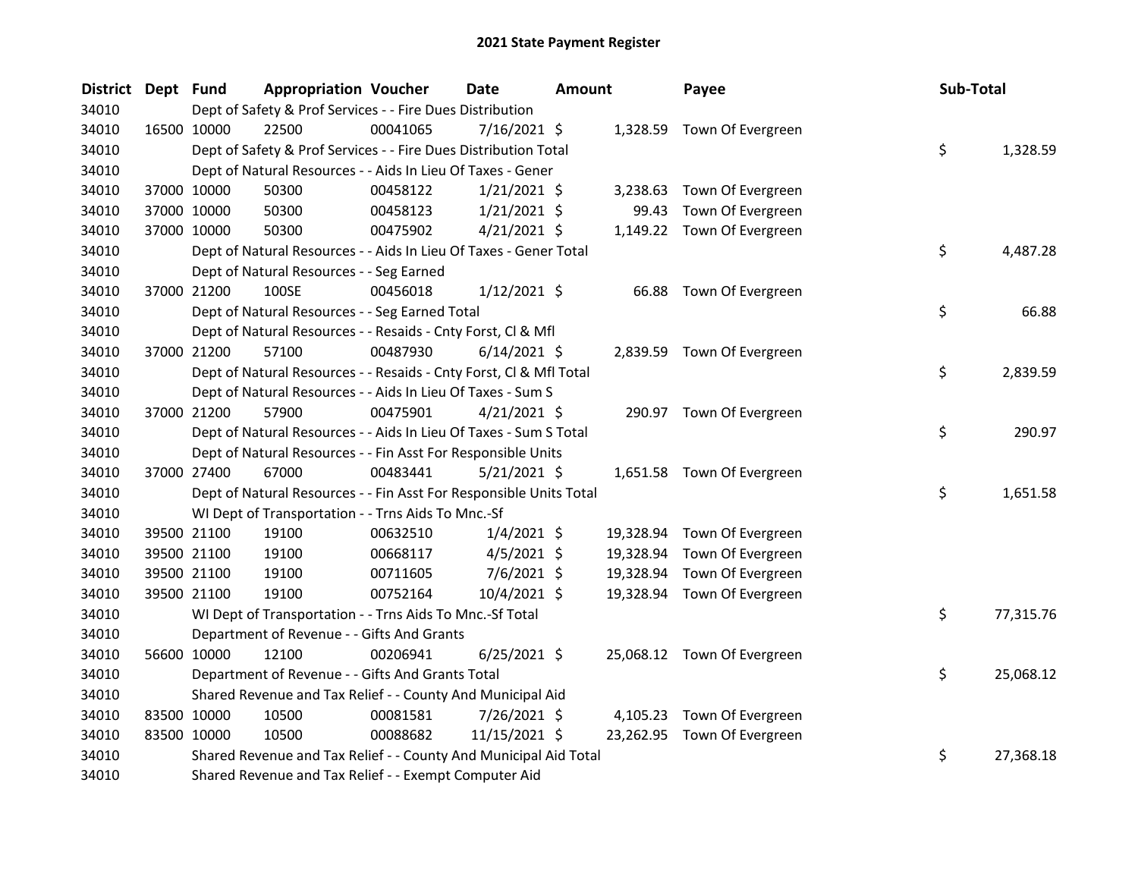| District Dept Fund |             |             | <b>Appropriation Voucher</b>                                       |          | <b>Date</b>    | <b>Amount</b> |           | Payee                       | Sub-Total |           |
|--------------------|-------------|-------------|--------------------------------------------------------------------|----------|----------------|---------------|-----------|-----------------------------|-----------|-----------|
| 34010              |             |             | Dept of Safety & Prof Services - - Fire Dues Distribution          |          |                |               |           |                             |           |           |
| 34010              | 16500 10000 |             | 22500                                                              | 00041065 | 7/16/2021 \$   |               |           | 1,328.59 Town Of Evergreen  |           |           |
| 34010              |             |             | Dept of Safety & Prof Services - - Fire Dues Distribution Total    |          |                |               |           |                             | \$        | 1,328.59  |
| 34010              |             |             | Dept of Natural Resources - - Aids In Lieu Of Taxes - Gener        |          |                |               |           |                             |           |           |
| 34010              |             | 37000 10000 | 50300                                                              | 00458122 | $1/21/2021$ \$ |               | 3,238.63  | Town Of Evergreen           |           |           |
| 34010              |             | 37000 10000 | 50300                                                              | 00458123 | 1/21/2021 \$   |               | 99.43     | Town Of Evergreen           |           |           |
| 34010              |             | 37000 10000 | 50300                                                              | 00475902 | $4/21/2021$ \$ |               | 1,149.22  | Town Of Evergreen           |           |           |
| 34010              |             |             | Dept of Natural Resources - - Aids In Lieu Of Taxes - Gener Total  |          |                |               |           |                             | \$        | 4,487.28  |
| 34010              |             |             | Dept of Natural Resources - - Seg Earned                           |          |                |               |           |                             |           |           |
| 34010              |             | 37000 21200 | 100SE                                                              | 00456018 | $1/12/2021$ \$ |               | 66.88     | Town Of Evergreen           |           |           |
| 34010              |             |             | Dept of Natural Resources - - Seg Earned Total                     |          |                |               |           |                             | \$        | 66.88     |
| 34010              |             |             | Dept of Natural Resources - - Resaids - Cnty Forst, Cl & Mfl       |          |                |               |           |                             |           |           |
| 34010              |             | 37000 21200 | 57100                                                              | 00487930 | $6/14/2021$ \$ |               |           | 2,839.59 Town Of Evergreen  |           |           |
| 34010              |             |             | Dept of Natural Resources - - Resaids - Cnty Forst, Cl & Mfl Total |          |                |               |           |                             | \$        | 2,839.59  |
| 34010              |             |             | Dept of Natural Resources - - Aids In Lieu Of Taxes - Sum S        |          |                |               |           |                             |           |           |
| 34010              |             | 37000 21200 | 57900                                                              | 00475901 | $4/21/2021$ \$ |               |           | 290.97 Town Of Evergreen    |           |           |
| 34010              |             |             | Dept of Natural Resources - - Aids In Lieu Of Taxes - Sum S Total  |          |                |               |           |                             | \$        | 290.97    |
| 34010              |             |             | Dept of Natural Resources - - Fin Asst For Responsible Units       |          |                |               |           |                             |           |           |
| 34010              |             | 37000 27400 | 67000                                                              | 00483441 | $5/21/2021$ \$ |               |           | 1,651.58 Town Of Evergreen  |           |           |
| 34010              |             |             | Dept of Natural Resources - - Fin Asst For Responsible Units Total |          |                |               |           |                             | \$        | 1,651.58  |
| 34010              |             |             | WI Dept of Transportation - - Trns Aids To Mnc.-Sf                 |          |                |               |           |                             |           |           |
| 34010              |             | 39500 21100 | 19100                                                              | 00632510 | $1/4/2021$ \$  |               | 19,328.94 | Town Of Evergreen           |           |           |
| 34010              |             | 39500 21100 | 19100                                                              | 00668117 | $4/5/2021$ \$  |               | 19,328.94 | Town Of Evergreen           |           |           |
| 34010              |             | 39500 21100 | 19100                                                              | 00711605 | 7/6/2021 \$    |               | 19,328.94 | Town Of Evergreen           |           |           |
| 34010              |             | 39500 21100 | 19100                                                              | 00752164 | 10/4/2021 \$   |               | 19,328.94 | Town Of Evergreen           |           |           |
| 34010              |             |             | WI Dept of Transportation - - Trns Aids To Mnc.-Sf Total           |          |                |               |           |                             | \$        | 77,315.76 |
| 34010              |             |             | Department of Revenue - - Gifts And Grants                         |          |                |               |           |                             |           |           |
| 34010              |             | 56600 10000 | 12100                                                              | 00206941 | $6/25/2021$ \$ |               |           | 25,068.12 Town Of Evergreen |           |           |
| 34010              |             |             | Department of Revenue - - Gifts And Grants Total                   |          |                |               |           |                             | \$        | 25,068.12 |
| 34010              |             |             | Shared Revenue and Tax Relief - - County And Municipal Aid         |          |                |               |           |                             |           |           |
| 34010              |             | 83500 10000 | 10500                                                              | 00081581 | 7/26/2021 \$   |               | 4,105.23  | Town Of Evergreen           |           |           |
| 34010              |             | 83500 10000 | 10500                                                              | 00088682 | 11/15/2021 \$  |               |           | 23,262.95 Town Of Evergreen |           |           |
| 34010              |             |             | Shared Revenue and Tax Relief - - County And Municipal Aid Total   |          |                |               |           |                             | \$        | 27,368.18 |
| 34010              |             |             | Shared Revenue and Tax Relief - - Exempt Computer Aid              |          |                |               |           |                             |           |           |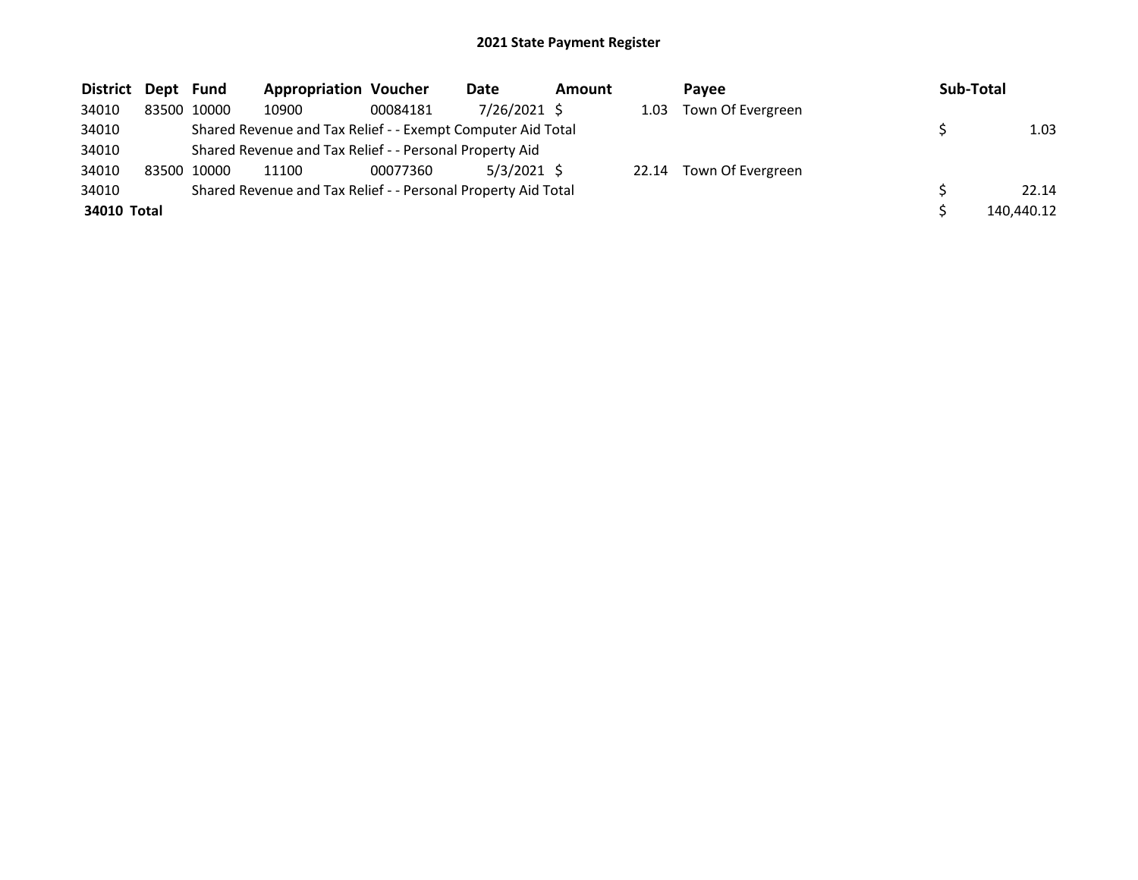| District Dept Fund |             | <b>Appropriation Voucher</b>                                  |          | Date          | <b>Amount</b> |       | <b>Pavee</b>      | Sub-Total  |
|--------------------|-------------|---------------------------------------------------------------|----------|---------------|---------------|-------|-------------------|------------|
| 34010              | 83500 10000 | 10900                                                         | 00084181 | 7/26/2021 \$  |               | 1.03  | Town Of Evergreen |            |
| 34010              |             | Shared Revenue and Tax Relief - - Exempt Computer Aid Total   |          |               |               |       |                   | 1.03       |
| 34010              |             | Shared Revenue and Tax Relief - - Personal Property Aid       |          |               |               |       |                   |            |
| 34010              | 83500 10000 | 11100                                                         | 00077360 | $5/3/2021$ \$ |               | 22.14 | Town Of Evergreen |            |
| 34010              |             | Shared Revenue and Tax Relief - - Personal Property Aid Total |          |               |               |       |                   | 22.14      |
| 34010 Total        |             |                                                               |          |               |               |       |                   | 140,440.12 |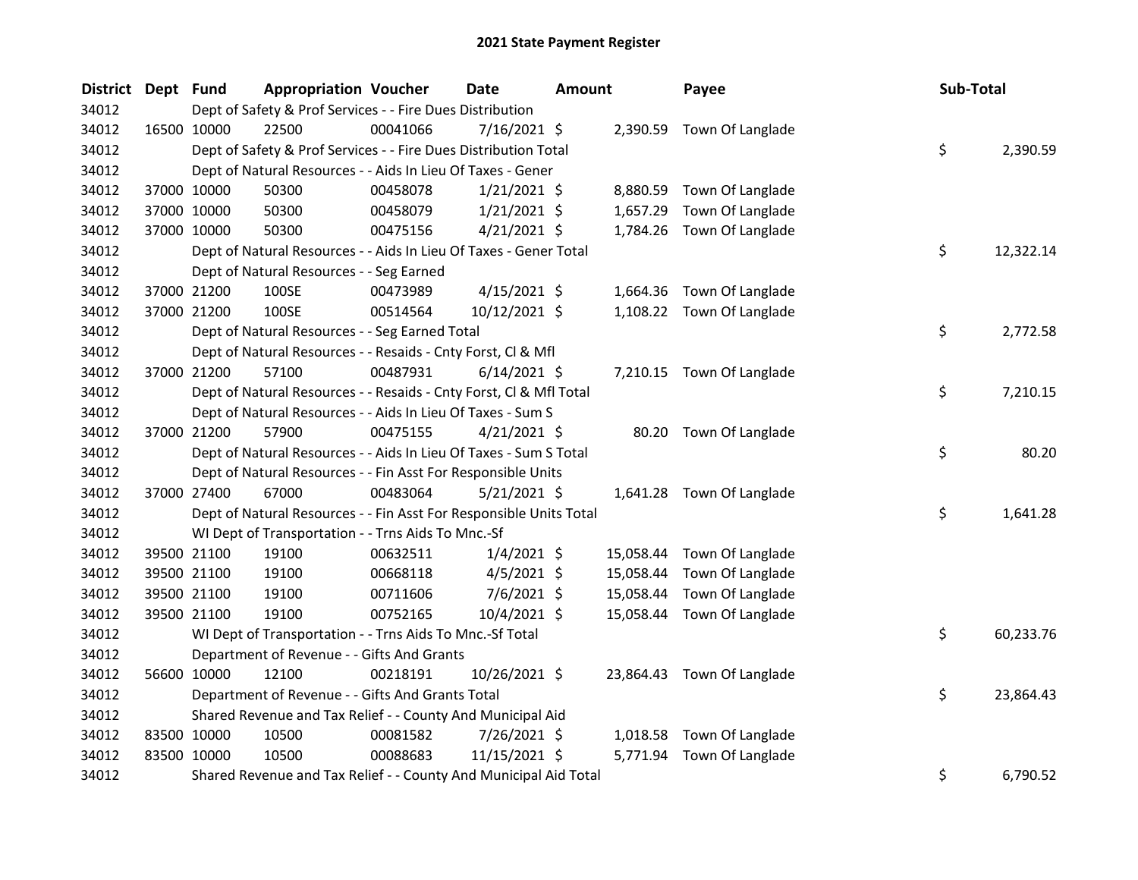| <b>District</b> | Dept Fund   |             | <b>Appropriation Voucher</b>                                       |          | Date           | <b>Amount</b> |           | Payee                      | Sub-Total |           |
|-----------------|-------------|-------------|--------------------------------------------------------------------|----------|----------------|---------------|-----------|----------------------------|-----------|-----------|
| 34012           |             |             | Dept of Safety & Prof Services - - Fire Dues Distribution          |          |                |               |           |                            |           |           |
| 34012           |             | 16500 10000 | 22500                                                              | 00041066 | 7/16/2021 \$   |               |           | 2,390.59 Town Of Langlade  |           |           |
| 34012           |             |             | Dept of Safety & Prof Services - - Fire Dues Distribution Total    |          |                |               |           |                            | \$        | 2,390.59  |
| 34012           |             |             | Dept of Natural Resources - - Aids In Lieu Of Taxes - Gener        |          |                |               |           |                            |           |           |
| 34012           |             | 37000 10000 | 50300                                                              | 00458078 | $1/21/2021$ \$ |               |           | 8,880.59 Town Of Langlade  |           |           |
| 34012           |             | 37000 10000 | 50300                                                              | 00458079 | $1/21/2021$ \$ |               | 1,657.29  | Town Of Langlade           |           |           |
| 34012           |             | 37000 10000 | 50300                                                              | 00475156 | $4/21/2021$ \$ |               |           | 1,784.26 Town Of Langlade  |           |           |
| 34012           |             |             | Dept of Natural Resources - - Aids In Lieu Of Taxes - Gener Total  |          |                |               |           |                            | \$        | 12,322.14 |
| 34012           |             |             | Dept of Natural Resources - - Seg Earned                           |          |                |               |           |                            |           |           |
| 34012           |             | 37000 21200 | 100SE                                                              | 00473989 | $4/15/2021$ \$ |               |           | 1,664.36 Town Of Langlade  |           |           |
| 34012           |             | 37000 21200 | 100SE                                                              | 00514564 | 10/12/2021 \$  |               |           | 1,108.22 Town Of Langlade  |           |           |
| 34012           |             |             | Dept of Natural Resources - - Seg Earned Total                     |          |                |               |           |                            | \$        | 2,772.58  |
| 34012           |             |             | Dept of Natural Resources - - Resaids - Cnty Forst, Cl & Mfl       |          |                |               |           |                            |           |           |
| 34012           |             | 37000 21200 | 57100                                                              | 00487931 | $6/14/2021$ \$ |               |           | 7,210.15 Town Of Langlade  |           |           |
| 34012           |             |             | Dept of Natural Resources - - Resaids - Cnty Forst, Cl & Mfl Total |          |                |               |           |                            | \$        | 7,210.15  |
| 34012           |             |             | Dept of Natural Resources - - Aids In Lieu Of Taxes - Sum S        |          |                |               |           |                            |           |           |
| 34012           |             | 37000 21200 | 57900                                                              | 00475155 | $4/21/2021$ \$ |               |           | 80.20 Town Of Langlade     |           |           |
| 34012           |             |             | Dept of Natural Resources - - Aids In Lieu Of Taxes - Sum S Total  |          |                |               |           |                            | \$        | 80.20     |
| 34012           |             |             | Dept of Natural Resources - - Fin Asst For Responsible Units       |          |                |               |           |                            |           |           |
| 34012           |             | 37000 27400 | 67000                                                              | 00483064 | $5/21/2021$ \$ |               |           | 1,641.28 Town Of Langlade  |           |           |
| 34012           |             |             | Dept of Natural Resources - - Fin Asst For Responsible Units Total |          |                |               |           |                            | \$        | 1,641.28  |
| 34012           |             |             | WI Dept of Transportation - - Trns Aids To Mnc.-Sf                 |          |                |               |           |                            |           |           |
| 34012           |             | 39500 21100 | 19100                                                              | 00632511 | $1/4/2021$ \$  |               | 15,058.44 | Town Of Langlade           |           |           |
| 34012           |             | 39500 21100 | 19100                                                              | 00668118 | $4/5/2021$ \$  |               | 15,058.44 | Town Of Langlade           |           |           |
| 34012           |             | 39500 21100 | 19100                                                              | 00711606 | 7/6/2021 \$    |               | 15,058.44 | Town Of Langlade           |           |           |
| 34012           |             | 39500 21100 | 19100                                                              | 00752165 | 10/4/2021 \$   |               | 15,058.44 | Town Of Langlade           |           |           |
| 34012           |             |             | WI Dept of Transportation - - Trns Aids To Mnc.-Sf Total           |          |                |               |           |                            | \$        | 60,233.76 |
| 34012           |             |             | Department of Revenue - - Gifts And Grants                         |          |                |               |           |                            |           |           |
| 34012           |             | 56600 10000 | 12100                                                              | 00218191 | 10/26/2021 \$  |               |           | 23,864.43 Town Of Langlade |           |           |
| 34012           |             |             | Department of Revenue - - Gifts And Grants Total                   |          |                |               |           |                            | \$        | 23,864.43 |
| 34012           |             |             | Shared Revenue and Tax Relief - - County And Municipal Aid         |          |                |               |           |                            |           |           |
| 34012           | 83500 10000 |             | 10500                                                              | 00081582 | 7/26/2021 \$   |               | 1,018.58  | Town Of Langlade           |           |           |
| 34012           | 83500 10000 |             | 10500                                                              | 00088683 | 11/15/2021 \$  |               | 5,771.94  | Town Of Langlade           |           |           |
| 34012           |             |             | Shared Revenue and Tax Relief - - County And Municipal Aid Total   |          |                |               |           |                            | \$        | 6,790.52  |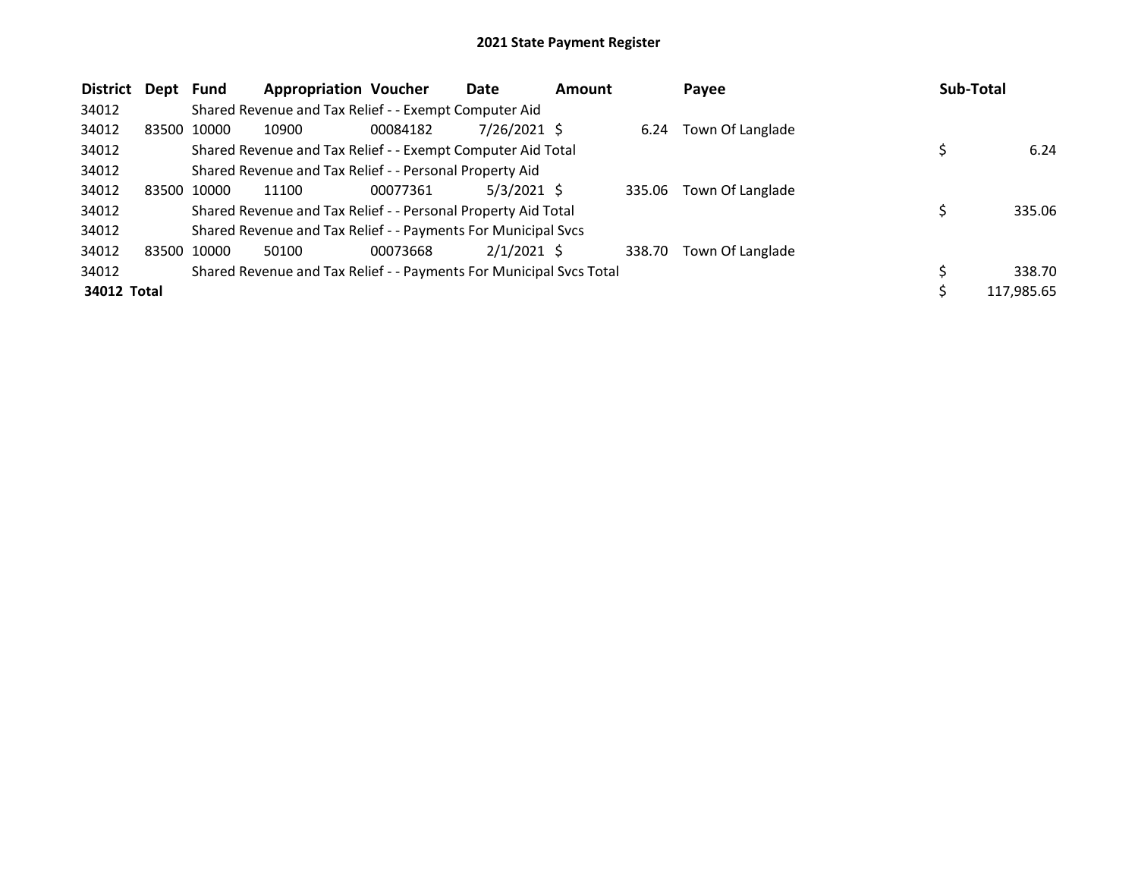| <b>District</b><br>Dept | Fund        | <b>Appropriation Voucher</b>                                        |          | Date          | <b>Amount</b> |        | Payee            | Sub-Total |            |
|-------------------------|-------------|---------------------------------------------------------------------|----------|---------------|---------------|--------|------------------|-----------|------------|
| 34012                   |             | Shared Revenue and Tax Relief - - Exempt Computer Aid               |          |               |               |        |                  |           |            |
| 34012<br>83500          | 10000       | 10900                                                               | 00084182 | 7/26/2021 \$  |               | 6.24   | Town Of Langlade |           |            |
| 34012                   |             | Shared Revenue and Tax Relief - - Exempt Computer Aid Total         |          |               |               |        |                  |           | 6.24       |
| 34012                   |             | Shared Revenue and Tax Relief - - Personal Property Aid             |          |               |               |        |                  |           |            |
| 34012<br>83500          | 10000       | 11100                                                               | 00077361 | $5/3/2021$ \$ |               | 335.06 | Town Of Langlade |           |            |
| 34012                   |             | Shared Revenue and Tax Relief - - Personal Property Aid Total       |          |               |               |        |                  |           | 335.06     |
| 34012                   |             | Shared Revenue and Tax Relief - - Payments For Municipal Svcs       |          |               |               |        |                  |           |            |
| 34012                   | 83500 10000 | 50100                                                               | 00073668 | $2/1/2021$ \$ |               | 338.70 | Town Of Langlade |           |            |
| 34012                   |             | Shared Revenue and Tax Relief - - Payments For Municipal Svcs Total |          |               |               |        |                  |           | 338.70     |
| 34012 Total             |             |                                                                     |          |               |               |        |                  |           | 117,985.65 |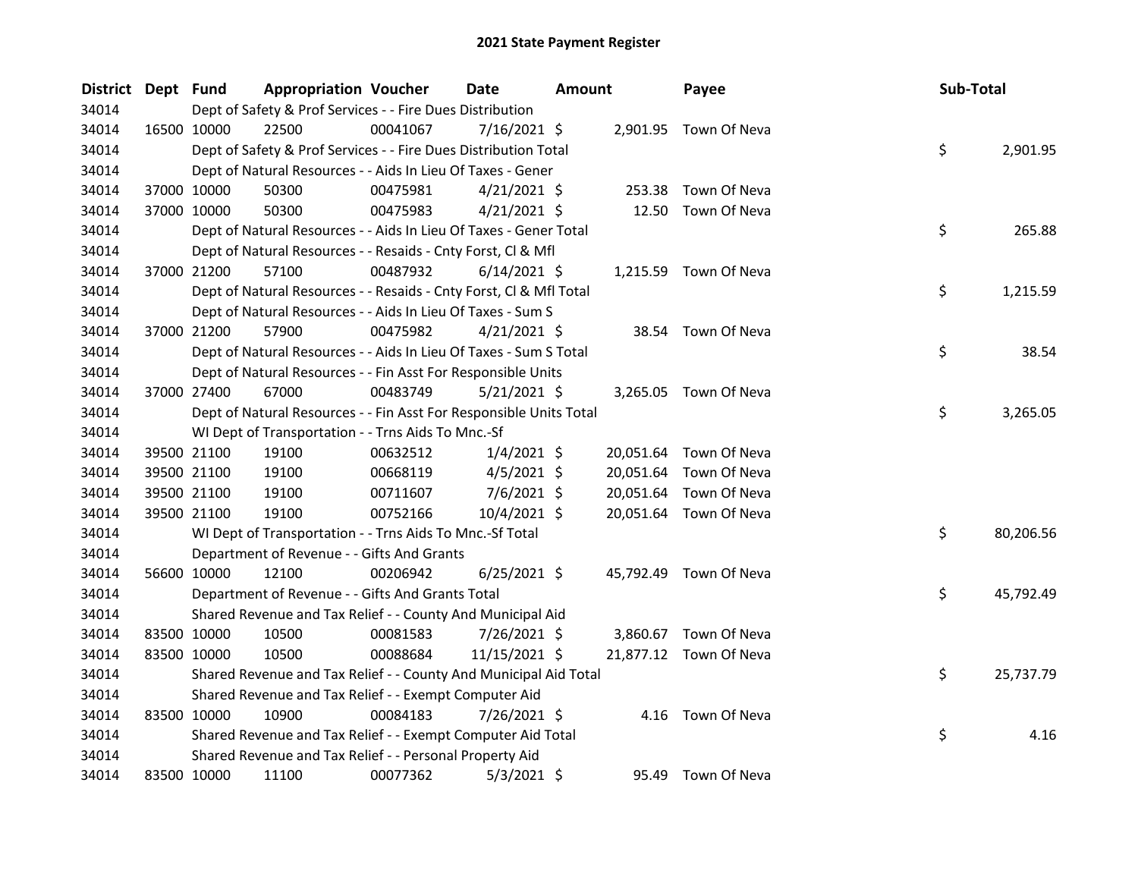| District Dept Fund |             | <b>Appropriation Voucher</b>                                       |          | <b>Date</b>    | Amount |           | Payee                  | Sub-Total |           |
|--------------------|-------------|--------------------------------------------------------------------|----------|----------------|--------|-----------|------------------------|-----------|-----------|
| 34014              |             | Dept of Safety & Prof Services - - Fire Dues Distribution          |          |                |        |           |                        |           |           |
| 34014              | 16500 10000 | 22500                                                              | 00041067 | $7/16/2021$ \$ |        |           | 2,901.95 Town Of Neva  |           |           |
| 34014              |             | Dept of Safety & Prof Services - - Fire Dues Distribution Total    |          |                |        |           |                        | \$        | 2,901.95  |
| 34014              |             | Dept of Natural Resources - - Aids In Lieu Of Taxes - Gener        |          |                |        |           |                        |           |           |
| 34014              | 37000 10000 | 50300                                                              | 00475981 | $4/21/2021$ \$ |        | 253.38    | Town Of Neva           |           |           |
| 34014              | 37000 10000 | 50300                                                              | 00475983 | $4/21/2021$ \$ |        | 12.50     | Town Of Neva           |           |           |
| 34014              |             | Dept of Natural Resources - - Aids In Lieu Of Taxes - Gener Total  |          |                |        |           |                        | \$        | 265.88    |
| 34014              |             | Dept of Natural Resources - - Resaids - Cnty Forst, Cl & Mfl       |          |                |        |           |                        |           |           |
| 34014              | 37000 21200 | 57100                                                              | 00487932 | $6/14/2021$ \$ |        |           | 1,215.59 Town Of Neva  |           |           |
| 34014              |             | Dept of Natural Resources - - Resaids - Cnty Forst, Cl & Mfl Total |          |                |        |           |                        | \$        | 1,215.59  |
| 34014              |             | Dept of Natural Resources - - Aids In Lieu Of Taxes - Sum S        |          |                |        |           |                        |           |           |
| 34014              | 37000 21200 | 57900                                                              | 00475982 | $4/21/2021$ \$ |        |           | 38.54 Town Of Neva     |           |           |
| 34014              |             | Dept of Natural Resources - - Aids In Lieu Of Taxes - Sum S Total  |          |                |        |           |                        | \$        | 38.54     |
| 34014              |             | Dept of Natural Resources - - Fin Asst For Responsible Units       |          |                |        |           |                        |           |           |
| 34014              | 37000 27400 | 67000                                                              | 00483749 | $5/21/2021$ \$ |        |           | 3,265.05 Town Of Neva  |           |           |
| 34014              |             | Dept of Natural Resources - - Fin Asst For Responsible Units Total |          |                |        |           |                        | \$        | 3,265.05  |
| 34014              |             | WI Dept of Transportation - - Trns Aids To Mnc.-Sf                 |          |                |        |           |                        |           |           |
| 34014              | 39500 21100 | 19100                                                              | 00632512 | $1/4/2021$ \$  |        |           | 20,051.64 Town Of Neva |           |           |
| 34014              | 39500 21100 | 19100                                                              | 00668119 | $4/5/2021$ \$  |        | 20,051.64 | Town Of Neva           |           |           |
| 34014              | 39500 21100 | 19100                                                              | 00711607 | $7/6/2021$ \$  |        | 20,051.64 | Town Of Neva           |           |           |
| 34014              | 39500 21100 | 19100                                                              | 00752166 | 10/4/2021 \$   |        |           | 20,051.64 Town Of Neva |           |           |
| 34014              |             | WI Dept of Transportation - - Trns Aids To Mnc.-Sf Total           |          |                |        |           |                        | \$        | 80,206.56 |
| 34014              |             | Department of Revenue - - Gifts And Grants                         |          |                |        |           |                        |           |           |
| 34014              | 56600 10000 | 12100                                                              | 00206942 | $6/25/2021$ \$ |        |           | 45,792.49 Town Of Neva |           |           |
| 34014              |             | Department of Revenue - - Gifts And Grants Total                   |          |                |        |           |                        | \$        | 45,792.49 |
| 34014              |             | Shared Revenue and Tax Relief - - County And Municipal Aid         |          |                |        |           |                        |           |           |
| 34014              | 83500 10000 | 10500                                                              | 00081583 | 7/26/2021 \$   |        | 3,860.67  | Town Of Neva           |           |           |
| 34014              | 83500 10000 | 10500                                                              | 00088684 | 11/15/2021 \$  |        | 21,877.12 | Town Of Neva           |           |           |
| 34014              |             | Shared Revenue and Tax Relief - - County And Municipal Aid Total   |          |                |        |           |                        | \$        | 25,737.79 |
| 34014              |             | Shared Revenue and Tax Relief - - Exempt Computer Aid              |          |                |        |           |                        |           |           |
| 34014              | 83500 10000 | 10900                                                              | 00084183 | 7/26/2021 \$   |        |           | 4.16 Town Of Neva      |           |           |
| 34014              |             | Shared Revenue and Tax Relief - - Exempt Computer Aid Total        |          |                |        |           |                        | \$        | 4.16      |
| 34014              |             | Shared Revenue and Tax Relief - - Personal Property Aid            |          |                |        |           |                        |           |           |
| 34014              | 83500 10000 | 11100                                                              | 00077362 | $5/3/2021$ \$  |        | 95.49     | Town Of Neva           |           |           |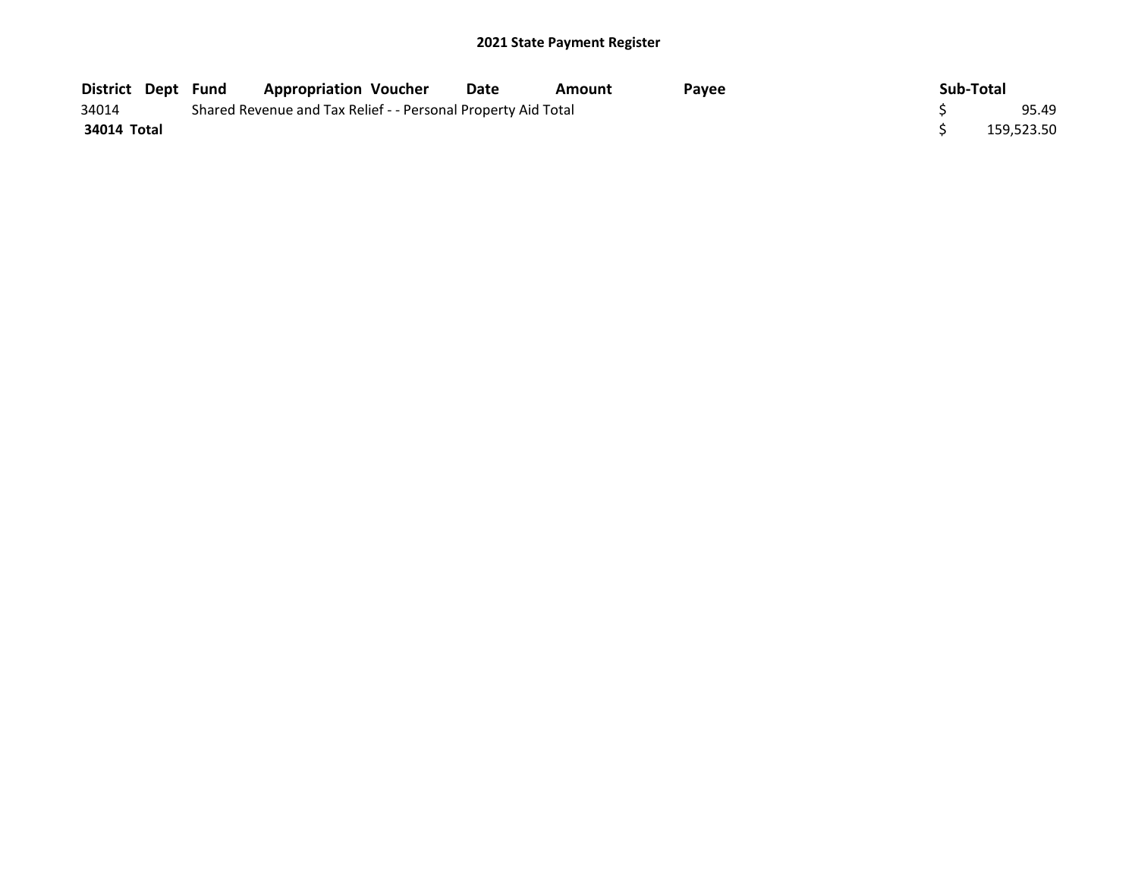|             |  | District Dept Fund Appropriation Voucher                      |  | Date | Amount | <b>Pavee</b> |  | Sub-Total |            |
|-------------|--|---------------------------------------------------------------|--|------|--------|--------------|--|-----------|------------|
| 34014       |  | Shared Revenue and Tax Relief - - Personal Property Aid Total |  |      |        |              |  |           |            |
| 34014 Total |  |                                                               |  |      |        |              |  |           | 159.523.50 |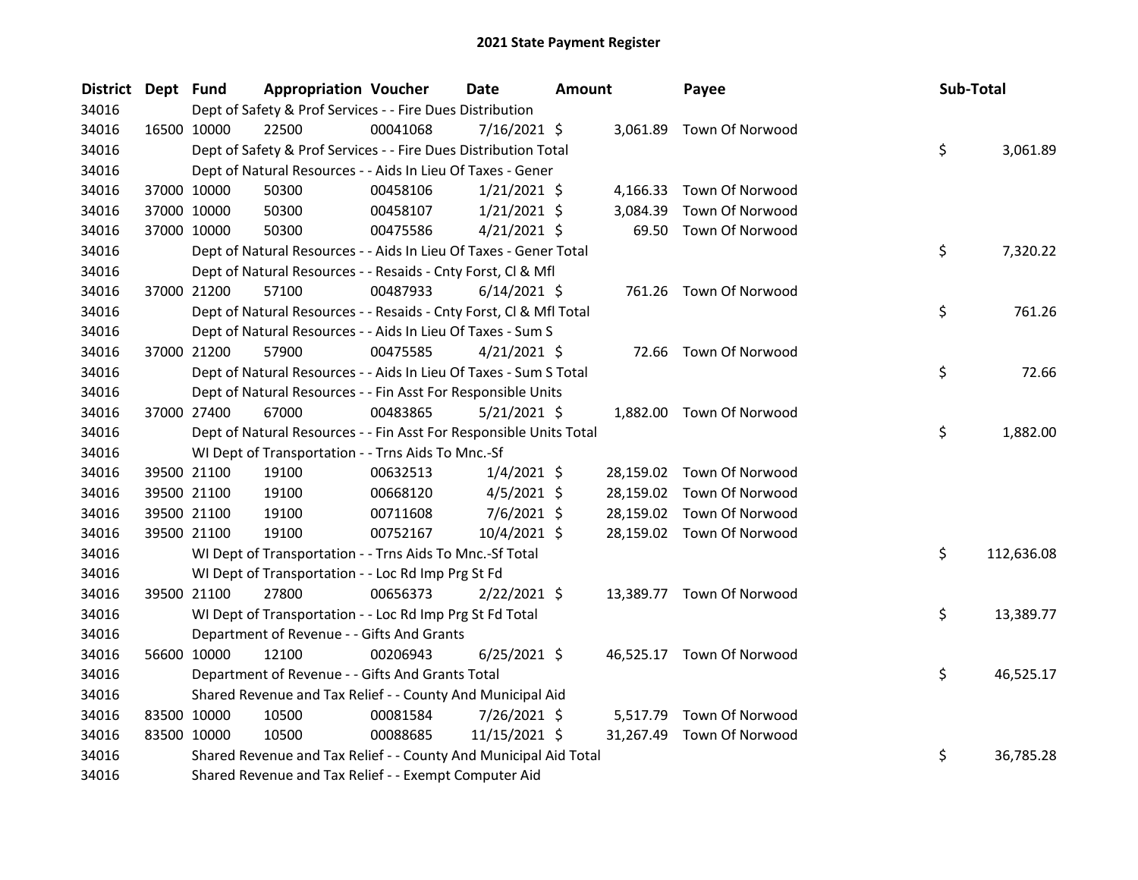| <b>District</b> | Dept Fund |             | <b>Appropriation Voucher</b>                                       |          | <b>Date</b>    | Amount |           | Payee                     | Sub-Total |            |
|-----------------|-----------|-------------|--------------------------------------------------------------------|----------|----------------|--------|-----------|---------------------------|-----------|------------|
| 34016           |           |             | Dept of Safety & Prof Services - - Fire Dues Distribution          |          |                |        |           |                           |           |            |
| 34016           |           | 16500 10000 | 22500                                                              | 00041068 | $7/16/2021$ \$ |        |           | 3,061.89 Town Of Norwood  |           |            |
| 34016           |           |             | Dept of Safety & Prof Services - - Fire Dues Distribution Total    |          |                |        |           |                           | \$        | 3,061.89   |
| 34016           |           |             | Dept of Natural Resources - - Aids In Lieu Of Taxes - Gener        |          |                |        |           |                           |           |            |
| 34016           |           | 37000 10000 | 50300                                                              | 00458106 | $1/21/2021$ \$ |        | 4,166.33  | Town Of Norwood           |           |            |
| 34016           |           | 37000 10000 | 50300                                                              | 00458107 | $1/21/2021$ \$ |        | 3,084.39  | Town Of Norwood           |           |            |
| 34016           |           | 37000 10000 | 50300                                                              | 00475586 | $4/21/2021$ \$ |        | 69.50     | Town Of Norwood           |           |            |
| 34016           |           |             | Dept of Natural Resources - - Aids In Lieu Of Taxes - Gener Total  |          |                |        |           |                           | \$        | 7,320.22   |
| 34016           |           |             | Dept of Natural Resources - - Resaids - Cnty Forst, Cl & Mfl       |          |                |        |           |                           |           |            |
| 34016           |           | 37000 21200 | 57100                                                              | 00487933 | $6/14/2021$ \$ |        |           | 761.26 Town Of Norwood    |           |            |
| 34016           |           |             | Dept of Natural Resources - - Resaids - Cnty Forst, CI & Mfl Total |          |                |        |           |                           | \$        | 761.26     |
| 34016           |           |             | Dept of Natural Resources - - Aids In Lieu Of Taxes - Sum S        |          |                |        |           |                           |           |            |
| 34016           |           | 37000 21200 | 57900                                                              | 00475585 | $4/21/2021$ \$ |        |           | 72.66 Town Of Norwood     |           |            |
| 34016           |           |             | Dept of Natural Resources - - Aids In Lieu Of Taxes - Sum S Total  |          |                |        |           |                           | \$        | 72.66      |
| 34016           |           |             | Dept of Natural Resources - - Fin Asst For Responsible Units       |          |                |        |           |                           |           |            |
| 34016           |           | 37000 27400 | 67000                                                              | 00483865 | $5/21/2021$ \$ |        |           | 1,882.00 Town Of Norwood  |           |            |
| 34016           |           |             | Dept of Natural Resources - - Fin Asst For Responsible Units Total |          |                |        |           |                           | \$        | 1,882.00   |
| 34016           |           |             | WI Dept of Transportation - - Trns Aids To Mnc.-Sf                 |          |                |        |           |                           |           |            |
| 34016           |           | 39500 21100 | 19100                                                              | 00632513 | $1/4/2021$ \$  |        | 28,159.02 | Town Of Norwood           |           |            |
| 34016           |           | 39500 21100 | 19100                                                              | 00668120 | $4/5/2021$ \$  |        | 28,159.02 | Town Of Norwood           |           |            |
| 34016           |           | 39500 21100 | 19100                                                              | 00711608 | $7/6/2021$ \$  |        | 28,159.02 | Town Of Norwood           |           |            |
| 34016           |           | 39500 21100 | 19100                                                              | 00752167 | 10/4/2021 \$   |        |           | 28,159.02 Town Of Norwood |           |            |
| 34016           |           |             | WI Dept of Transportation - - Trns Aids To Mnc.-Sf Total           |          |                |        |           |                           | \$        | 112,636.08 |
| 34016           |           |             | WI Dept of Transportation - - Loc Rd Imp Prg St Fd                 |          |                |        |           |                           |           |            |
| 34016           |           | 39500 21100 | 27800                                                              | 00656373 | $2/22/2021$ \$ |        |           | 13,389.77 Town Of Norwood |           |            |
| 34016           |           |             | WI Dept of Transportation - - Loc Rd Imp Prg St Fd Total           |          |                |        |           |                           | \$        | 13,389.77  |
| 34016           |           |             | Department of Revenue - - Gifts And Grants                         |          |                |        |           |                           |           |            |
| 34016           |           | 56600 10000 | 12100                                                              | 00206943 | $6/25/2021$ \$ |        |           | 46,525.17 Town Of Norwood |           |            |
| 34016           |           |             | Department of Revenue - - Gifts And Grants Total                   |          |                |        |           |                           | \$        | 46,525.17  |
| 34016           |           |             | Shared Revenue and Tax Relief - - County And Municipal Aid         |          |                |        |           |                           |           |            |
| 34016           |           | 83500 10000 | 10500                                                              | 00081584 | 7/26/2021 \$   |        | 5,517.79  | Town Of Norwood           |           |            |
| 34016           |           | 83500 10000 | 10500                                                              | 00088685 | 11/15/2021 \$  |        | 31,267.49 | Town Of Norwood           |           |            |
| 34016           |           |             | Shared Revenue and Tax Relief - - County And Municipal Aid Total   |          |                |        |           |                           | \$        | 36,785.28  |
| 34016           |           |             | Shared Revenue and Tax Relief - - Exempt Computer Aid              |          |                |        |           |                           |           |            |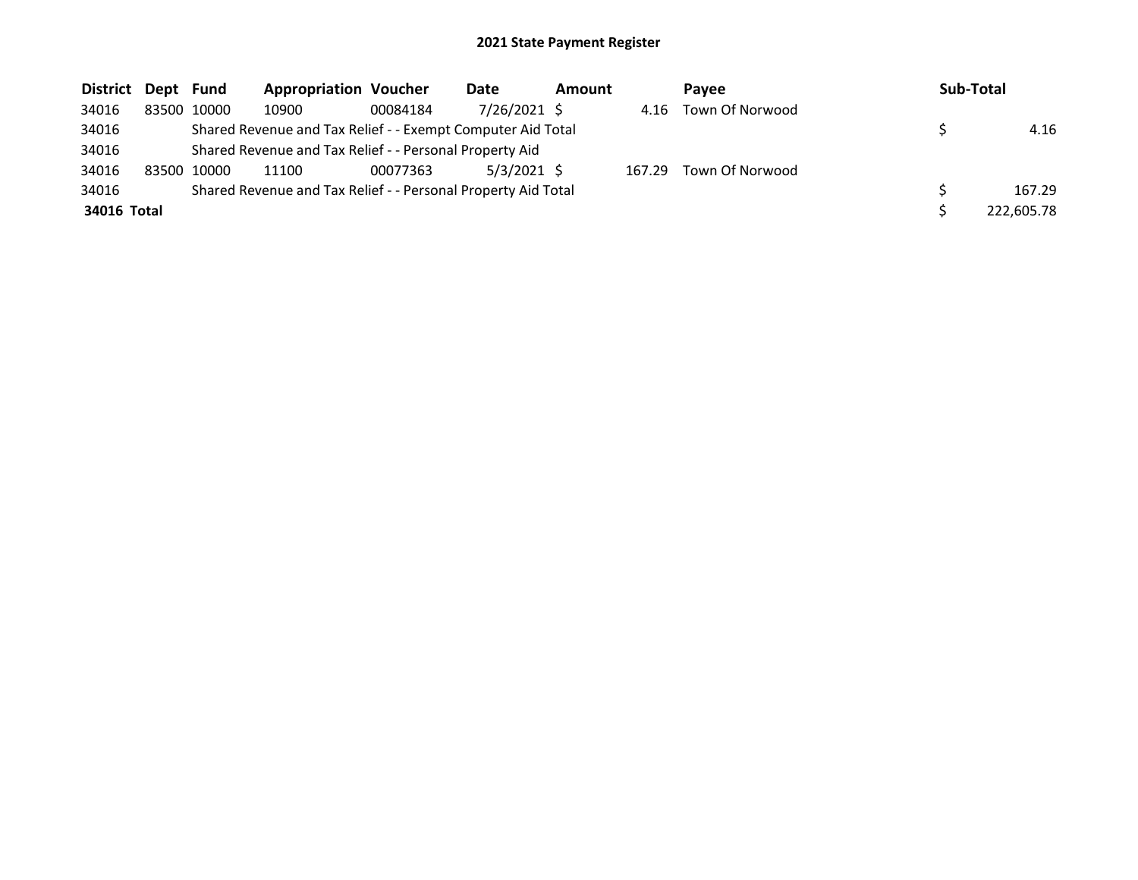| District Dept Fund |             |             | <b>Appropriation Voucher</b>                                  |          | Date          | <b>Amount</b> |        | Pavee                | Sub-Total  |
|--------------------|-------------|-------------|---------------------------------------------------------------|----------|---------------|---------------|--------|----------------------|------------|
| 34016              |             | 83500 10000 | 10900                                                         | 00084184 | 7/26/2021 \$  |               |        | 4.16 Town Of Norwood |            |
| 34016              |             |             | Shared Revenue and Tax Relief - - Exempt Computer Aid Total   |          |               |               |        |                      | 4.16       |
| 34016              |             |             | Shared Revenue and Tax Relief - - Personal Property Aid       |          |               |               |        |                      |            |
| 34016              | 83500 10000 |             | 11100                                                         | 00077363 | $5/3/2021$ \$ |               | 167.29 | Town Of Norwood      |            |
| 34016              |             |             | Shared Revenue and Tax Relief - - Personal Property Aid Total |          |               |               |        |                      | 167.29     |
| 34016 Total        |             |             |                                                               |          |               |               |        |                      | 222,605.78 |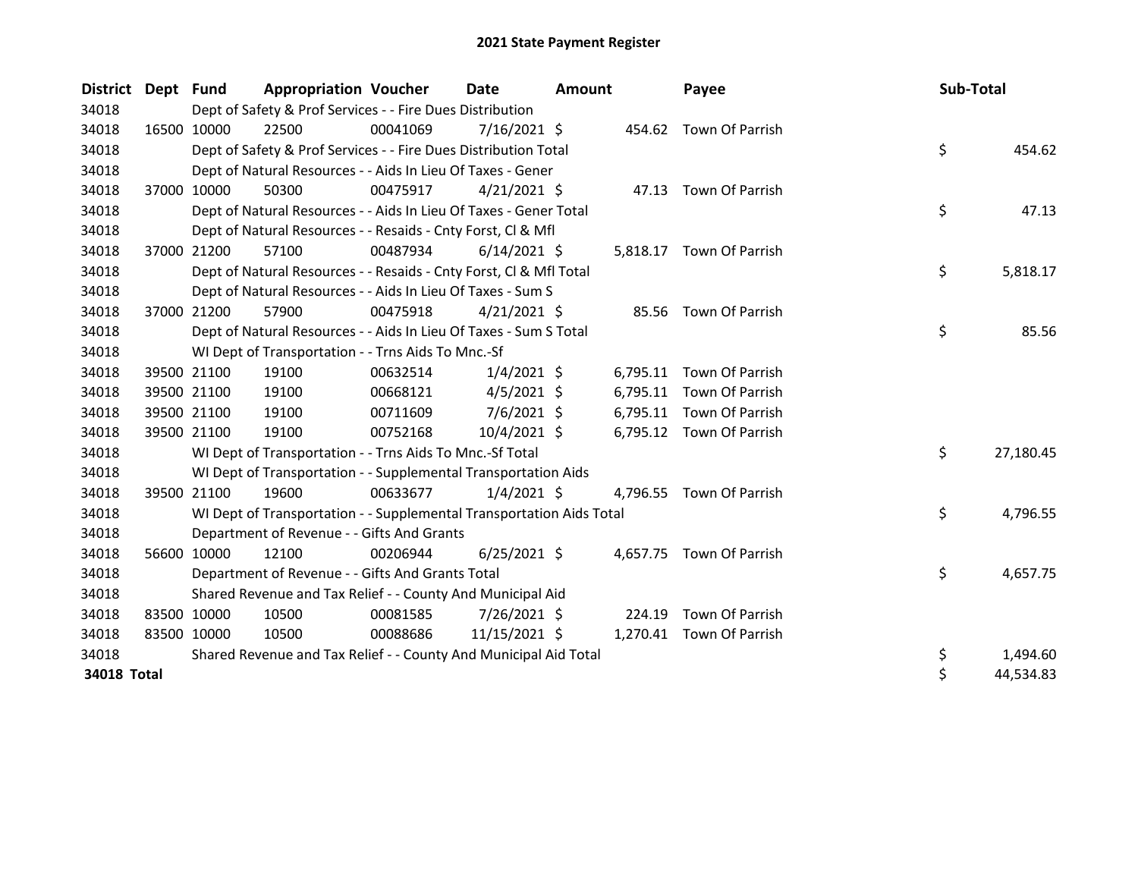| <b>District</b> | Dept Fund |             | <b>Appropriation Voucher</b>                                         |          | Date           | <b>Amount</b> |          | Payee                    | Sub-Total |           |
|-----------------|-----------|-------------|----------------------------------------------------------------------|----------|----------------|---------------|----------|--------------------------|-----------|-----------|
| 34018           |           |             | Dept of Safety & Prof Services - - Fire Dues Distribution            |          |                |               |          |                          |           |           |
| 34018           |           | 16500 10000 | 22500                                                                | 00041069 | 7/16/2021 \$   |               |          | 454.62 Town Of Parrish   |           |           |
| 34018           |           |             | Dept of Safety & Prof Services - - Fire Dues Distribution Total      |          |                |               |          |                          | \$        | 454.62    |
| 34018           |           |             | Dept of Natural Resources - - Aids In Lieu Of Taxes - Gener          |          |                |               |          |                          |           |           |
| 34018           |           | 37000 10000 | 50300                                                                | 00475917 | $4/21/2021$ \$ |               |          | 47.13 Town Of Parrish    |           |           |
| 34018           |           |             | Dept of Natural Resources - - Aids In Lieu Of Taxes - Gener Total    |          |                |               |          |                          | \$        | 47.13     |
| 34018           |           |             | Dept of Natural Resources - - Resaids - Cnty Forst, Cl & Mfl         |          |                |               |          |                          |           |           |
| 34018           |           | 37000 21200 | 57100                                                                | 00487934 | $6/14/2021$ \$ |               |          | 5,818.17 Town Of Parrish |           |           |
| 34018           |           |             | Dept of Natural Resources - - Resaids - Cnty Forst, Cl & Mfl Total   |          |                |               |          |                          | \$        | 5,818.17  |
| 34018           |           |             | Dept of Natural Resources - - Aids In Lieu Of Taxes - Sum S          |          |                |               |          |                          |           |           |
| 34018           |           | 37000 21200 | 57900                                                                | 00475918 | $4/21/2021$ \$ |               | 85.56    | Town Of Parrish          |           |           |
| 34018           |           |             | Dept of Natural Resources - - Aids In Lieu Of Taxes - Sum S Total    |          |                |               |          |                          | \$        | 85.56     |
| 34018           |           |             | WI Dept of Transportation - - Trns Aids To Mnc.-Sf                   |          |                |               |          |                          |           |           |
| 34018           |           | 39500 21100 | 19100                                                                | 00632514 | $1/4/2021$ \$  |               | 6,795.11 | Town Of Parrish          |           |           |
| 34018           |           | 39500 21100 | 19100                                                                | 00668121 | $4/5/2021$ \$  |               | 6,795.11 | Town Of Parrish          |           |           |
| 34018           |           | 39500 21100 | 19100                                                                | 00711609 | $7/6/2021$ \$  |               |          | 6,795.11 Town Of Parrish |           |           |
| 34018           |           | 39500 21100 | 19100                                                                | 00752168 | 10/4/2021 \$   |               |          | 6,795.12 Town Of Parrish |           |           |
| 34018           |           |             | WI Dept of Transportation - - Trns Aids To Mnc.-Sf Total             |          |                |               |          |                          | \$        | 27,180.45 |
| 34018           |           |             | WI Dept of Transportation - - Supplemental Transportation Aids       |          |                |               |          |                          |           |           |
| 34018           |           | 39500 21100 | 19600                                                                | 00633677 | $1/4/2021$ \$  |               |          | 4,796.55 Town Of Parrish |           |           |
| 34018           |           |             | WI Dept of Transportation - - Supplemental Transportation Aids Total |          |                |               |          |                          | \$        | 4,796.55  |
| 34018           |           |             | Department of Revenue - - Gifts And Grants                           |          |                |               |          |                          |           |           |
| 34018           |           | 56600 10000 | 12100                                                                | 00206944 | $6/25/2021$ \$ |               |          | 4,657.75 Town Of Parrish |           |           |
| 34018           |           |             | Department of Revenue - - Gifts And Grants Total                     |          |                |               |          |                          | \$        | 4,657.75  |
| 34018           |           |             | Shared Revenue and Tax Relief - - County And Municipal Aid           |          |                |               |          |                          |           |           |
| 34018           |           | 83500 10000 | 10500                                                                | 00081585 | 7/26/2021 \$   |               | 224.19   | Town Of Parrish          |           |           |
| 34018           |           | 83500 10000 | 10500                                                                | 00088686 | 11/15/2021 \$  |               |          | 1,270.41 Town Of Parrish |           |           |
| 34018           |           |             | Shared Revenue and Tax Relief - - County And Municipal Aid Total     |          |                |               |          |                          | \$        | 1,494.60  |
| 34018 Total     |           |             |                                                                      |          |                |               |          |                          | \$        | 44,534.83 |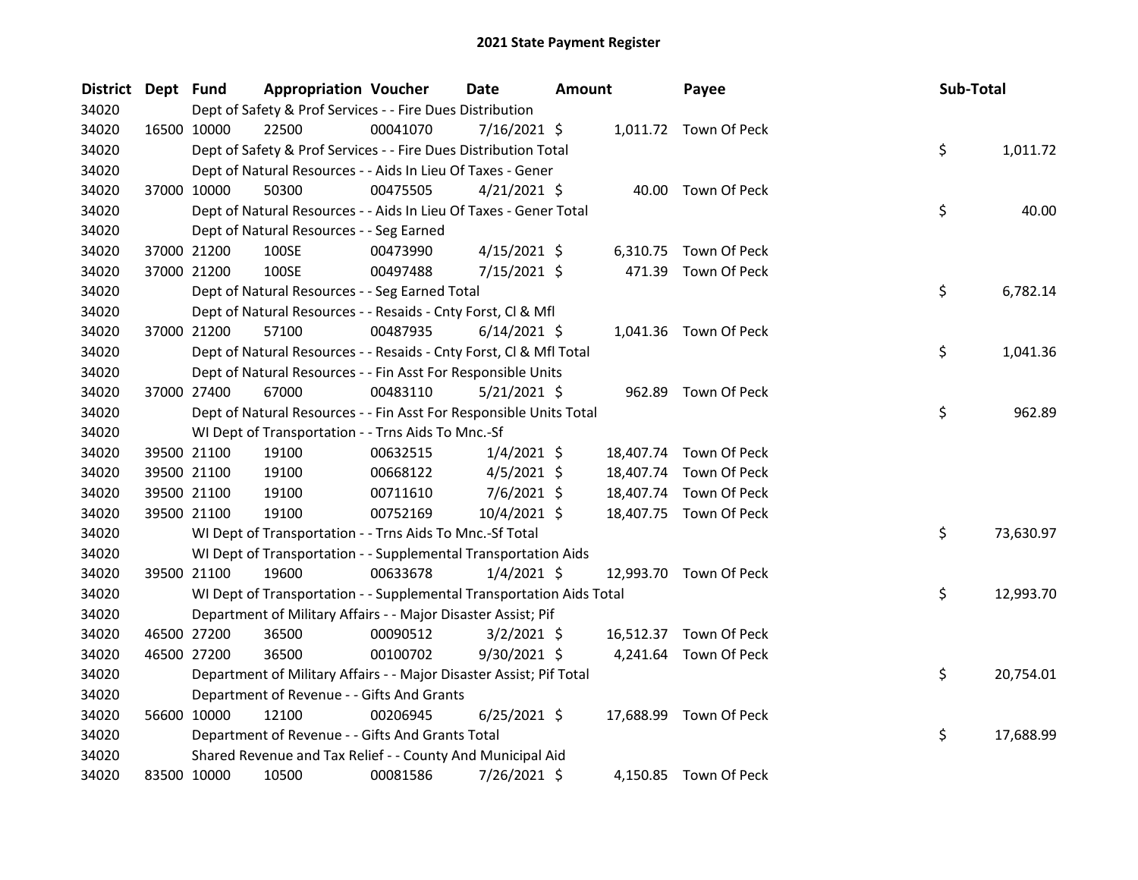| District | Dept Fund |                                                                      | <b>Appropriation Voucher</b> | <b>Date</b>    | Amount    | Payee                  | Sub-Total       |
|----------|-----------|----------------------------------------------------------------------|------------------------------|----------------|-----------|------------------------|-----------------|
| 34020    |           | Dept of Safety & Prof Services - - Fire Dues Distribution            |                              |                |           |                        |                 |
| 34020    |           | 16500 10000<br>22500                                                 | 00041070                     | 7/16/2021 \$   |           | 1,011.72 Town Of Peck  |                 |
| 34020    |           | Dept of Safety & Prof Services - - Fire Dues Distribution Total      |                              |                |           |                        | \$<br>1,011.72  |
| 34020    |           | Dept of Natural Resources - - Aids In Lieu Of Taxes - Gener          |                              |                |           |                        |                 |
| 34020    |           | 37000 10000<br>50300                                                 | 00475505                     | $4/21/2021$ \$ |           | 40.00 Town Of Peck     |                 |
| 34020    |           | Dept of Natural Resources - - Aids In Lieu Of Taxes - Gener Total    |                              |                |           |                        | \$<br>40.00     |
| 34020    |           | Dept of Natural Resources - - Seg Earned                             |                              |                |           |                        |                 |
| 34020    |           | 37000 21200<br>100SE                                                 | 00473990                     | $4/15/2021$ \$ |           | 6,310.75 Town Of Peck  |                 |
| 34020    |           | 37000 21200<br>100SE                                                 | 00497488                     | 7/15/2021 \$   |           | 471.39 Town Of Peck    |                 |
| 34020    |           | Dept of Natural Resources - - Seg Earned Total                       |                              |                |           |                        | \$.<br>6,782.14 |
| 34020    |           | Dept of Natural Resources - - Resaids - Cnty Forst, Cl & Mfl         |                              |                |           |                        |                 |
| 34020    |           | 37000 21200<br>57100                                                 | 00487935                     | $6/14/2021$ \$ |           | 1,041.36 Town Of Peck  |                 |
| 34020    |           | Dept of Natural Resources - - Resaids - Cnty Forst, Cl & Mfl Total   |                              |                |           |                        | \$<br>1,041.36  |
| 34020    |           | Dept of Natural Resources - - Fin Asst For Responsible Units         |                              |                |           |                        |                 |
| 34020    |           | 67000<br>37000 27400                                                 | 00483110                     | $5/21/2021$ \$ |           | 962.89 Town Of Peck    |                 |
| 34020    |           | Dept of Natural Resources - - Fin Asst For Responsible Units Total   |                              |                |           |                        | \$<br>962.89    |
| 34020    |           | WI Dept of Transportation - - Trns Aids To Mnc.-Sf                   |                              |                |           |                        |                 |
| 34020    |           | 19100<br>39500 21100                                                 | 00632515                     | $1/4/2021$ \$  |           | 18,407.74 Town Of Peck |                 |
| 34020    |           | 39500 21100<br>19100                                                 | 00668122                     | $4/5/2021$ \$  | 18,407.74 | Town Of Peck           |                 |
| 34020    |           | 39500 21100<br>19100                                                 | 00711610                     | $7/6/2021$ \$  | 18,407.74 | Town Of Peck           |                 |
| 34020    |           | 39500 21100<br>19100                                                 | 00752169                     | 10/4/2021 \$   |           | 18,407.75 Town Of Peck |                 |
| 34020    |           | WI Dept of Transportation - - Trns Aids To Mnc.-Sf Total             |                              |                |           |                        | \$<br>73,630.97 |
| 34020    |           | WI Dept of Transportation - - Supplemental Transportation Aids       |                              |                |           |                        |                 |
| 34020    |           | 19600<br>39500 21100                                                 | 00633678                     | $1/4/2021$ \$  | 12,993.70 | Town Of Peck           |                 |
| 34020    |           | WI Dept of Transportation - - Supplemental Transportation Aids Total |                              |                |           |                        | \$<br>12,993.70 |
| 34020    |           | Department of Military Affairs - - Major Disaster Assist; Pif        |                              |                |           |                        |                 |
| 34020    |           | 46500 27200<br>36500                                                 | 00090512                     | $3/2/2021$ \$  | 16,512.37 | Town Of Peck           |                 |
| 34020    |           | 46500 27200<br>36500                                                 | 00100702                     | 9/30/2021 \$   |           | 4,241.64 Town Of Peck  |                 |
| 34020    |           | Department of Military Affairs - - Major Disaster Assist; Pif Total  |                              |                |           |                        | \$<br>20,754.01 |
| 34020    |           | Department of Revenue - - Gifts And Grants                           |                              |                |           |                        |                 |
| 34020    |           | 56600 10000<br>12100                                                 | 00206945                     | $6/25/2021$ \$ |           | 17,688.99 Town Of Peck |                 |
| 34020    |           | Department of Revenue - - Gifts And Grants Total                     |                              |                |           |                        | \$<br>17,688.99 |
| 34020    |           | Shared Revenue and Tax Relief - - County And Municipal Aid           |                              |                |           |                        |                 |
| 34020    |           | 83500 10000<br>10500                                                 | 00081586                     | 7/26/2021 \$   |           | 4,150.85 Town Of Peck  |                 |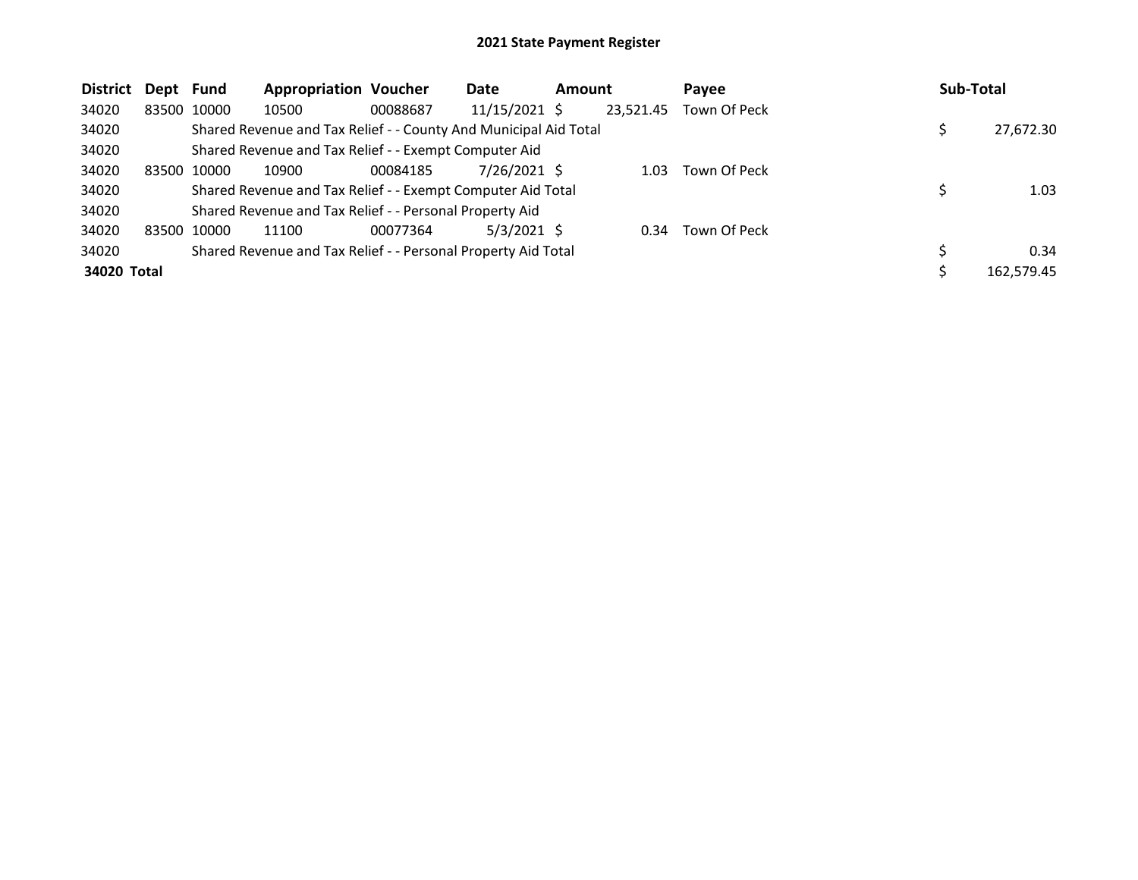| <b>District</b> | Dept Fund |             | <b>Appropriation Voucher</b>                                     |          | Date            | <b>Amount</b> |           | Payee        | <b>Sub-Total</b> |
|-----------------|-----------|-------------|------------------------------------------------------------------|----------|-----------------|---------------|-----------|--------------|------------------|
| 34020           |           | 83500 10000 | 10500                                                            | 00088687 | $11/15/2021$ \$ |               | 23,521.45 | Town Of Peck |                  |
| 34020           |           |             | Shared Revenue and Tax Relief - - County And Municipal Aid Total |          |                 |               |           |              | 27,672.30        |
| 34020           |           |             | Shared Revenue and Tax Relief - - Exempt Computer Aid            |          |                 |               |           |              |                  |
| 34020           |           | 83500 10000 | 10900                                                            | 00084185 | 7/26/2021 \$    |               | 1.03      | Town Of Peck |                  |
| 34020           |           |             | Shared Revenue and Tax Relief - - Exempt Computer Aid Total      |          |                 |               |           |              | 1.03             |
| 34020           |           |             | Shared Revenue and Tax Relief - - Personal Property Aid          |          |                 |               |           |              |                  |
| 34020           |           | 83500 10000 | 11100                                                            | 00077364 | $5/3/2021$ \$   |               | 0.34      | Town Of Peck |                  |
| 34020           |           |             | Shared Revenue and Tax Relief - - Personal Property Aid Total    |          |                 |               |           |              | 0.34             |
| 34020 Total     |           |             |                                                                  |          |                 |               |           |              | 162.579.45       |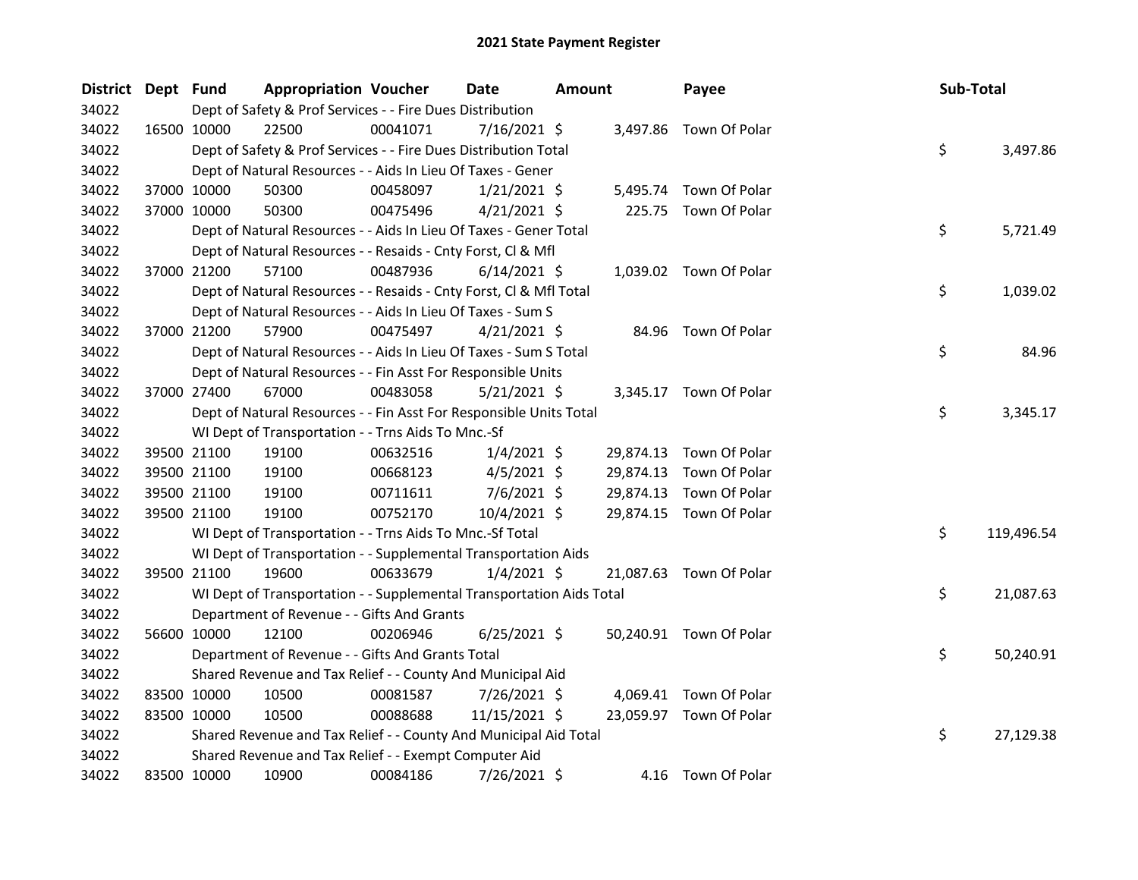| District Dept Fund |             | <b>Appropriation Voucher</b>                                         |          | <b>Date</b>    | <b>Amount</b> |           | Payee                   | Sub-Total |            |
|--------------------|-------------|----------------------------------------------------------------------|----------|----------------|---------------|-----------|-------------------------|-----------|------------|
| 34022              |             | Dept of Safety & Prof Services - - Fire Dues Distribution            |          |                |               |           |                         |           |            |
| 34022              | 16500 10000 | 22500                                                                | 00041071 | $7/16/2021$ \$ |               |           | 3,497.86 Town Of Polar  |           |            |
| 34022              |             | Dept of Safety & Prof Services - - Fire Dues Distribution Total      |          |                |               |           |                         | \$        | 3,497.86   |
| 34022              |             | Dept of Natural Resources - - Aids In Lieu Of Taxes - Gener          |          |                |               |           |                         |           |            |
| 34022              | 37000 10000 | 50300                                                                | 00458097 | $1/21/2021$ \$ |               | 5,495.74  | Town Of Polar           |           |            |
| 34022              | 37000 10000 | 50300                                                                | 00475496 | $4/21/2021$ \$ |               | 225.75    | Town Of Polar           |           |            |
| 34022              |             | Dept of Natural Resources - - Aids In Lieu Of Taxes - Gener Total    |          |                |               |           |                         | \$        | 5,721.49   |
| 34022              |             | Dept of Natural Resources - - Resaids - Cnty Forst, Cl & Mfl         |          |                |               |           |                         |           |            |
| 34022              | 37000 21200 | 57100                                                                | 00487936 | $6/14/2021$ \$ |               |           | 1,039.02 Town Of Polar  |           |            |
| 34022              |             | Dept of Natural Resources - - Resaids - Cnty Forst, Cl & Mfl Total   |          |                |               |           |                         | \$        | 1,039.02   |
| 34022              |             | Dept of Natural Resources - - Aids In Lieu Of Taxes - Sum S          |          |                |               |           |                         |           |            |
| 34022              | 37000 21200 | 57900                                                                | 00475497 | $4/21/2021$ \$ |               |           | 84.96 Town Of Polar     |           |            |
| 34022              |             | Dept of Natural Resources - - Aids In Lieu Of Taxes - Sum S Total    |          |                |               |           |                         | \$        | 84.96      |
| 34022              |             | Dept of Natural Resources - - Fin Asst For Responsible Units         |          |                |               |           |                         |           |            |
| 34022              | 37000 27400 | 67000                                                                | 00483058 | $5/21/2021$ \$ |               |           | 3,345.17 Town Of Polar  |           |            |
| 34022              |             | Dept of Natural Resources - - Fin Asst For Responsible Units Total   |          |                |               |           |                         | \$        | 3,345.17   |
| 34022              |             | WI Dept of Transportation - - Trns Aids To Mnc.-Sf                   |          |                |               |           |                         |           |            |
| 34022              | 39500 21100 | 19100                                                                | 00632516 | $1/4/2021$ \$  |               |           | 29,874.13 Town Of Polar |           |            |
| 34022              | 39500 21100 | 19100                                                                | 00668123 | $4/5/2021$ \$  |               | 29,874.13 | Town Of Polar           |           |            |
| 34022              | 39500 21100 | 19100                                                                | 00711611 | $7/6/2021$ \$  |               | 29,874.13 | Town Of Polar           |           |            |
| 34022              | 39500 21100 | 19100                                                                | 00752170 | 10/4/2021 \$   |               |           | 29,874.15 Town Of Polar |           |            |
| 34022              |             | WI Dept of Transportation - - Trns Aids To Mnc.-Sf Total             |          |                |               |           |                         | \$        | 119,496.54 |
| 34022              |             | WI Dept of Transportation - - Supplemental Transportation Aids       |          |                |               |           |                         |           |            |
| 34022              | 39500 21100 | 19600                                                                | 00633679 | $1/4/2021$ \$  |               |           | 21,087.63 Town Of Polar |           |            |
| 34022              |             | WI Dept of Transportation - - Supplemental Transportation Aids Total |          |                |               |           |                         | \$        | 21,087.63  |
| 34022              |             | Department of Revenue - - Gifts And Grants                           |          |                |               |           |                         |           |            |
| 34022              | 56600 10000 | 12100                                                                | 00206946 | $6/25/2021$ \$ |               |           | 50,240.91 Town Of Polar |           |            |
| 34022              |             | Department of Revenue - - Gifts And Grants Total                     |          |                |               |           |                         | \$        | 50,240.91  |
| 34022              |             | Shared Revenue and Tax Relief - - County And Municipal Aid           |          |                |               |           |                         |           |            |
| 34022              | 83500 10000 | 10500                                                                | 00081587 | 7/26/2021 \$   |               |           | 4,069.41 Town Of Polar  |           |            |
| 34022              | 83500 10000 | 10500                                                                | 00088688 | 11/15/2021 \$  |               |           | 23,059.97 Town Of Polar |           |            |
| 34022              |             | Shared Revenue and Tax Relief - - County And Municipal Aid Total     |          |                |               |           |                         | \$        | 27,129.38  |
| 34022              |             | Shared Revenue and Tax Relief - - Exempt Computer Aid                |          |                |               |           |                         |           |            |
| 34022              | 83500 10000 | 10900                                                                | 00084186 | 7/26/2021 \$   |               |           | 4.16 Town Of Polar      |           |            |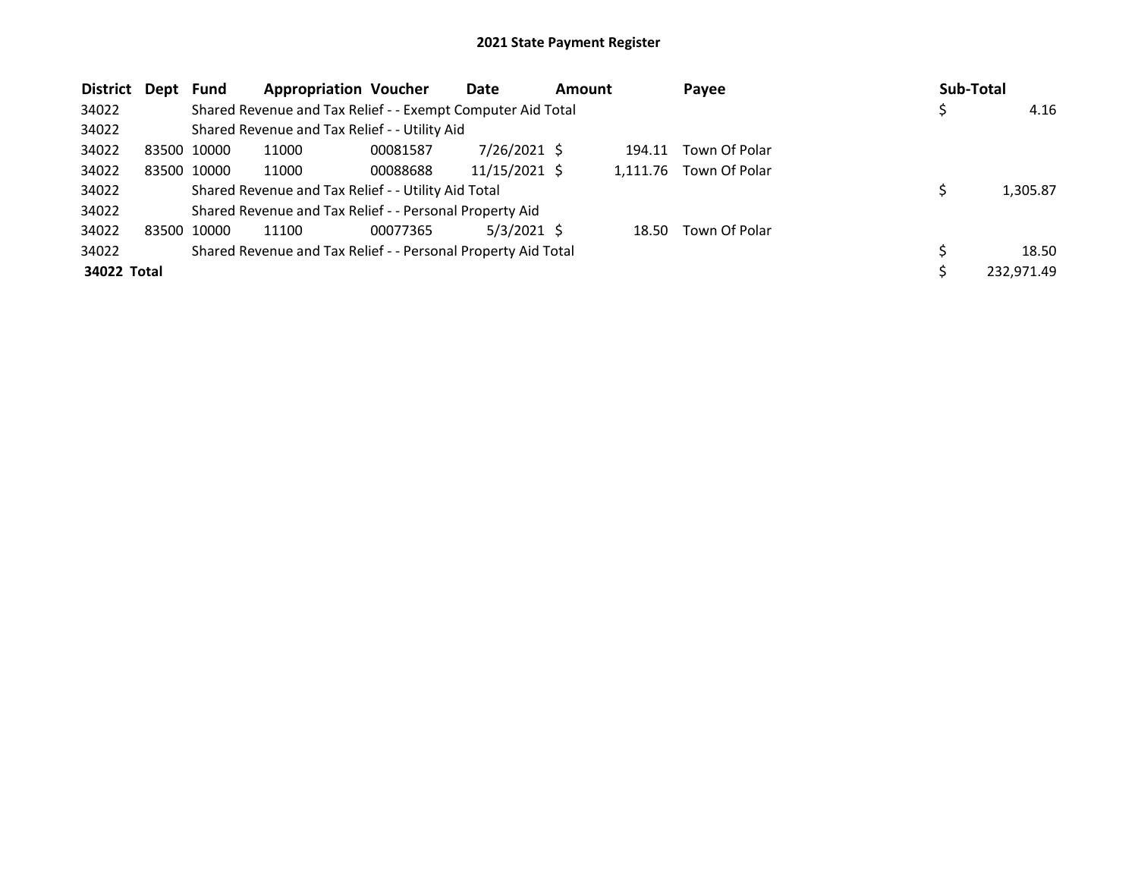| District Dept | Fund        | <b>Appropriation Voucher</b>                                  |          | Date            | <b>Amount</b> |        | Payee                  | Sub-Total |            |
|---------------|-------------|---------------------------------------------------------------|----------|-----------------|---------------|--------|------------------------|-----------|------------|
| 34022         |             | Shared Revenue and Tax Relief - - Exempt Computer Aid Total   |          |                 |               |        |                        |           | 4.16       |
| 34022         |             | Shared Revenue and Tax Relief - - Utility Aid                 |          |                 |               |        |                        |           |            |
| 34022         | 83500 10000 | 11000                                                         | 00081587 | 7/26/2021 \$    |               | 194.11 | Town Of Polar          |           |            |
| 34022         | 83500 10000 | 11000                                                         | 00088688 | $11/15/2021$ \$ |               |        | 1,111.76 Town Of Polar |           |            |
| 34022         |             | Shared Revenue and Tax Relief - - Utility Aid Total           |          |                 |               |        |                        |           | 1,305.87   |
| 34022         |             | Shared Revenue and Tax Relief - - Personal Property Aid       |          |                 |               |        |                        |           |            |
| 34022         | 83500 10000 | 11100                                                         | 00077365 | $5/3/2021$ \$   |               | 18.50  | Town Of Polar          |           |            |
| 34022         |             | Shared Revenue and Tax Relief - - Personal Property Aid Total |          |                 |               |        |                        |           | 18.50      |
| 34022 Total   |             |                                                               |          |                 |               |        |                        |           | 232,971.49 |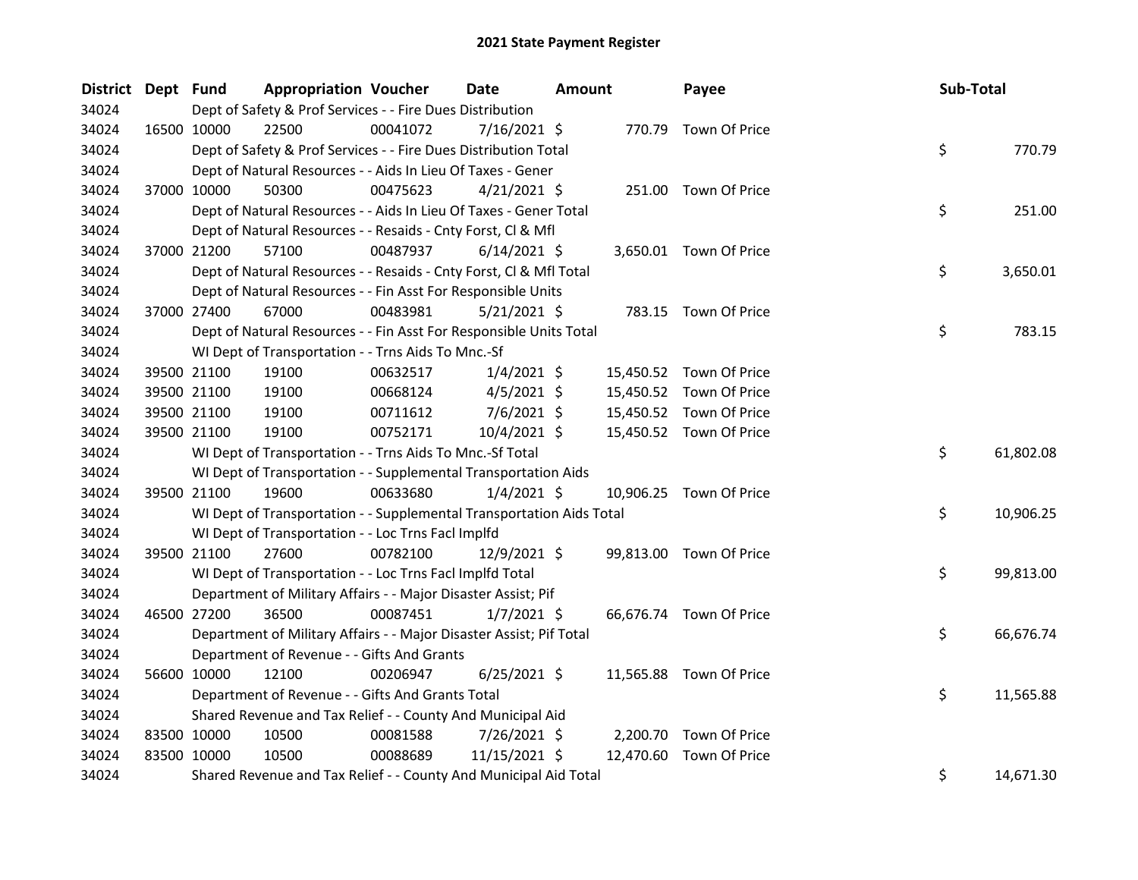| District Dept Fund |             | <b>Appropriation Voucher</b>                                         |          | <b>Date</b><br><b>Amount</b> |  | Payee     | Sub-Total               |    |           |
|--------------------|-------------|----------------------------------------------------------------------|----------|------------------------------|--|-----------|-------------------------|----|-----------|
| 34024              |             | Dept of Safety & Prof Services - - Fire Dues Distribution            |          |                              |  |           |                         |    |           |
| 34024              | 16500 10000 | 22500                                                                | 00041072 | 7/16/2021 \$                 |  |           | 770.79 Town Of Price    |    |           |
| 34024              |             | Dept of Safety & Prof Services - - Fire Dues Distribution Total      |          |                              |  |           |                         | \$ | 770.79    |
| 34024              |             | Dept of Natural Resources - - Aids In Lieu Of Taxes - Gener          |          |                              |  |           |                         |    |           |
| 34024              | 37000 10000 | 50300                                                                | 00475623 | $4/21/2021$ \$               |  |           | 251.00 Town Of Price    |    |           |
| 34024              |             | Dept of Natural Resources - - Aids In Lieu Of Taxes - Gener Total    |          |                              |  |           |                         | \$ | 251.00    |
| 34024              |             | Dept of Natural Resources - - Resaids - Cnty Forst, Cl & Mfl         |          |                              |  |           |                         |    |           |
| 34024              | 37000 21200 | 57100                                                                | 00487937 | $6/14/2021$ \$               |  |           | 3,650.01 Town Of Price  |    |           |
| 34024              |             | Dept of Natural Resources - - Resaids - Cnty Forst, CI & Mfl Total   |          |                              |  |           |                         | \$ | 3,650.01  |
| 34024              |             | Dept of Natural Resources - - Fin Asst For Responsible Units         |          |                              |  |           |                         |    |           |
| 34024              | 37000 27400 | 67000                                                                | 00483981 | 5/21/2021 \$                 |  |           | 783.15 Town Of Price    |    |           |
| 34024              |             | Dept of Natural Resources - - Fin Asst For Responsible Units Total   |          |                              |  |           |                         | \$ | 783.15    |
| 34024              |             | WI Dept of Transportation - - Trns Aids To Mnc.-Sf                   |          |                              |  |           |                         |    |           |
| 34024              | 39500 21100 | 19100                                                                | 00632517 | $1/4/2021$ \$                |  |           | 15,450.52 Town Of Price |    |           |
| 34024              | 39500 21100 | 19100                                                                | 00668124 | $4/5/2021$ \$                |  |           | 15,450.52 Town Of Price |    |           |
| 34024              | 39500 21100 | 19100                                                                | 00711612 | $7/6/2021$ \$                |  |           | 15,450.52 Town Of Price |    |           |
| 34024              | 39500 21100 | 19100                                                                | 00752171 | 10/4/2021 \$                 |  |           | 15,450.52 Town Of Price |    |           |
| 34024              |             | WI Dept of Transportation - - Trns Aids To Mnc.-Sf Total             |          |                              |  |           |                         | \$ | 61,802.08 |
| 34024              |             | WI Dept of Transportation - - Supplemental Transportation Aids       |          |                              |  |           |                         |    |           |
| 34024              | 39500 21100 | 19600                                                                | 00633680 | $1/4/2021$ \$                |  |           | 10,906.25 Town Of Price |    |           |
| 34024              |             | WI Dept of Transportation - - Supplemental Transportation Aids Total |          |                              |  |           |                         | \$ | 10,906.25 |
| 34024              |             | WI Dept of Transportation - - Loc Trns Facl Implfd                   |          |                              |  |           |                         |    |           |
| 34024              | 39500 21100 | 27600                                                                | 00782100 | 12/9/2021 \$                 |  |           | 99,813.00 Town Of Price |    |           |
| 34024              |             | WI Dept of Transportation - - Loc Trns Facl Implfd Total             |          |                              |  |           |                         | \$ | 99,813.00 |
| 34024              |             | Department of Military Affairs - - Major Disaster Assist; Pif        |          |                              |  |           |                         |    |           |
| 34024              | 46500 27200 | 36500                                                                | 00087451 | $1/7/2021$ \$                |  |           | 66,676.74 Town Of Price |    |           |
| 34024              |             | Department of Military Affairs - - Major Disaster Assist; Pif Total  |          |                              |  |           |                         | \$ | 66,676.74 |
| 34024              |             | Department of Revenue - - Gifts And Grants                           |          |                              |  |           |                         |    |           |
| 34024              | 56600 10000 | 12100                                                                | 00206947 | $6/25/2021$ \$               |  |           | 11,565.88 Town Of Price |    |           |
| 34024              |             | Department of Revenue - - Gifts And Grants Total                     |          |                              |  |           |                         | \$ | 11,565.88 |
| 34024              |             | Shared Revenue and Tax Relief - - County And Municipal Aid           |          |                              |  |           |                         |    |           |
| 34024              | 83500 10000 | 10500                                                                | 00081588 | 7/26/2021 \$                 |  |           | 2,200.70 Town Of Price  |    |           |
| 34024              | 83500 10000 | 10500                                                                | 00088689 | 11/15/2021 \$                |  | 12,470.60 | Town Of Price           |    |           |
| 34024              |             | Shared Revenue and Tax Relief - - County And Municipal Aid Total     |          |                              |  |           |                         | \$ | 14,671.30 |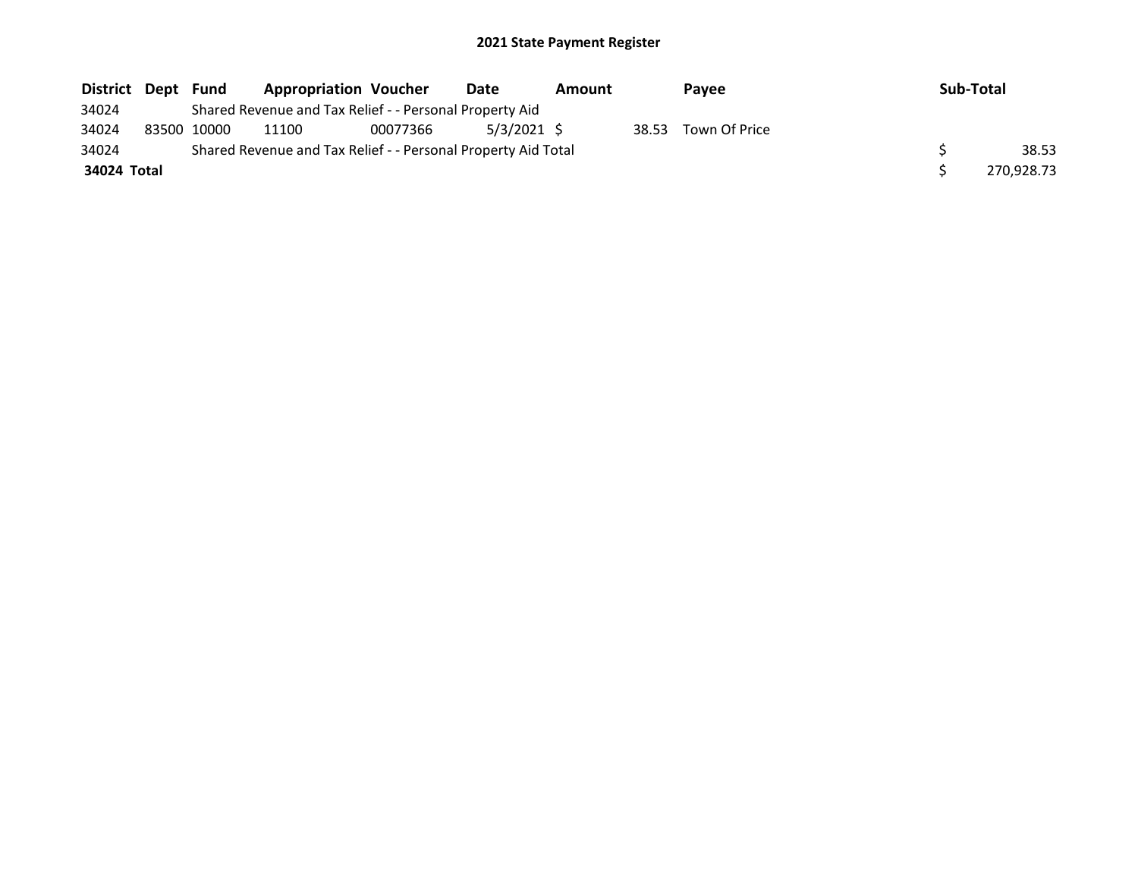| District Dept | Fund        | <b>Appropriation Voucher</b>                                  |          | Date          | Amount |       | Payee         | Sub-Total |            |
|---------------|-------------|---------------------------------------------------------------|----------|---------------|--------|-------|---------------|-----------|------------|
| 34024         |             | Shared Revenue and Tax Relief - - Personal Property Aid       |          |               |        |       |               |           |            |
| 34024         | 83500 10000 | 11100                                                         | 00077366 | $5/3/2021$ \$ |        | 38.53 | Town Of Price |           |            |
| 34024         |             | Shared Revenue and Tax Relief - - Personal Property Aid Total |          |               |        |       |               |           | 38.53      |
| 34024 Total   |             |                                                               |          |               |        |       |               |           | 270,928.73 |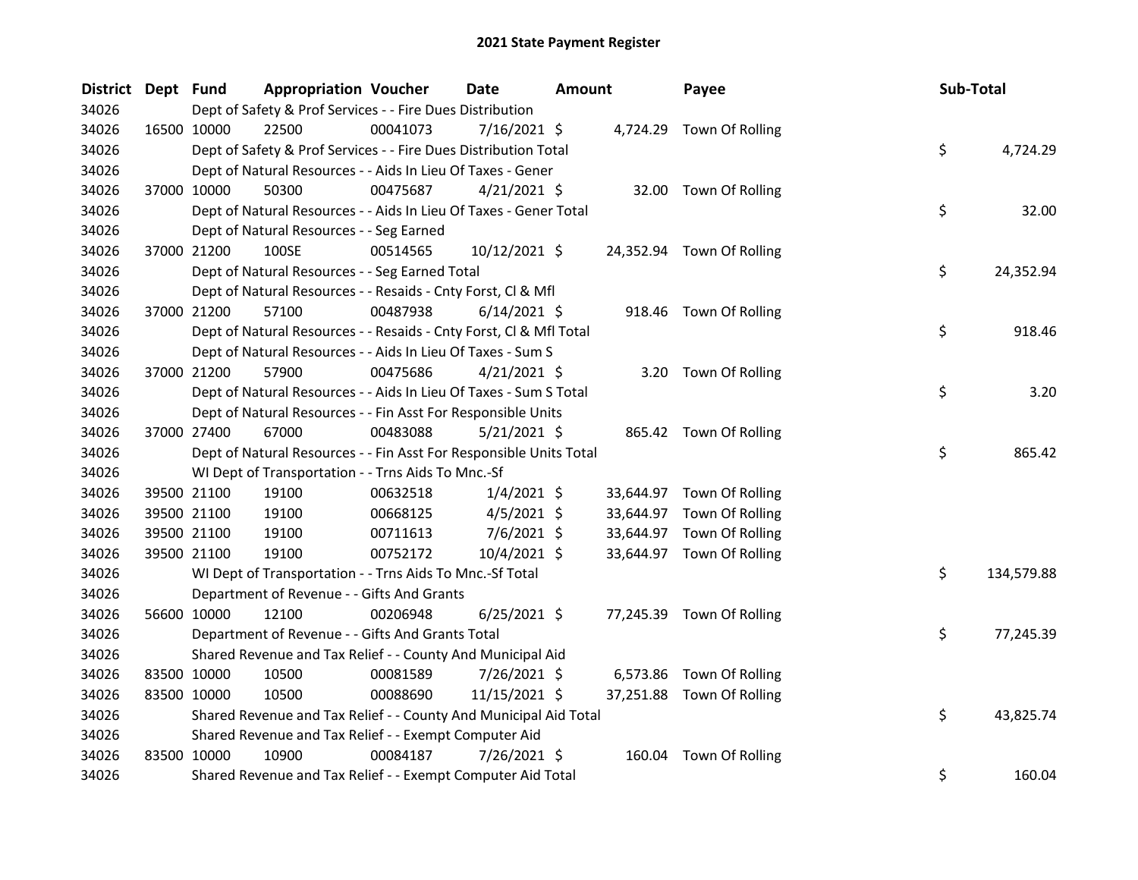| District Dept Fund | <b>Appropriation Voucher</b>                                       |          | <b>Date</b>    | <b>Amount</b> |           | Payee                     | Sub-Total        |
|--------------------|--------------------------------------------------------------------|----------|----------------|---------------|-----------|---------------------------|------------------|
| 34026              | Dept of Safety & Prof Services - - Fire Dues Distribution          |          |                |               |           |                           |                  |
| 34026              | 16500 10000<br>22500                                               | 00041073 | $7/16/2021$ \$ |               |           | 4,724.29 Town Of Rolling  |                  |
| 34026              | Dept of Safety & Prof Services - - Fire Dues Distribution Total    |          |                |               |           |                           | \$<br>4,724.29   |
| 34026              | Dept of Natural Resources - - Aids In Lieu Of Taxes - Gener        |          |                |               |           |                           |                  |
| 34026              | 50300<br>37000 10000                                               | 00475687 | $4/21/2021$ \$ |               |           | 32.00 Town Of Rolling     |                  |
| 34026              | Dept of Natural Resources - - Aids In Lieu Of Taxes - Gener Total  |          |                |               |           |                           | \$<br>32.00      |
| 34026              | Dept of Natural Resources - - Seg Earned                           |          |                |               |           |                           |                  |
| 34026              | 100SE<br>37000 21200                                               | 00514565 | 10/12/2021 \$  |               |           | 24,352.94 Town Of Rolling |                  |
| 34026              | Dept of Natural Resources - - Seg Earned Total                     |          |                |               |           |                           | \$<br>24,352.94  |
| 34026              | Dept of Natural Resources - - Resaids - Cnty Forst, Cl & Mfl       |          |                |               |           |                           |                  |
| 34026              | 37000 21200<br>57100                                               | 00487938 | $6/14/2021$ \$ |               |           | 918.46 Town Of Rolling    |                  |
| 34026              | Dept of Natural Resources - - Resaids - Cnty Forst, Cl & Mfl Total |          |                |               |           |                           | \$<br>918.46     |
| 34026              | Dept of Natural Resources - - Aids In Lieu Of Taxes - Sum S        |          |                |               |           |                           |                  |
| 34026              | 37000 21200<br>57900                                               | 00475686 | $4/21/2021$ \$ |               |           | 3.20 Town Of Rolling      |                  |
| 34026              | Dept of Natural Resources - - Aids In Lieu Of Taxes - Sum S Total  |          |                |               |           |                           | \$<br>3.20       |
| 34026              | Dept of Natural Resources - - Fin Asst For Responsible Units       |          |                |               |           |                           |                  |
| 34026              | 67000<br>37000 27400                                               | 00483088 | $5/21/2021$ \$ |               |           | 865.42 Town Of Rolling    |                  |
| 34026              | Dept of Natural Resources - - Fin Asst For Responsible Units Total |          |                |               |           |                           | \$<br>865.42     |
| 34026              | WI Dept of Transportation - - Trns Aids To Mnc.-Sf                 |          |                |               |           |                           |                  |
| 34026              | 39500 21100<br>19100                                               | 00632518 | $1/4/2021$ \$  |               |           | 33,644.97 Town Of Rolling |                  |
| 34026              | 39500 21100<br>19100                                               | 00668125 | $4/5/2021$ \$  |               | 33,644.97 | Town Of Rolling           |                  |
| 34026              | 39500 21100<br>19100                                               | 00711613 | $7/6/2021$ \$  |               | 33,644.97 | Town Of Rolling           |                  |
| 34026              | 19100<br>39500 21100                                               | 00752172 | 10/4/2021 \$   |               |           | 33,644.97 Town Of Rolling |                  |
| 34026              | WI Dept of Transportation - - Trns Aids To Mnc.-Sf Total           |          |                |               |           |                           | \$<br>134,579.88 |
| 34026              | Department of Revenue - - Gifts And Grants                         |          |                |               |           |                           |                  |
| 34026              | 56600 10000<br>12100                                               | 00206948 | $6/25/2021$ \$ |               |           | 77,245.39 Town Of Rolling |                  |
| 34026              | Department of Revenue - - Gifts And Grants Total                   |          |                |               |           |                           | \$<br>77,245.39  |
| 34026              | Shared Revenue and Tax Relief - - County And Municipal Aid         |          |                |               |           |                           |                  |
| 34026              | 83500 10000<br>10500                                               | 00081589 | 7/26/2021 \$   |               | 6,573.86  | Town Of Rolling           |                  |
| 34026              | 83500 10000<br>10500                                               | 00088690 | 11/15/2021 \$  |               |           | 37,251.88 Town Of Rolling |                  |
| 34026              | Shared Revenue and Tax Relief - - County And Municipal Aid Total   |          |                |               |           |                           | \$<br>43,825.74  |
| 34026              | Shared Revenue and Tax Relief - - Exempt Computer Aid              |          |                |               |           |                           |                  |
| 34026              | 83500 10000<br>10900                                               | 00084187 | 7/26/2021 \$   |               | 160.04    | Town Of Rolling           |                  |
| 34026              | Shared Revenue and Tax Relief - - Exempt Computer Aid Total        |          |                |               |           |                           | \$<br>160.04     |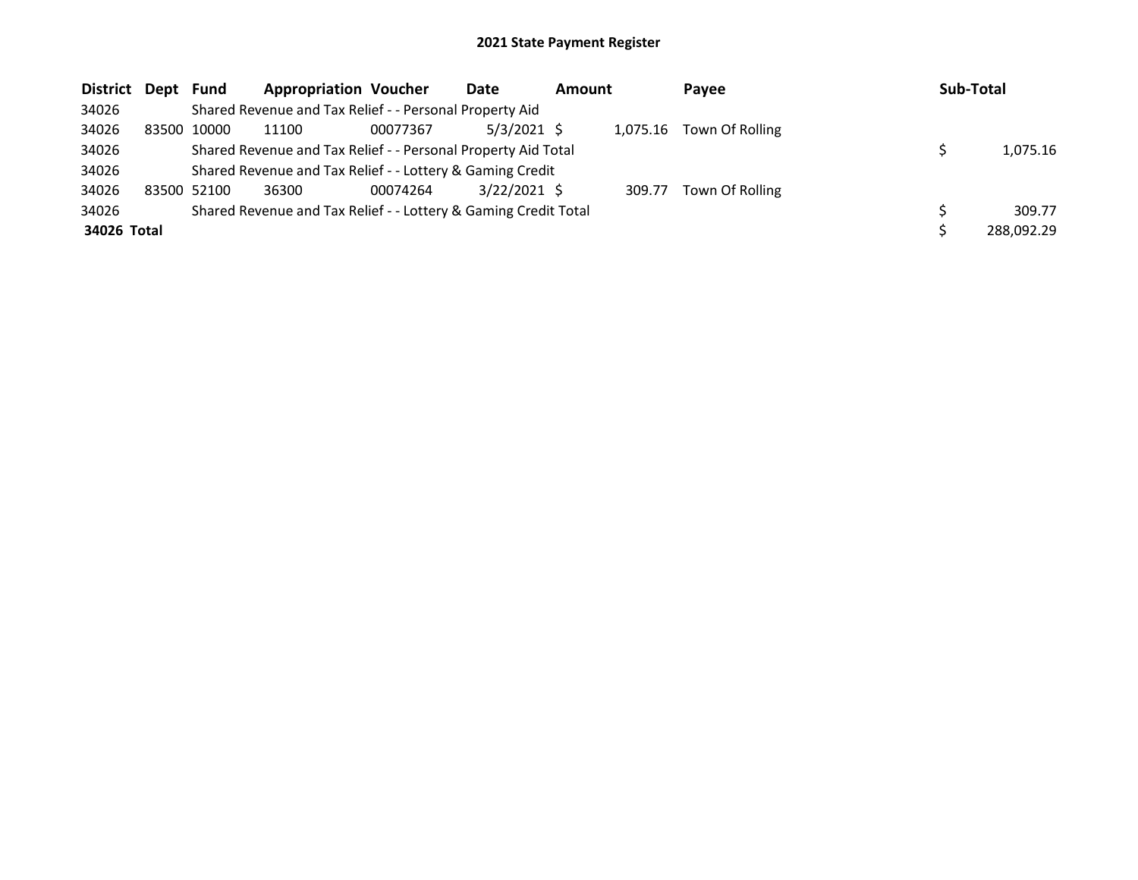| District Dept Fund |             | <b>Appropriation Voucher</b>                                    |          | Date           | <b>Amount</b> |          | Payee           | Sub-Total |            |
|--------------------|-------------|-----------------------------------------------------------------|----------|----------------|---------------|----------|-----------------|-----------|------------|
| 34026              |             | Shared Revenue and Tax Relief - - Personal Property Aid         |          |                |               |          |                 |           |            |
| 34026              | 83500 10000 | 11100                                                           | 00077367 | $5/3/2021$ \$  |               | 1.075.16 | Town Of Rolling |           |            |
| 34026              |             | Shared Revenue and Tax Relief - - Personal Property Aid Total   |          |                |               |          |                 |           | 1,075.16   |
| 34026              |             | Shared Revenue and Tax Relief - - Lottery & Gaming Credit       |          |                |               |          |                 |           |            |
| 34026              | 83500 52100 | 36300                                                           | 00074264 | $3/22/2021$ \$ |               | 309.77   | Town Of Rolling |           |            |
| 34026              |             | Shared Revenue and Tax Relief - - Lottery & Gaming Credit Total |          |                |               |          |                 |           | 309.77     |
| 34026 Total        |             |                                                                 |          |                |               |          |                 |           | 288,092.29 |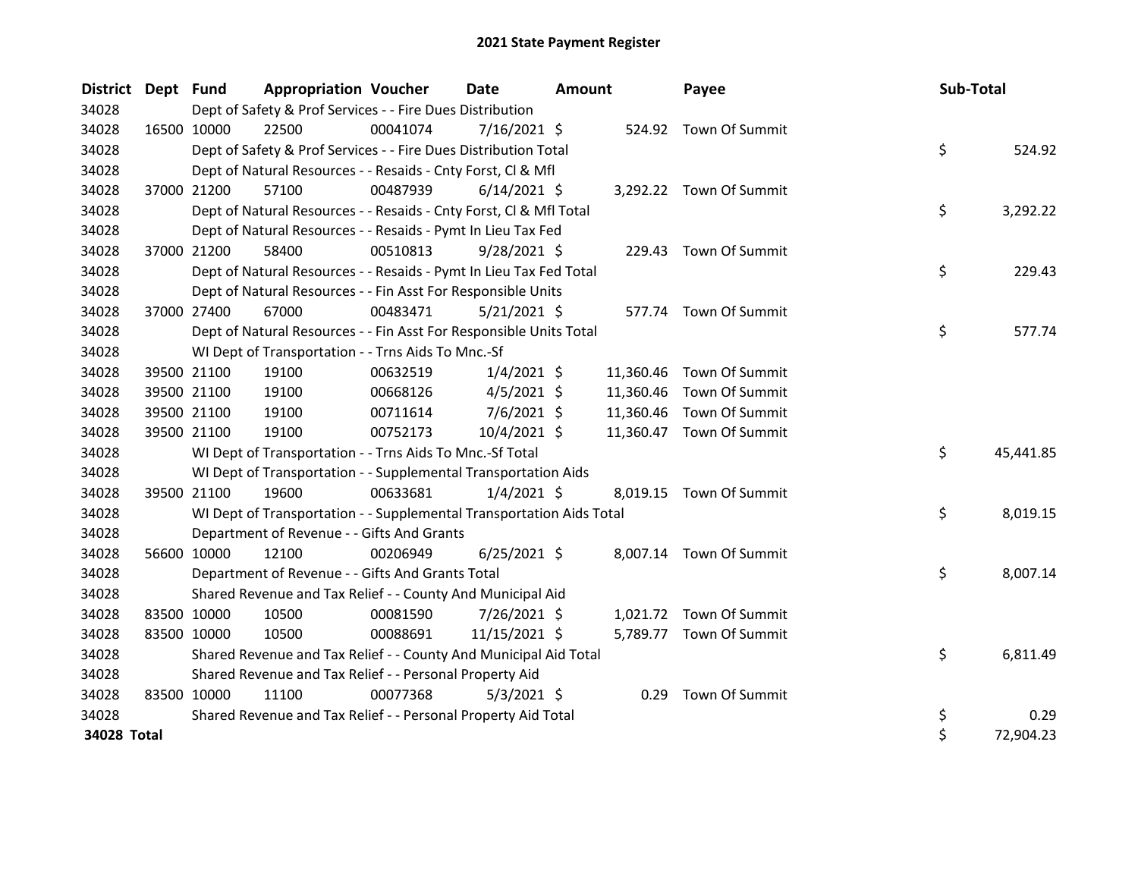| <b>District</b> | Dept Fund |                                                           | <b>Appropriation Voucher</b>                                         |          | <b>Date</b>    | Amount |           | Payee                    | Sub-Total |           |
|-----------------|-----------|-----------------------------------------------------------|----------------------------------------------------------------------|----------|----------------|--------|-----------|--------------------------|-----------|-----------|
| 34028           |           | Dept of Safety & Prof Services - - Fire Dues Distribution |                                                                      |          |                |        |           |                          |           |           |
| 34028           |           | 16500 10000                                               | 22500                                                                | 00041074 | $7/16/2021$ \$ |        |           | 524.92 Town Of Summit    |           |           |
| 34028           |           |                                                           | Dept of Safety & Prof Services - - Fire Dues Distribution Total      |          |                |        |           |                          | \$        | 524.92    |
| 34028           |           |                                                           | Dept of Natural Resources - - Resaids - Cnty Forst, Cl & Mfl         |          |                |        |           |                          |           |           |
| 34028           |           | 37000 21200                                               | 57100                                                                | 00487939 | $6/14/2021$ \$ |        |           | 3,292.22 Town Of Summit  |           |           |
| 34028           |           |                                                           | Dept of Natural Resources - - Resaids - Cnty Forst, CI & Mfl Total   |          |                |        |           |                          | \$        | 3,292.22  |
| 34028           |           |                                                           | Dept of Natural Resources - - Resaids - Pymt In Lieu Tax Fed         |          |                |        |           |                          |           |           |
| 34028           |           | 37000 21200                                               | 58400                                                                | 00510813 | $9/28/2021$ \$ |        |           | 229.43 Town Of Summit    |           |           |
| 34028           |           |                                                           | Dept of Natural Resources - - Resaids - Pymt In Lieu Tax Fed Total   |          |                |        |           |                          | \$        | 229.43    |
| 34028           |           |                                                           | Dept of Natural Resources - - Fin Asst For Responsible Units         |          |                |        |           |                          |           |           |
| 34028           |           | 37000 27400                                               | 67000                                                                | 00483471 | $5/21/2021$ \$ |        |           | 577.74 Town Of Summit    |           |           |
| 34028           |           |                                                           | Dept of Natural Resources - - Fin Asst For Responsible Units Total   |          |                |        |           |                          | \$        | 577.74    |
| 34028           |           |                                                           | WI Dept of Transportation - - Trns Aids To Mnc.-Sf                   |          |                |        |           |                          |           |           |
| 34028           |           | 39500 21100                                               | 19100                                                                | 00632519 | $1/4/2021$ \$  |        | 11,360.46 | Town Of Summit           |           |           |
| 34028           |           | 39500 21100                                               | 19100                                                                | 00668126 | $4/5/2021$ \$  |        | 11,360.46 | Town Of Summit           |           |           |
| 34028           |           | 39500 21100                                               | 19100                                                                | 00711614 | 7/6/2021 \$    |        | 11,360.46 | Town Of Summit           |           |           |
| 34028           |           | 39500 21100                                               | 19100                                                                | 00752173 | 10/4/2021 \$   |        |           | 11,360.47 Town Of Summit |           |           |
| 34028           |           |                                                           | WI Dept of Transportation - - Trns Aids To Mnc.-Sf Total             |          |                |        |           |                          | \$        | 45,441.85 |
| 34028           |           |                                                           | WI Dept of Transportation - - Supplemental Transportation Aids       |          |                |        |           |                          |           |           |
| 34028           |           | 39500 21100                                               | 19600                                                                | 00633681 | $1/4/2021$ \$  |        |           | 8,019.15 Town Of Summit  |           |           |
| 34028           |           |                                                           | WI Dept of Transportation - - Supplemental Transportation Aids Total |          |                |        |           |                          | \$        | 8,019.15  |
| 34028           |           |                                                           | Department of Revenue - - Gifts And Grants                           |          |                |        |           |                          |           |           |
| 34028           |           | 56600 10000                                               | 12100                                                                | 00206949 | $6/25/2021$ \$ |        |           | 8,007.14 Town Of Summit  |           |           |
| 34028           |           |                                                           | Department of Revenue - - Gifts And Grants Total                     |          |                |        |           |                          | \$        | 8,007.14  |
| 34028           |           |                                                           | Shared Revenue and Tax Relief - - County And Municipal Aid           |          |                |        |           |                          |           |           |
| 34028           |           | 83500 10000                                               | 10500                                                                | 00081590 | 7/26/2021 \$   |        |           | 1,021.72 Town Of Summit  |           |           |
| 34028           |           | 83500 10000                                               | 10500                                                                | 00088691 | 11/15/2021 \$  |        |           | 5,789.77 Town Of Summit  |           |           |
| 34028           |           |                                                           | Shared Revenue and Tax Relief - - County And Municipal Aid Total     |          |                |        |           |                          | \$        | 6,811.49  |
| 34028           |           |                                                           | Shared Revenue and Tax Relief - - Personal Property Aid              |          |                |        |           |                          |           |           |
| 34028           |           | 83500 10000                                               | 11100                                                                | 00077368 | $5/3/2021$ \$  |        | 0.29      | Town Of Summit           |           |           |
| 34028           |           |                                                           | Shared Revenue and Tax Relief - - Personal Property Aid Total        |          |                |        |           |                          | \$        | 0.29      |
| 34028 Total     |           |                                                           |                                                                      |          |                |        |           |                          | \$        | 72,904.23 |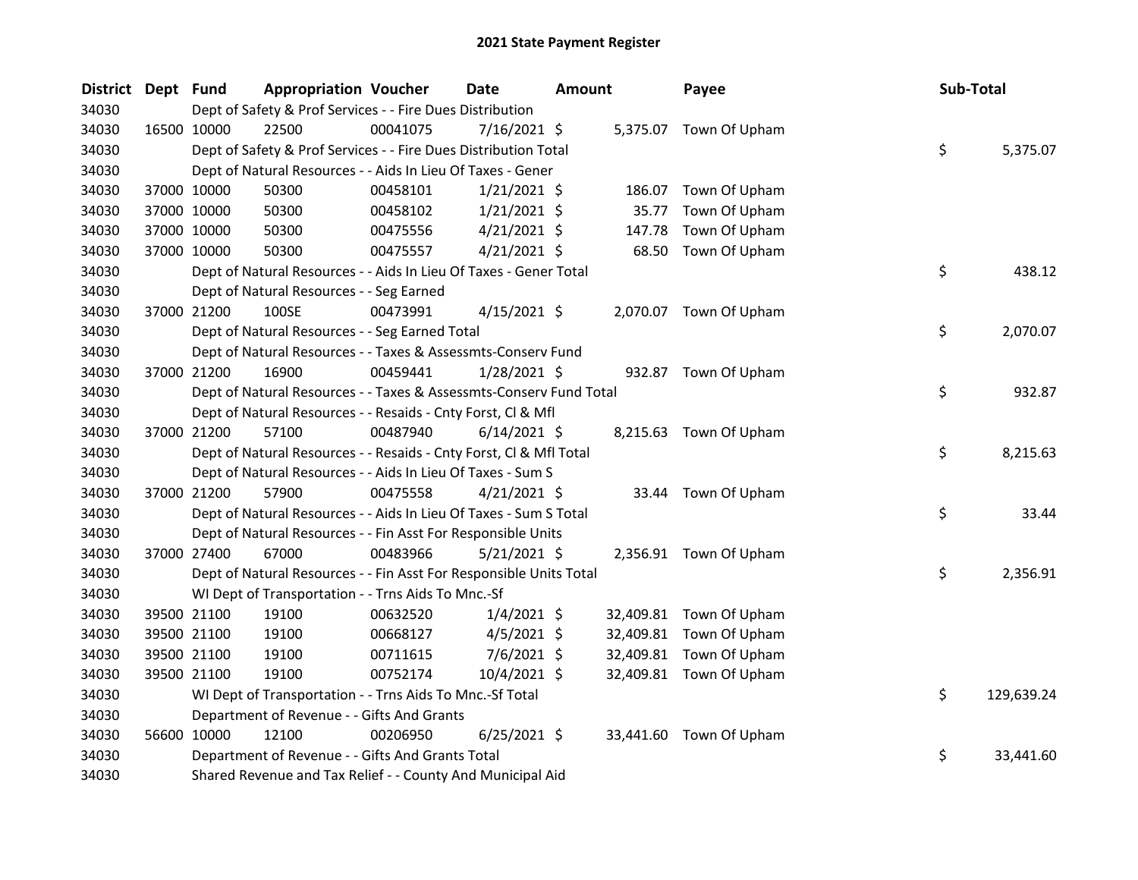| District Dept Fund |             |             | <b>Appropriation Voucher</b>                                       |          | Date           | <b>Amount</b> |           | Payee                   | Sub-Total |            |
|--------------------|-------------|-------------|--------------------------------------------------------------------|----------|----------------|---------------|-----------|-------------------------|-----------|------------|
| 34030              |             |             | Dept of Safety & Prof Services - - Fire Dues Distribution          |          |                |               |           |                         |           |            |
| 34030              | 16500 10000 |             | 22500                                                              | 00041075 | 7/16/2021 \$   |               |           | 5,375.07 Town Of Upham  |           |            |
| 34030              |             |             | Dept of Safety & Prof Services - - Fire Dues Distribution Total    |          |                |               |           |                         | \$        | 5,375.07   |
| 34030              |             |             | Dept of Natural Resources - - Aids In Lieu Of Taxes - Gener        |          |                |               |           |                         |           |            |
| 34030              |             | 37000 10000 | 50300                                                              | 00458101 | $1/21/2021$ \$ |               | 186.07    | Town Of Upham           |           |            |
| 34030              |             | 37000 10000 | 50300                                                              | 00458102 | $1/21/2021$ \$ |               | 35.77     | Town Of Upham           |           |            |
| 34030              |             | 37000 10000 | 50300                                                              | 00475556 | $4/21/2021$ \$ |               | 147.78    | Town Of Upham           |           |            |
| 34030              |             | 37000 10000 | 50300                                                              | 00475557 | $4/21/2021$ \$ |               | 68.50     | Town Of Upham           |           |            |
| 34030              |             |             | Dept of Natural Resources - - Aids In Lieu Of Taxes - Gener Total  |          |                |               |           |                         | \$        | 438.12     |
| 34030              |             |             | Dept of Natural Resources - - Seg Earned                           |          |                |               |           |                         |           |            |
| 34030              |             | 37000 21200 | 100SE                                                              | 00473991 | $4/15/2021$ \$ |               |           | 2,070.07 Town Of Upham  |           |            |
| 34030              |             |             | Dept of Natural Resources - - Seg Earned Total                     |          |                |               |           |                         | \$        | 2,070.07   |
| 34030              |             |             | Dept of Natural Resources - - Taxes & Assessmts-Conserv Fund       |          |                |               |           |                         |           |            |
| 34030              |             | 37000 21200 | 16900                                                              | 00459441 | $1/28/2021$ \$ |               |           | 932.87 Town Of Upham    |           |            |
| 34030              |             |             | Dept of Natural Resources - - Taxes & Assessmts-Conserv Fund Total |          |                |               |           |                         | \$        | 932.87     |
| 34030              |             |             | Dept of Natural Resources - - Resaids - Cnty Forst, Cl & Mfl       |          |                |               |           |                         |           |            |
| 34030              |             | 37000 21200 | 57100                                                              | 00487940 | $6/14/2021$ \$ |               |           | 8,215.63 Town Of Upham  |           |            |
| 34030              |             |             | Dept of Natural Resources - - Resaids - Cnty Forst, Cl & Mfl Total |          |                |               |           |                         | \$        | 8,215.63   |
| 34030              |             |             | Dept of Natural Resources - - Aids In Lieu Of Taxes - Sum S        |          |                |               |           |                         |           |            |
| 34030              |             | 37000 21200 | 57900                                                              | 00475558 | $4/21/2021$ \$ |               |           | 33.44 Town Of Upham     |           |            |
| 34030              |             |             | Dept of Natural Resources - - Aids In Lieu Of Taxes - Sum S Total  |          |                |               |           |                         | \$        | 33.44      |
| 34030              |             |             | Dept of Natural Resources - - Fin Asst For Responsible Units       |          |                |               |           |                         |           |            |
| 34030              |             | 37000 27400 | 67000                                                              | 00483966 | $5/21/2021$ \$ |               |           | 2,356.91 Town Of Upham  |           |            |
| 34030              |             |             | Dept of Natural Resources - - Fin Asst For Responsible Units Total |          |                |               |           |                         | \$        | 2,356.91   |
| 34030              |             |             | WI Dept of Transportation - - Trns Aids To Mnc.-Sf                 |          |                |               |           |                         |           |            |
| 34030              |             | 39500 21100 | 19100                                                              | 00632520 | $1/4/2021$ \$  |               | 32,409.81 | Town Of Upham           |           |            |
| 34030              |             | 39500 21100 | 19100                                                              | 00668127 | $4/5/2021$ \$  |               | 32,409.81 | Town Of Upham           |           |            |
| 34030              |             | 39500 21100 | 19100                                                              | 00711615 | 7/6/2021 \$    |               | 32,409.81 | Town Of Upham           |           |            |
| 34030              |             | 39500 21100 | 19100                                                              | 00752174 | 10/4/2021 \$   |               |           | 32,409.81 Town Of Upham |           |            |
| 34030              |             |             | WI Dept of Transportation - - Trns Aids To Mnc.-Sf Total           |          |                |               |           |                         | \$        | 129,639.24 |
| 34030              |             |             | Department of Revenue - - Gifts And Grants                         |          |                |               |           |                         |           |            |
| 34030              | 56600 10000 |             | 12100                                                              | 00206950 | $6/25/2021$ \$ |               |           | 33,441.60 Town Of Upham |           |            |
| 34030              |             |             | Department of Revenue - - Gifts And Grants Total                   |          |                |               |           |                         | \$        | 33,441.60  |
| 34030              |             |             | Shared Revenue and Tax Relief - - County And Municipal Aid         |          |                |               |           |                         |           |            |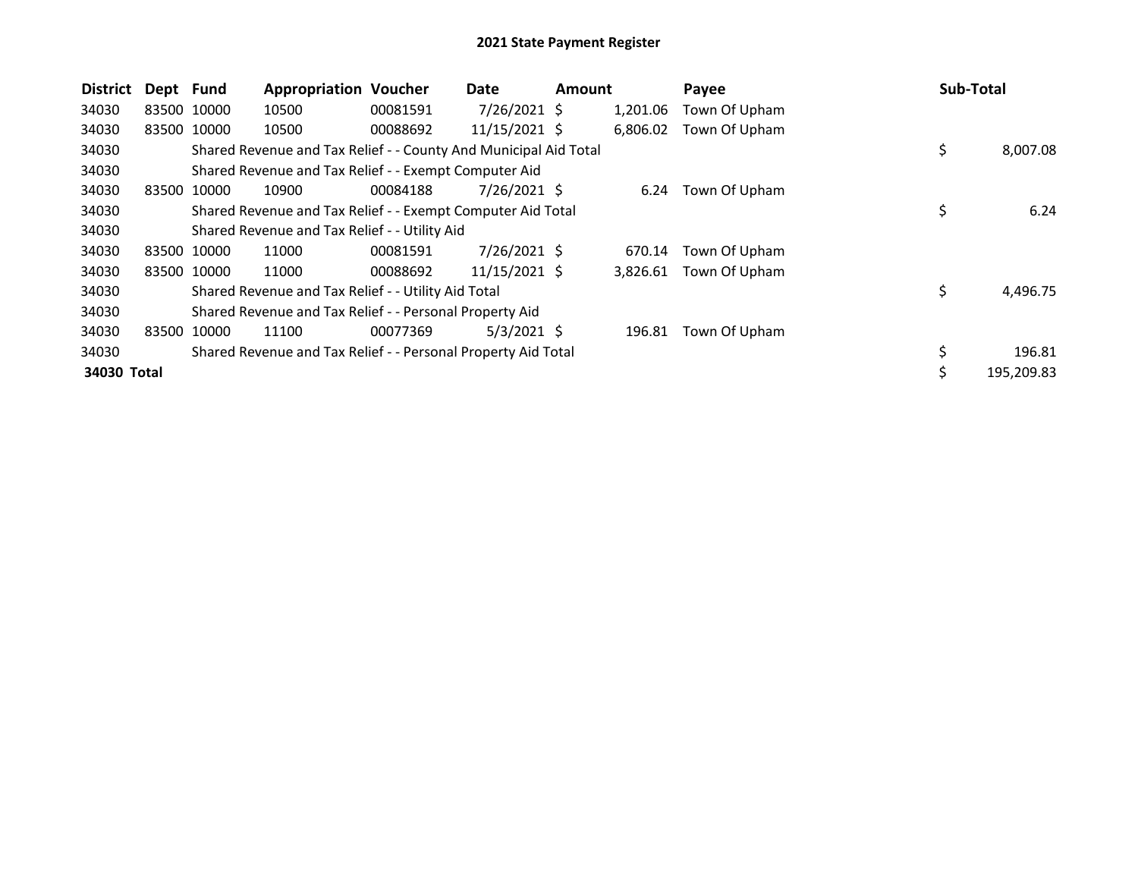| <b>District</b> | Dept Fund   |             | <b>Appropriation Voucher</b>                                     |          | Date            | <b>Amount</b> |          | Payee         |    | Sub-Total  |
|-----------------|-------------|-------------|------------------------------------------------------------------|----------|-----------------|---------------|----------|---------------|----|------------|
| 34030           |             | 83500 10000 | 10500                                                            | 00081591 | $7/26/2021$ \$  |               | 1,201.06 | Town Of Upham |    |            |
| 34030           |             | 83500 10000 | 10500                                                            | 00088692 | 11/15/2021 \$   |               | 6,806.02 | Town Of Upham |    |            |
| 34030           |             |             | Shared Revenue and Tax Relief - - County And Municipal Aid Total |          |                 |               |          |               | \$ | 8,007.08   |
| 34030           |             |             | Shared Revenue and Tax Relief - - Exempt Computer Aid            |          |                 |               |          |               |    |            |
| 34030           |             | 83500 10000 | 10900                                                            | 00084188 | $7/26/2021$ \$  |               | 6.24     | Town Of Upham |    |            |
| 34030           |             |             | Shared Revenue and Tax Relief - - Exempt Computer Aid Total      |          |                 |               |          |               | \$ | 6.24       |
| 34030           |             |             | Shared Revenue and Tax Relief - - Utility Aid                    |          |                 |               |          |               |    |            |
| 34030           |             | 83500 10000 | 11000                                                            | 00081591 | $7/26/2021$ \$  |               | 670.14   | Town Of Upham |    |            |
| 34030           |             | 83500 10000 | 11000                                                            | 00088692 | $11/15/2021$ \$ |               | 3,826.61 | Town Of Upham |    |            |
| 34030           |             |             | Shared Revenue and Tax Relief - - Utility Aid Total              |          |                 |               |          |               | \$ | 4,496.75   |
| 34030           |             |             | Shared Revenue and Tax Relief - - Personal Property Aid          |          |                 |               |          |               |    |            |
| 34030           | 83500 10000 |             | 11100                                                            | 00077369 | $5/3/2021$ \$   |               | 196.81   | Town Of Upham |    |            |
| 34030           |             |             | Shared Revenue and Tax Relief - - Personal Property Aid Total    |          |                 |               |          |               | \$ | 196.81     |
| 34030 Total     |             |             |                                                                  |          |                 |               |          |               | Ŝ. | 195,209.83 |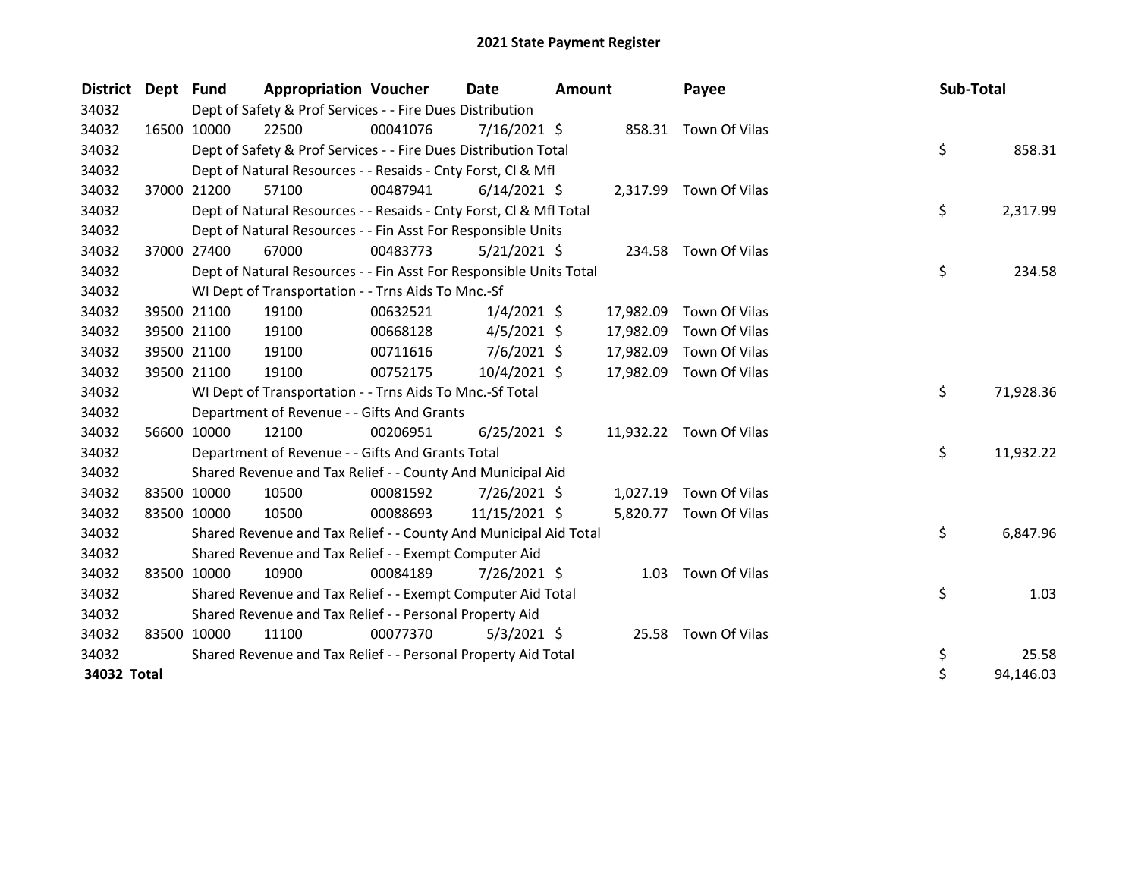| District Dept Fund |                                                                                   | <b>Appropriation Voucher</b>                                       |          | <b>Date</b>    | <b>Amount</b> |           | Payee                   |  | Sub-Total |           |  |
|--------------------|-----------------------------------------------------------------------------------|--------------------------------------------------------------------|----------|----------------|---------------|-----------|-------------------------|--|-----------|-----------|--|
| 34032              | Dept of Safety & Prof Services - - Fire Dues Distribution<br>858.31 Town Of Vilas |                                                                    |          |                |               |           |                         |  |           |           |  |
| 34032              | 16500 10000                                                                       | 22500                                                              | 00041076 | 7/16/2021 \$   |               |           |                         |  |           |           |  |
| 34032              |                                                                                   | Dept of Safety & Prof Services - - Fire Dues Distribution Total    |          |                |               |           |                         |  | \$        | 858.31    |  |
| 34032              |                                                                                   | Dept of Natural Resources - - Resaids - Cnty Forst, CI & Mfl       |          |                |               |           |                         |  |           |           |  |
| 34032              | 37000 21200                                                                       | 57100                                                              | 00487941 | $6/14/2021$ \$ |               |           | 2,317.99 Town Of Vilas  |  |           |           |  |
| 34032              |                                                                                   | Dept of Natural Resources - - Resaids - Cnty Forst, Cl & Mfl Total |          |                |               |           |                         |  | \$        | 2,317.99  |  |
| 34032              |                                                                                   | Dept of Natural Resources - - Fin Asst For Responsible Units       |          |                |               |           |                         |  |           |           |  |
| 34032              | 37000 27400                                                                       | 67000                                                              | 00483773 | $5/21/2021$ \$ |               |           | 234.58 Town Of Vilas    |  |           |           |  |
| 34032              |                                                                                   | Dept of Natural Resources - - Fin Asst For Responsible Units Total |          |                |               |           |                         |  | \$        | 234.58    |  |
| 34032              |                                                                                   | WI Dept of Transportation - - Trns Aids To Mnc.-Sf                 |          |                |               |           |                         |  |           |           |  |
| 34032              | 39500 21100                                                                       | 19100                                                              | 00632521 | $1/4/2021$ \$  |               | 17,982.09 | Town Of Vilas           |  |           |           |  |
| 34032              | 39500 21100                                                                       | 19100                                                              | 00668128 | $4/5/2021$ \$  |               | 17,982.09 | Town Of Vilas           |  |           |           |  |
| 34032              | 39500 21100                                                                       | 19100                                                              | 00711616 | $7/6/2021$ \$  |               | 17,982.09 | Town Of Vilas           |  |           |           |  |
| 34032              | 39500 21100                                                                       | 19100                                                              | 00752175 | 10/4/2021 \$   |               | 17,982.09 | Town Of Vilas           |  |           |           |  |
| 34032              |                                                                                   | WI Dept of Transportation - - Trns Aids To Mnc.-Sf Total           |          |                |               |           |                         |  | \$        | 71,928.36 |  |
| 34032              |                                                                                   | Department of Revenue - - Gifts And Grants                         |          |                |               |           |                         |  |           |           |  |
| 34032              | 56600 10000                                                                       | 12100                                                              | 00206951 | $6/25/2021$ \$ |               |           | 11,932.22 Town Of Vilas |  |           |           |  |
| 34032              |                                                                                   | Department of Revenue - - Gifts And Grants Total                   |          |                |               |           |                         |  | \$        | 11,932.22 |  |
| 34032              |                                                                                   | Shared Revenue and Tax Relief - - County And Municipal Aid         |          |                |               |           |                         |  |           |           |  |
| 34032              | 83500 10000                                                                       | 10500                                                              | 00081592 | 7/26/2021 \$   |               | 1,027.19  | Town Of Vilas           |  |           |           |  |
| 34032              | 83500 10000                                                                       | 10500                                                              | 00088693 | 11/15/2021 \$  |               |           | 5,820.77 Town Of Vilas  |  |           |           |  |
| 34032              |                                                                                   | Shared Revenue and Tax Relief - - County And Municipal Aid Total   |          |                |               |           |                         |  | \$        | 6,847.96  |  |
| 34032              |                                                                                   | Shared Revenue and Tax Relief - - Exempt Computer Aid              |          |                |               |           |                         |  |           |           |  |
| 34032              | 83500 10000                                                                       | 10900                                                              | 00084189 | 7/26/2021 \$   |               | 1.03      | Town Of Vilas           |  |           |           |  |
| 34032              |                                                                                   | Shared Revenue and Tax Relief - - Exempt Computer Aid Total        |          |                |               |           |                         |  | \$        | 1.03      |  |
| 34032              |                                                                                   | Shared Revenue and Tax Relief - - Personal Property Aid            |          |                |               |           |                         |  |           |           |  |
| 34032              | 83500 10000                                                                       | 11100                                                              | 00077370 | $5/3/2021$ \$  |               | 25.58     | Town Of Vilas           |  |           |           |  |
| 34032              |                                                                                   | Shared Revenue and Tax Relief - - Personal Property Aid Total      |          |                |               |           |                         |  | \$        | 25.58     |  |
| 34032 Total        |                                                                                   |                                                                    |          |                |               |           |                         |  | \$        | 94,146.03 |  |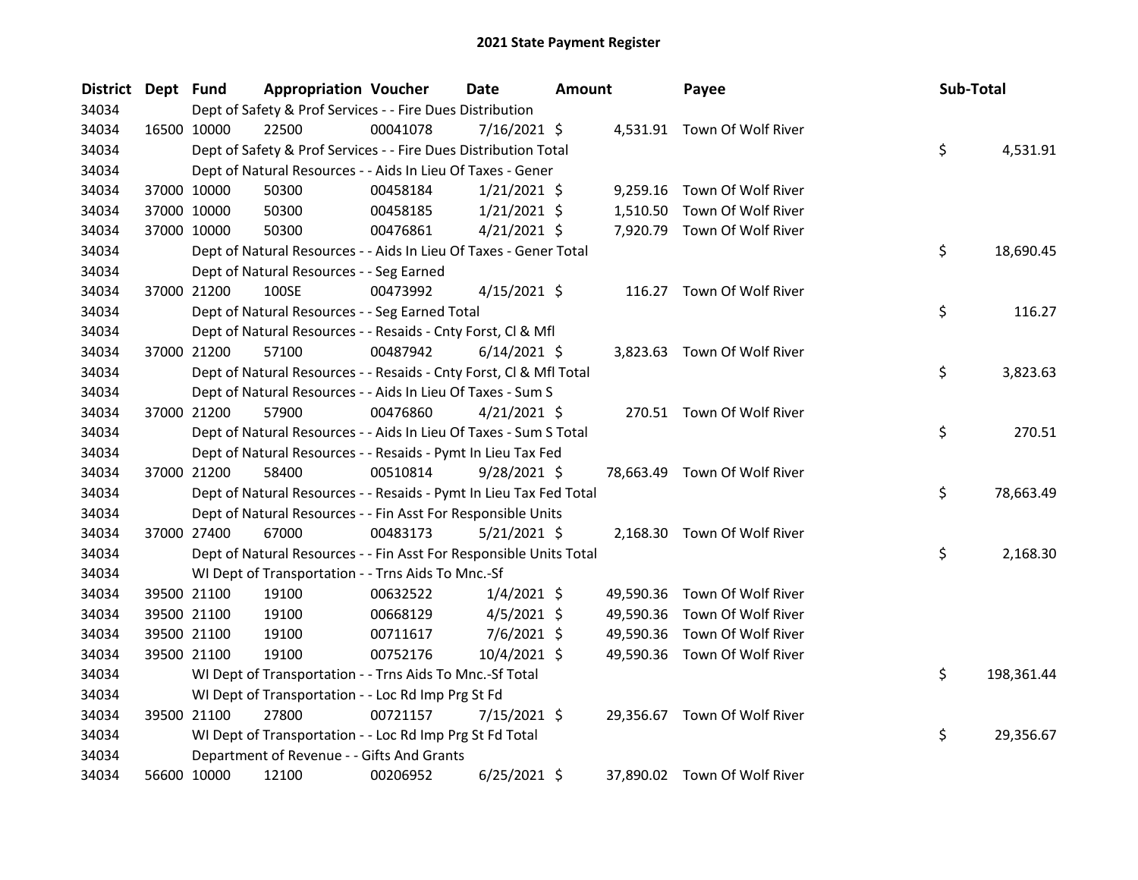| District Dept Fund |             | <b>Appropriation Voucher</b>                                       |          | Date           | <b>Amount</b> |           | Payee                        | Sub-Total |            |
|--------------------|-------------|--------------------------------------------------------------------|----------|----------------|---------------|-----------|------------------------------|-----------|------------|
| 34034              |             | Dept of Safety & Prof Services - - Fire Dues Distribution          |          |                |               |           |                              |           |            |
| 34034              | 16500 10000 | 22500                                                              | 00041078 | $7/16/2021$ \$ |               |           | 4,531.91 Town Of Wolf River  |           |            |
| 34034              |             | Dept of Safety & Prof Services - - Fire Dues Distribution Total    |          |                |               |           |                              | \$        | 4,531.91   |
| 34034              |             | Dept of Natural Resources - - Aids In Lieu Of Taxes - Gener        |          |                |               |           |                              |           |            |
| 34034              | 37000 10000 | 50300                                                              | 00458184 | $1/21/2021$ \$ |               |           | 9,259.16 Town Of Wolf River  |           |            |
| 34034              | 37000 10000 | 50300                                                              | 00458185 | $1/21/2021$ \$ |               | 1,510.50  | Town Of Wolf River           |           |            |
| 34034              | 37000 10000 | 50300                                                              | 00476861 | $4/21/2021$ \$ |               |           | 7,920.79 Town Of Wolf River  |           |            |
| 34034              |             | Dept of Natural Resources - - Aids In Lieu Of Taxes - Gener Total  |          |                |               |           |                              | \$        | 18,690.45  |
| 34034              |             | Dept of Natural Resources - - Seg Earned                           |          |                |               |           |                              |           |            |
| 34034              | 37000 21200 | 100SE                                                              | 00473992 | $4/15/2021$ \$ |               |           | 116.27 Town Of Wolf River    |           |            |
| 34034              |             | Dept of Natural Resources - - Seg Earned Total                     |          |                |               |           |                              | \$        | 116.27     |
| 34034              |             | Dept of Natural Resources - - Resaids - Cnty Forst, Cl & Mfl       |          |                |               |           |                              |           |            |
| 34034              | 37000 21200 | 57100                                                              | 00487942 | $6/14/2021$ \$ |               |           | 3,823.63 Town Of Wolf River  |           |            |
| 34034              |             | Dept of Natural Resources - - Resaids - Cnty Forst, Cl & Mfl Total |          |                |               |           |                              | \$        | 3,823.63   |
| 34034              |             | Dept of Natural Resources - - Aids In Lieu Of Taxes - Sum S        |          |                |               |           |                              |           |            |
| 34034              | 37000 21200 | 57900                                                              | 00476860 | $4/21/2021$ \$ |               |           | 270.51 Town Of Wolf River    |           |            |
| 34034              |             | Dept of Natural Resources - - Aids In Lieu Of Taxes - Sum S Total  |          |                |               |           |                              | \$        | 270.51     |
| 34034              |             | Dept of Natural Resources - - Resaids - Pymt In Lieu Tax Fed       |          |                |               |           |                              |           |            |
| 34034              | 37000 21200 | 58400                                                              | 00510814 | 9/28/2021 \$   |               |           | 78,663.49 Town Of Wolf River |           |            |
| 34034              |             | Dept of Natural Resources - - Resaids - Pymt In Lieu Tax Fed Total |          |                |               |           |                              | \$        | 78,663.49  |
| 34034              |             | Dept of Natural Resources - - Fin Asst For Responsible Units       |          |                |               |           |                              |           |            |
| 34034              | 37000 27400 | 67000                                                              | 00483173 | $5/21/2021$ \$ |               |           | 2,168.30 Town Of Wolf River  |           |            |
| 34034              |             | Dept of Natural Resources - - Fin Asst For Responsible Units Total |          |                |               |           |                              | \$        | 2,168.30   |
| 34034              |             | WI Dept of Transportation - - Trns Aids To Mnc.-Sf                 |          |                |               |           |                              |           |            |
| 34034              | 39500 21100 | 19100                                                              | 00632522 | $1/4/2021$ \$  |               | 49,590.36 | Town Of Wolf River           |           |            |
| 34034              | 39500 21100 | 19100                                                              | 00668129 | $4/5/2021$ \$  |               | 49,590.36 | Town Of Wolf River           |           |            |
| 34034              | 39500 21100 | 19100                                                              | 00711617 | $7/6/2021$ \$  |               | 49,590.36 | Town Of Wolf River           |           |            |
| 34034              | 39500 21100 | 19100                                                              | 00752176 | 10/4/2021 \$   |               |           | 49,590.36 Town Of Wolf River |           |            |
| 34034              |             | WI Dept of Transportation - - Trns Aids To Mnc.-Sf Total           |          |                |               |           |                              | \$        | 198,361.44 |
| 34034              |             | WI Dept of Transportation - - Loc Rd Imp Prg St Fd                 |          |                |               |           |                              |           |            |
| 34034              | 39500 21100 | 27800                                                              | 00721157 | 7/15/2021 \$   |               |           | 29,356.67 Town Of Wolf River |           |            |
| 34034              |             | WI Dept of Transportation - - Loc Rd Imp Prg St Fd Total           |          |                |               |           |                              | \$        | 29,356.67  |
| 34034              |             | Department of Revenue - - Gifts And Grants                         |          |                |               |           |                              |           |            |
| 34034              | 56600 10000 | 12100                                                              | 00206952 | $6/25/2021$ \$ |               |           | 37,890.02 Town Of Wolf River |           |            |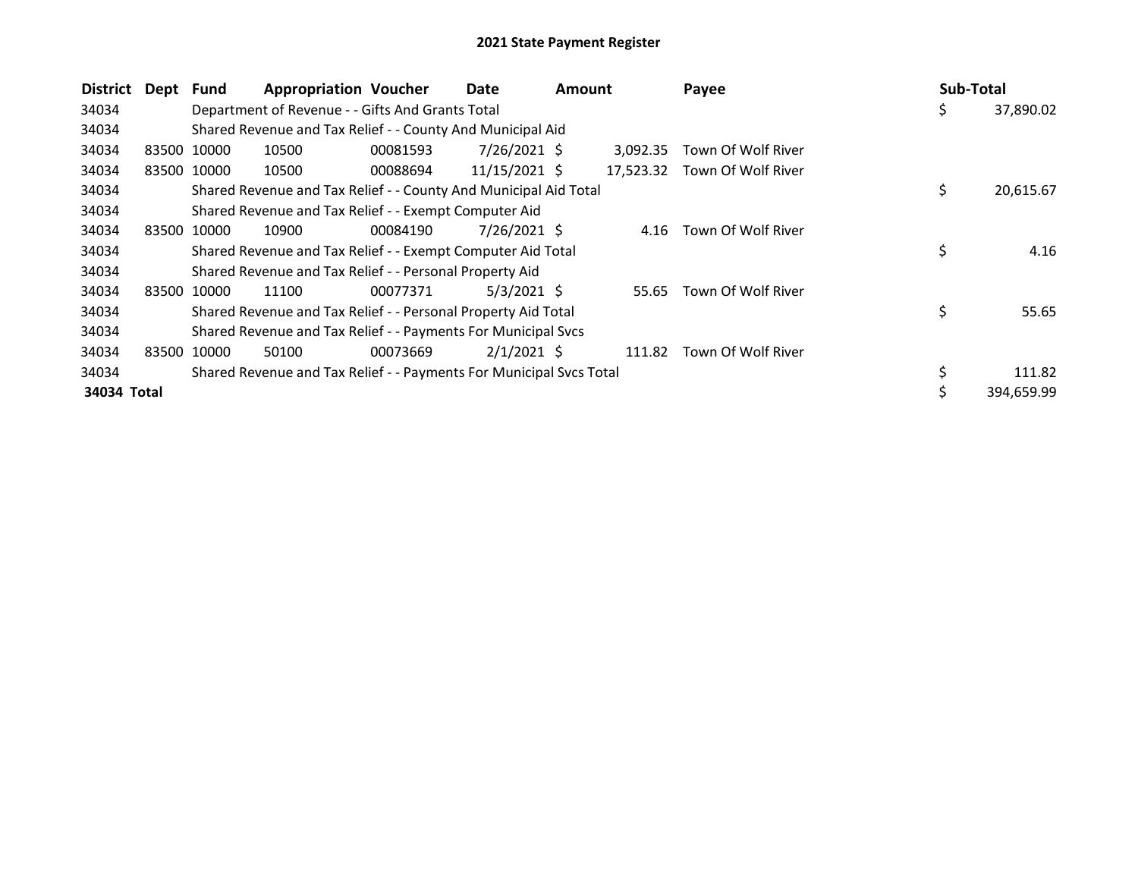| <b>District</b> | Dept | <b>Fund</b> | <b>Appropriation Voucher</b>                                        |          | Date<br><b>Amount</b> |  | Payee     | Sub-Total          |    |            |
|-----------------|------|-------------|---------------------------------------------------------------------|----------|-----------------------|--|-----------|--------------------|----|------------|
| 34034           |      |             | Department of Revenue - - Gifts And Grants Total                    |          |                       |  |           |                    | \$ | 37,890.02  |
| 34034           |      |             | Shared Revenue and Tax Relief - - County And Municipal Aid          |          |                       |  |           |                    |    |            |
| 34034           |      | 83500 10000 | 10500                                                               | 00081593 | 7/26/2021 \$          |  | 3.092.35  | Town Of Wolf River |    |            |
| 34034           |      | 83500 10000 | 10500                                                               | 00088694 | 11/15/2021 \$         |  | 17,523.32 | Town Of Wolf River |    |            |
| 34034           |      |             | Shared Revenue and Tax Relief - - County And Municipal Aid Total    |          |                       |  |           |                    | \$ | 20,615.67  |
| 34034           |      |             | Shared Revenue and Tax Relief - - Exempt Computer Aid               |          |                       |  |           |                    |    |            |
| 34034           |      | 83500 10000 | 10900                                                               | 00084190 | 7/26/2021 \$          |  | 4.16      | Town Of Wolf River |    |            |
| 34034           |      |             | Shared Revenue and Tax Relief - - Exempt Computer Aid Total         |          |                       |  |           |                    | \$ | 4.16       |
| 34034           |      |             | Shared Revenue and Tax Relief - - Personal Property Aid             |          |                       |  |           |                    |    |            |
| 34034           |      | 83500 10000 | 11100                                                               | 00077371 | 5/3/2021 S            |  | 55.65     | Town Of Wolf River |    |            |
| 34034           |      |             | Shared Revenue and Tax Relief - - Personal Property Aid Total       |          |                       |  |           |                    | \$ | 55.65      |
| 34034           |      |             | Shared Revenue and Tax Relief - - Payments For Municipal Svcs       |          |                       |  |           |                    |    |            |
| 34034           |      | 83500 10000 | 50100                                                               | 00073669 | $2/1/2021$ \$         |  | 111.82    | Town Of Wolf River |    |            |
| 34034           |      |             | Shared Revenue and Tax Relief - - Payments For Municipal Svcs Total |          |                       |  |           |                    |    | 111.82     |
| 34034 Total     |      |             |                                                                     |          |                       |  |           |                    | \$ | 394,659.99 |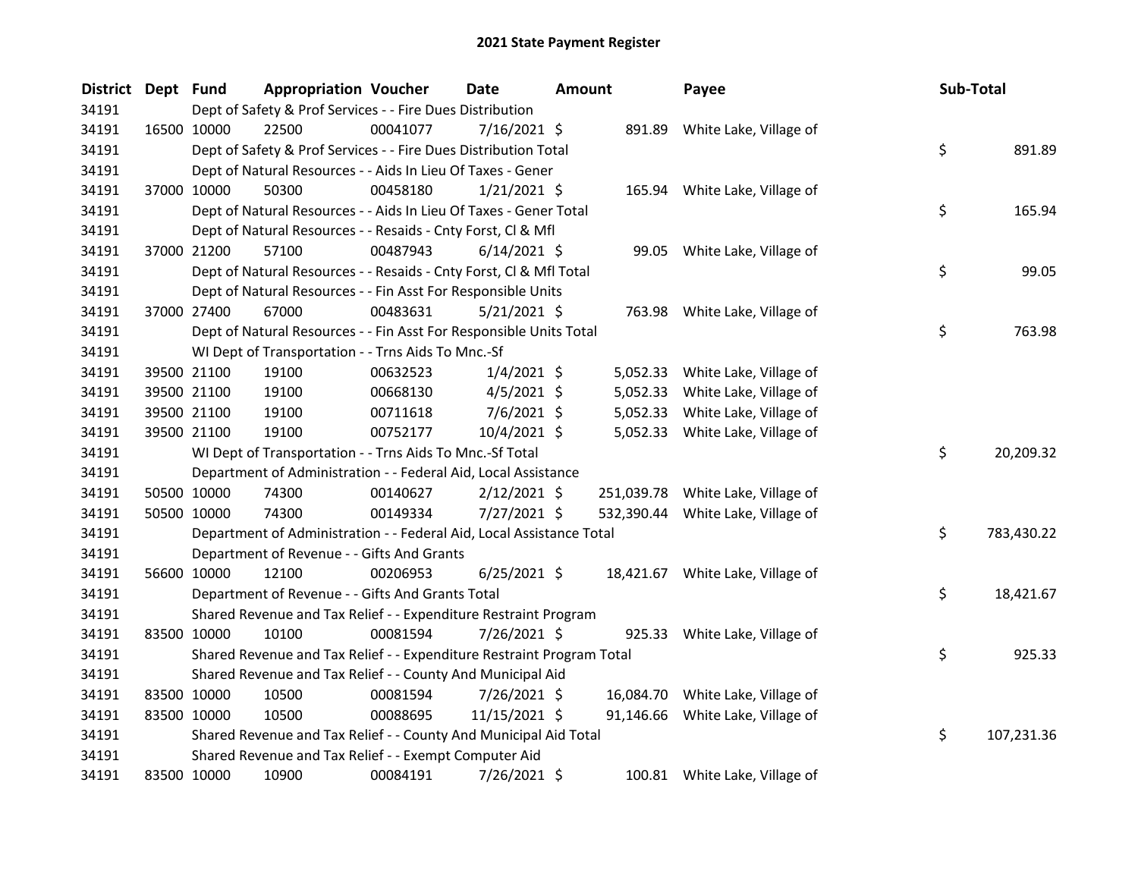| <b>District</b> | Dept Fund |             | <b>Appropriation Voucher</b>                                          |          | <b>Date</b>    | <b>Amount</b> |          | Payee                             | Sub-Total |            |
|-----------------|-----------|-------------|-----------------------------------------------------------------------|----------|----------------|---------------|----------|-----------------------------------|-----------|------------|
| 34191           |           |             | Dept of Safety & Prof Services - - Fire Dues Distribution             |          |                |               |          |                                   |           |            |
| 34191           |           | 16500 10000 | 22500                                                                 | 00041077 | $7/16/2021$ \$ |               |          | 891.89 White Lake, Village of     |           |            |
| 34191           |           |             | Dept of Safety & Prof Services - - Fire Dues Distribution Total       |          |                |               |          |                                   | \$        | 891.89     |
| 34191           |           |             | Dept of Natural Resources - - Aids In Lieu Of Taxes - Gener           |          |                |               |          |                                   |           |            |
| 34191           |           | 37000 10000 | 50300                                                                 | 00458180 | $1/21/2021$ \$ |               |          | 165.94 White Lake, Village of     |           |            |
| 34191           |           |             | Dept of Natural Resources - - Aids In Lieu Of Taxes - Gener Total     |          |                |               |          |                                   | \$        | 165.94     |
| 34191           |           |             | Dept of Natural Resources - - Resaids - Cnty Forst, Cl & Mfl          |          |                |               |          |                                   |           |            |
| 34191           |           | 37000 21200 | 57100                                                                 | 00487943 | $6/14/2021$ \$ |               |          | 99.05 White Lake, Village of      |           |            |
| 34191           |           |             | Dept of Natural Resources - - Resaids - Cnty Forst, Cl & Mfl Total    |          |                |               |          |                                   | \$        | 99.05      |
| 34191           |           |             | Dept of Natural Resources - - Fin Asst For Responsible Units          |          |                |               |          |                                   |           |            |
| 34191           |           | 37000 27400 | 67000                                                                 | 00483631 | $5/21/2021$ \$ |               |          | 763.98 White Lake, Village of     |           |            |
| 34191           |           |             | Dept of Natural Resources - - Fin Asst For Responsible Units Total    |          |                |               |          |                                   | \$        | 763.98     |
| 34191           |           |             | WI Dept of Transportation - - Trns Aids To Mnc.-Sf                    |          |                |               |          |                                   |           |            |
| 34191           |           | 39500 21100 | 19100                                                                 | 00632523 | $1/4/2021$ \$  |               |          | 5,052.33 White Lake, Village of   |           |            |
| 34191           |           | 39500 21100 | 19100                                                                 | 00668130 | $4/5/2021$ \$  |               | 5,052.33 | White Lake, Village of            |           |            |
| 34191           |           | 39500 21100 | 19100                                                                 | 00711618 | $7/6/2021$ \$  |               |          | 5,052.33 White Lake, Village of   |           |            |
| 34191           |           | 39500 21100 | 19100                                                                 | 00752177 | $10/4/2021$ \$ |               |          | 5,052.33 White Lake, Village of   |           |            |
| 34191           |           |             | WI Dept of Transportation - - Trns Aids To Mnc.-Sf Total              |          |                |               |          |                                   | \$        | 20,209.32  |
| 34191           |           |             | Department of Administration - - Federal Aid, Local Assistance        |          |                |               |          |                                   |           |            |
| 34191           |           | 50500 10000 | 74300                                                                 | 00140627 | $2/12/2021$ \$ |               |          | 251,039.78 White Lake, Village of |           |            |
| 34191           |           | 50500 10000 | 74300                                                                 | 00149334 | 7/27/2021 \$   |               |          | 532,390.44 White Lake, Village of |           |            |
| 34191           |           |             | Department of Administration - - Federal Aid, Local Assistance Total  |          |                |               |          |                                   | \$        | 783,430.22 |
| 34191           |           |             | Department of Revenue - - Gifts And Grants                            |          |                |               |          |                                   |           |            |
| 34191           |           | 56600 10000 | 12100                                                                 | 00206953 | $6/25/2021$ \$ |               |          | 18,421.67 White Lake, Village of  |           |            |
| 34191           |           |             | Department of Revenue - - Gifts And Grants Total                      |          |                |               |          |                                   | \$        | 18,421.67  |
| 34191           |           |             | Shared Revenue and Tax Relief - - Expenditure Restraint Program       |          |                |               |          |                                   |           |            |
| 34191           |           | 83500 10000 | 10100                                                                 | 00081594 | 7/26/2021 \$   |               |          | 925.33 White Lake, Village of     |           |            |
| 34191           |           |             | Shared Revenue and Tax Relief - - Expenditure Restraint Program Total |          |                |               |          |                                   | \$        | 925.33     |
| 34191           |           |             | Shared Revenue and Tax Relief - - County And Municipal Aid            |          |                |               |          |                                   |           |            |
| 34191           |           | 83500 10000 | 10500                                                                 | 00081594 | 7/26/2021 \$   |               |          | 16,084.70 White Lake, Village of  |           |            |
| 34191           |           | 83500 10000 | 10500                                                                 | 00088695 | 11/15/2021 \$  |               |          | 91,146.66 White Lake, Village of  |           |            |
| 34191           |           |             | Shared Revenue and Tax Relief - - County And Municipal Aid Total      |          |                |               |          |                                   | \$        | 107,231.36 |
| 34191           |           |             | Shared Revenue and Tax Relief - - Exempt Computer Aid                 |          |                |               |          |                                   |           |            |
| 34191           |           | 83500 10000 | 10900                                                                 | 00084191 | 7/26/2021 \$   |               |          | 100.81 White Lake, Village of     |           |            |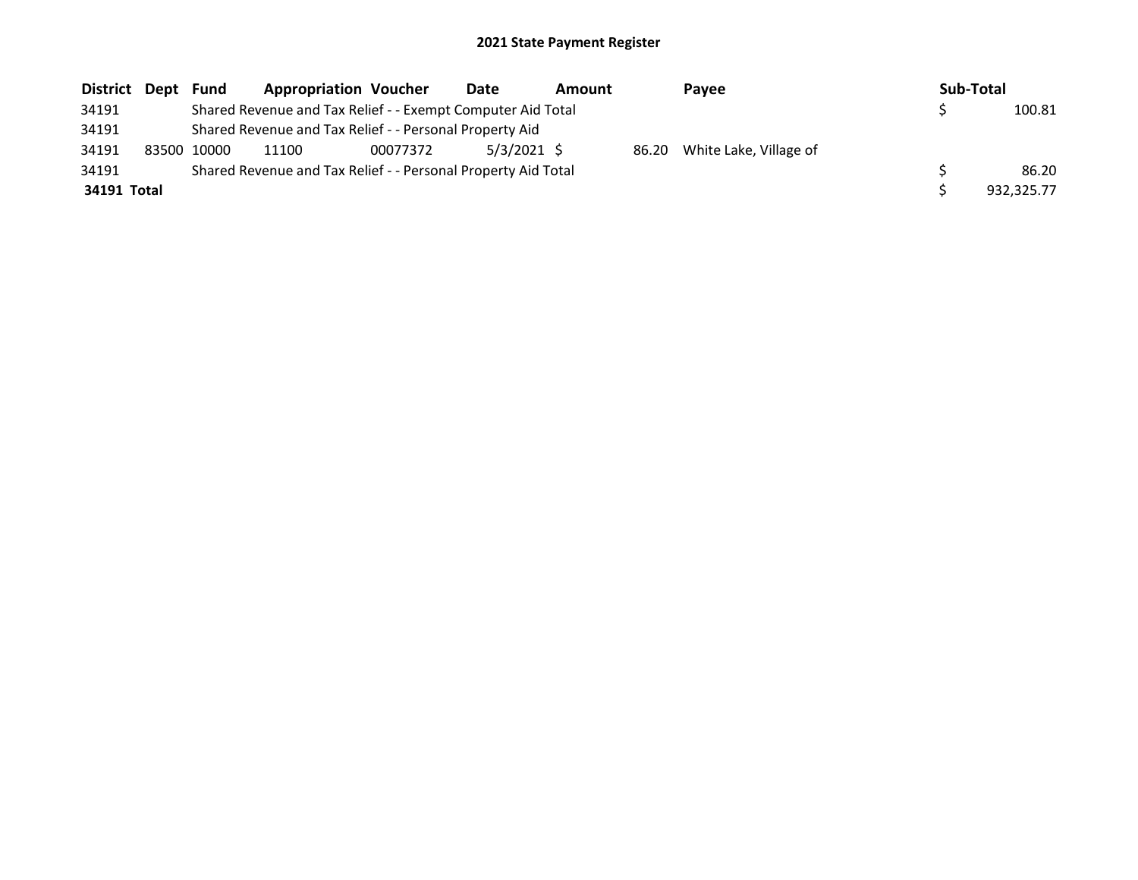| District Dept Fund |             | <b>Appropriation Voucher</b>                                  |          | Date          | Amount |  | Payee                        |  | Sub-Total |            |
|--------------------|-------------|---------------------------------------------------------------|----------|---------------|--------|--|------------------------------|--|-----------|------------|
| 34191              |             | Shared Revenue and Tax Relief - - Exempt Computer Aid Total   |          |               |        |  |                              |  |           | 100.81     |
| 34191              |             | Shared Revenue and Tax Relief - - Personal Property Aid       |          |               |        |  |                              |  |           |            |
| 34191              | 83500 10000 | 11100                                                         | 00077372 | $5/3/2021$ \$ |        |  | 86.20 White Lake, Village of |  |           |            |
| 34191              |             | Shared Revenue and Tax Relief - - Personal Property Aid Total |          |               |        |  |                              |  |           | 86.20      |
| 34191 Total        |             |                                                               |          |               |        |  |                              |  |           | 932.325.77 |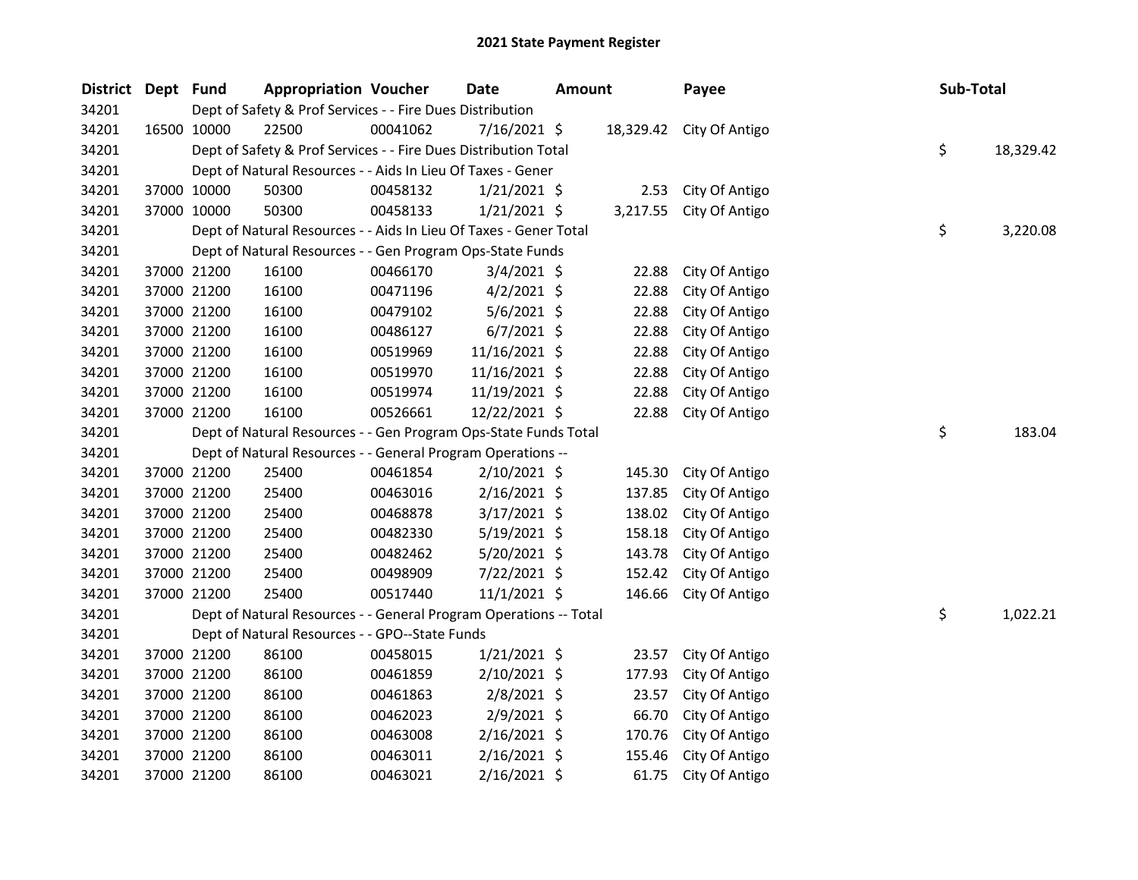| <b>District</b> | Dept Fund |             | <b>Appropriation Voucher</b>                                      |          | Date           | <b>Amount</b> |        | Payee                    | Sub-Total |           |
|-----------------|-----------|-------------|-------------------------------------------------------------------|----------|----------------|---------------|--------|--------------------------|-----------|-----------|
| 34201           |           |             | Dept of Safety & Prof Services - - Fire Dues Distribution         |          |                |               |        |                          |           |           |
| 34201           |           | 16500 10000 | 22500                                                             | 00041062 | $7/16/2021$ \$ |               |        | 18,329.42 City Of Antigo |           |           |
| 34201           |           |             | Dept of Safety & Prof Services - - Fire Dues Distribution Total   |          |                |               |        |                          | \$        | 18,329.42 |
| 34201           |           |             | Dept of Natural Resources - - Aids In Lieu Of Taxes - Gener       |          |                |               |        |                          |           |           |
| 34201           |           | 37000 10000 | 50300                                                             | 00458132 | $1/21/2021$ \$ |               | 2.53   | City Of Antigo           |           |           |
| 34201           |           | 37000 10000 | 50300                                                             | 00458133 | $1/21/2021$ \$ |               |        | 3,217.55 City Of Antigo  |           |           |
| 34201           |           |             | Dept of Natural Resources - - Aids In Lieu Of Taxes - Gener Total |          |                |               |        |                          | \$        | 3,220.08  |
| 34201           |           |             | Dept of Natural Resources - - Gen Program Ops-State Funds         |          |                |               |        |                          |           |           |
| 34201           |           | 37000 21200 | 16100                                                             | 00466170 | $3/4/2021$ \$  |               | 22.88  | City Of Antigo           |           |           |
| 34201           |           | 37000 21200 | 16100                                                             | 00471196 | $4/2/2021$ \$  |               | 22.88  | City Of Antigo           |           |           |
| 34201           |           | 37000 21200 | 16100                                                             | 00479102 | 5/6/2021 \$    |               | 22.88  | City Of Antigo           |           |           |
| 34201           |           | 37000 21200 | 16100                                                             | 00486127 | $6/7/2021$ \$  |               | 22.88  | City Of Antigo           |           |           |
| 34201           |           | 37000 21200 | 16100                                                             | 00519969 | 11/16/2021 \$  |               | 22.88  | City Of Antigo           |           |           |
| 34201           |           | 37000 21200 | 16100                                                             | 00519970 | 11/16/2021 \$  |               | 22.88  | City Of Antigo           |           |           |
| 34201           |           | 37000 21200 | 16100                                                             | 00519974 | 11/19/2021 \$  |               | 22.88  | City Of Antigo           |           |           |
| 34201           |           | 37000 21200 | 16100                                                             | 00526661 | 12/22/2021 \$  |               | 22.88  | City Of Antigo           |           |           |
| 34201           |           |             | Dept of Natural Resources - - Gen Program Ops-State Funds Total   |          |                |               |        |                          | \$        | 183.04    |
| 34201           |           |             | Dept of Natural Resources - - General Program Operations --       |          |                |               |        |                          |           |           |
| 34201           |           | 37000 21200 | 25400                                                             | 00461854 | 2/10/2021 \$   |               | 145.30 | City Of Antigo           |           |           |
| 34201           |           | 37000 21200 | 25400                                                             | 00463016 | $2/16/2021$ \$ |               | 137.85 | City Of Antigo           |           |           |
| 34201           |           | 37000 21200 | 25400                                                             | 00468878 | $3/17/2021$ \$ |               | 138.02 | City Of Antigo           |           |           |
| 34201           |           | 37000 21200 | 25400                                                             | 00482330 | 5/19/2021 \$   |               | 158.18 | City Of Antigo           |           |           |
| 34201           |           | 37000 21200 | 25400                                                             | 00482462 | $5/20/2021$ \$ |               | 143.78 | City Of Antigo           |           |           |
| 34201           |           | 37000 21200 | 25400                                                             | 00498909 | 7/22/2021 \$   |               | 152.42 | City Of Antigo           |           |           |
| 34201           |           | 37000 21200 | 25400                                                             | 00517440 | 11/1/2021 \$   |               | 146.66 | City Of Antigo           |           |           |
| 34201           |           |             | Dept of Natural Resources - - General Program Operations -- Total |          |                |               |        |                          | \$        | 1,022.21  |
| 34201           |           |             | Dept of Natural Resources - - GPO--State Funds                    |          |                |               |        |                          |           |           |
| 34201           |           | 37000 21200 | 86100                                                             | 00458015 | 1/21/2021 \$   |               | 23.57  | City Of Antigo           |           |           |
| 34201           |           | 37000 21200 | 86100                                                             | 00461859 | $2/10/2021$ \$ |               | 177.93 | City Of Antigo           |           |           |
| 34201           |           | 37000 21200 | 86100                                                             | 00461863 | 2/8/2021 \$    |               | 23.57  | City Of Antigo           |           |           |
| 34201           |           | 37000 21200 | 86100                                                             | 00462023 | 2/9/2021 \$    |               | 66.70  | City Of Antigo           |           |           |
| 34201           |           | 37000 21200 | 86100                                                             | 00463008 | $2/16/2021$ \$ |               | 170.76 | City Of Antigo           |           |           |
| 34201           |           | 37000 21200 | 86100                                                             | 00463011 | $2/16/2021$ \$ |               | 155.46 | City Of Antigo           |           |           |
| 34201           |           | 37000 21200 | 86100                                                             | 00463021 | 2/16/2021 \$   |               | 61.75  | City Of Antigo           |           |           |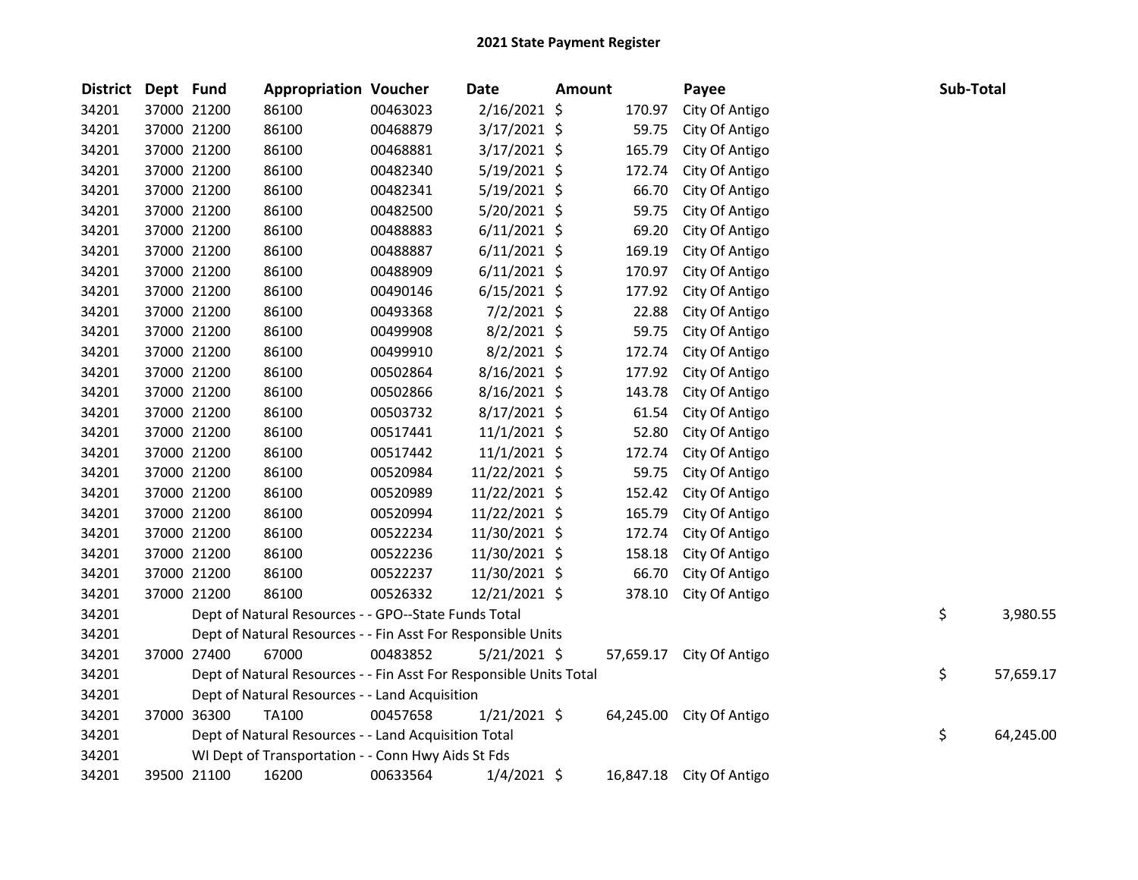| <b>District</b> | Dept Fund |             | <b>Appropriation Voucher</b>                                       |          | <b>Date</b>    | <b>Amount</b> |           | Payee                    | Sub-Total |           |
|-----------------|-----------|-------------|--------------------------------------------------------------------|----------|----------------|---------------|-----------|--------------------------|-----------|-----------|
| 34201           |           | 37000 21200 | 86100                                                              | 00463023 | 2/16/2021 \$   |               | 170.97    | City Of Antigo           |           |           |
| 34201           |           | 37000 21200 | 86100                                                              | 00468879 | $3/17/2021$ \$ |               | 59.75     | City Of Antigo           |           |           |
| 34201           |           | 37000 21200 | 86100                                                              | 00468881 | $3/17/2021$ \$ |               | 165.79    | City Of Antigo           |           |           |
| 34201           |           | 37000 21200 | 86100                                                              | 00482340 | $5/19/2021$ \$ |               | 172.74    | City Of Antigo           |           |           |
| 34201           |           | 37000 21200 | 86100                                                              | 00482341 | $5/19/2021$ \$ |               | 66.70     | City Of Antigo           |           |           |
| 34201           |           | 37000 21200 | 86100                                                              | 00482500 | 5/20/2021 \$   |               | 59.75     | City Of Antigo           |           |           |
| 34201           |           | 37000 21200 | 86100                                                              | 00488883 | $6/11/2021$ \$ |               | 69.20     | City Of Antigo           |           |           |
| 34201           |           | 37000 21200 | 86100                                                              | 00488887 | $6/11/2021$ \$ |               | 169.19    | City Of Antigo           |           |           |
| 34201           |           | 37000 21200 | 86100                                                              | 00488909 | $6/11/2021$ \$ |               | 170.97    | City Of Antigo           |           |           |
| 34201           |           | 37000 21200 | 86100                                                              | 00490146 | $6/15/2021$ \$ |               | 177.92    | City Of Antigo           |           |           |
| 34201           |           | 37000 21200 | 86100                                                              | 00493368 | $7/2/2021$ \$  |               | 22.88     | City Of Antigo           |           |           |
| 34201           |           | 37000 21200 | 86100                                                              | 00499908 | 8/2/2021 \$    |               | 59.75     | City Of Antigo           |           |           |
| 34201           |           | 37000 21200 | 86100                                                              | 00499910 | $8/2/2021$ \$  |               | 172.74    | City Of Antigo           |           |           |
| 34201           |           | 37000 21200 | 86100                                                              | 00502864 | 8/16/2021 \$   |               | 177.92    | City Of Antigo           |           |           |
| 34201           |           | 37000 21200 | 86100                                                              | 00502866 | 8/16/2021 \$   |               | 143.78    | City Of Antigo           |           |           |
| 34201           |           | 37000 21200 | 86100                                                              | 00503732 | 8/17/2021 \$   |               | 61.54     | City Of Antigo           |           |           |
| 34201           |           | 37000 21200 | 86100                                                              | 00517441 | $11/1/2021$ \$ |               | 52.80     | City Of Antigo           |           |           |
| 34201           |           | 37000 21200 | 86100                                                              | 00517442 | $11/1/2021$ \$ |               | 172.74    | City Of Antigo           |           |           |
| 34201           |           | 37000 21200 | 86100                                                              | 00520984 | 11/22/2021 \$  |               | 59.75     | City Of Antigo           |           |           |
| 34201           |           | 37000 21200 | 86100                                                              | 00520989 | 11/22/2021 \$  |               | 152.42    | City Of Antigo           |           |           |
| 34201           |           | 37000 21200 | 86100                                                              | 00520994 | 11/22/2021 \$  |               | 165.79    | City Of Antigo           |           |           |
| 34201           |           | 37000 21200 | 86100                                                              | 00522234 | 11/30/2021 \$  |               | 172.74    | City Of Antigo           |           |           |
| 34201           |           | 37000 21200 | 86100                                                              | 00522236 | 11/30/2021 \$  |               | 158.18    | City Of Antigo           |           |           |
| 34201           |           | 37000 21200 | 86100                                                              | 00522237 | 11/30/2021 \$  |               | 66.70     | City Of Antigo           |           |           |
| 34201           |           | 37000 21200 | 86100                                                              | 00526332 | 12/21/2021 \$  |               | 378.10    | City Of Antigo           |           |           |
| 34201           |           |             | Dept of Natural Resources - - GPO--State Funds Total               |          |                |               |           |                          | \$        | 3,980.55  |
| 34201           |           |             | Dept of Natural Resources - - Fin Asst For Responsible Units       |          |                |               |           |                          |           |           |
| 34201           |           | 37000 27400 | 67000                                                              | 00483852 | $5/21/2021$ \$ |               |           | 57,659.17 City Of Antigo |           |           |
| 34201           |           |             | Dept of Natural Resources - - Fin Asst For Responsible Units Total |          |                |               |           |                          | \$        | 57,659.17 |
| 34201           |           |             | Dept of Natural Resources - - Land Acquisition                     |          |                |               |           |                          |           |           |
| 34201           |           | 37000 36300 | TA100                                                              | 00457658 | 1/21/2021 \$   |               | 64,245.00 | City Of Antigo           |           |           |
| 34201           |           |             | Dept of Natural Resources - - Land Acquisition Total               |          |                |               |           |                          | \$        | 64,245.00 |
| 34201           |           |             | WI Dept of Transportation - - Conn Hwy Aids St Fds                 |          |                |               |           |                          |           |           |
| 34201           |           | 39500 21100 | 16200                                                              | 00633564 | $1/4/2021$ \$  |               | 16,847.18 | City Of Antigo           |           |           |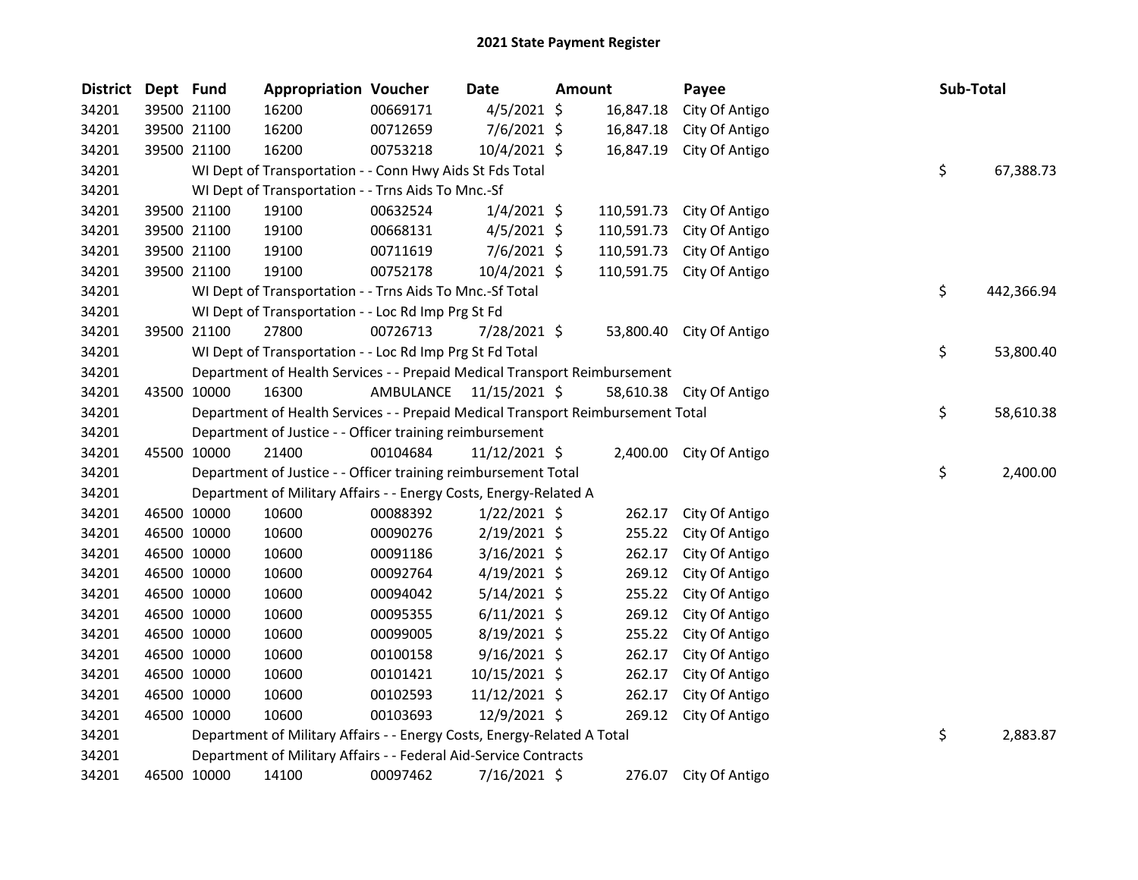| District | Dept Fund |             | <b>Appropriation Voucher</b>                                                    |                         | Date           | <b>Amount</b> |            | Payee                    | Sub-Total        |
|----------|-----------|-------------|---------------------------------------------------------------------------------|-------------------------|----------------|---------------|------------|--------------------------|------------------|
| 34201    |           | 39500 21100 | 16200                                                                           | 00669171                | $4/5/2021$ \$  |               | 16,847.18  | City Of Antigo           |                  |
| 34201    |           | 39500 21100 | 16200                                                                           | 00712659                | 7/6/2021 \$    |               | 16,847.18  | City Of Antigo           |                  |
| 34201    |           | 39500 21100 | 16200                                                                           | 00753218                | 10/4/2021 \$   |               | 16,847.19  | City Of Antigo           |                  |
| 34201    |           |             | WI Dept of Transportation - - Conn Hwy Aids St Fds Total                        |                         |                |               |            |                          | \$<br>67,388.73  |
| 34201    |           |             | WI Dept of Transportation - - Trns Aids To Mnc.-Sf                              |                         |                |               |            |                          |                  |
| 34201    |           | 39500 21100 | 19100                                                                           | 00632524                | $1/4/2021$ \$  |               | 110,591.73 | City Of Antigo           |                  |
| 34201    |           | 39500 21100 | 19100                                                                           | 00668131                | $4/5/2021$ \$  |               | 110,591.73 | City Of Antigo           |                  |
| 34201    |           | 39500 21100 | 19100                                                                           | 00711619                | $7/6/2021$ \$  |               | 110,591.73 | City Of Antigo           |                  |
| 34201    |           | 39500 21100 | 19100                                                                           | 00752178                | 10/4/2021 \$   |               | 110,591.75 | City Of Antigo           |                  |
| 34201    |           |             | WI Dept of Transportation - - Trns Aids To Mnc.-Sf Total                        |                         |                |               |            |                          | \$<br>442,366.94 |
| 34201    |           |             | WI Dept of Transportation - - Loc Rd Imp Prg St Fd                              |                         |                |               |            |                          |                  |
| 34201    |           | 39500 21100 | 27800                                                                           | 00726713                | 7/28/2021 \$   |               |            | 53,800.40 City Of Antigo |                  |
| 34201    |           |             | WI Dept of Transportation - - Loc Rd Imp Prg St Fd Total                        |                         |                |               |            |                          | \$<br>53,800.40  |
| 34201    |           |             | Department of Health Services - - Prepaid Medical Transport Reimbursement       |                         |                |               |            |                          |                  |
| 34201    |           | 43500 10000 | 16300                                                                           | AMBULANCE 11/15/2021 \$ |                |               |            | 58,610.38 City Of Antigo |                  |
| 34201    |           |             | Department of Health Services - - Prepaid Medical Transport Reimbursement Total |                         |                |               |            |                          | \$<br>58,610.38  |
| 34201    |           |             | Department of Justice - - Officer training reimbursement                        |                         |                |               |            |                          |                  |
| 34201    |           | 45500 10000 | 21400                                                                           | 00104684                | 11/12/2021 \$  |               |            | 2,400.00 City Of Antigo  |                  |
| 34201    |           |             | Department of Justice - - Officer training reimbursement Total                  |                         |                |               |            |                          | \$<br>2,400.00   |
| 34201    |           |             | Department of Military Affairs - - Energy Costs, Energy-Related A               |                         |                |               |            |                          |                  |
| 34201    |           | 46500 10000 | 10600                                                                           | 00088392                | $1/22/2021$ \$ |               | 262.17     | City Of Antigo           |                  |
| 34201    |           | 46500 10000 | 10600                                                                           | 00090276                | $2/19/2021$ \$ |               | 255.22     | City Of Antigo           |                  |
| 34201    |           | 46500 10000 | 10600                                                                           | 00091186                | $3/16/2021$ \$ |               | 262.17     | City Of Antigo           |                  |
| 34201    |           | 46500 10000 | 10600                                                                           | 00092764                | $4/19/2021$ \$ |               | 269.12     | City Of Antigo           |                  |
| 34201    |           | 46500 10000 | 10600                                                                           | 00094042                | $5/14/2021$ \$ |               | 255.22     | City Of Antigo           |                  |
| 34201    |           | 46500 10000 | 10600                                                                           | 00095355                | $6/11/2021$ \$ |               | 269.12     | City Of Antigo           |                  |
| 34201    |           | 46500 10000 | 10600                                                                           | 00099005                | 8/19/2021 \$   |               | 255.22     | City Of Antigo           |                  |
| 34201    |           | 46500 10000 | 10600                                                                           | 00100158                | $9/16/2021$ \$ |               | 262.17     | City Of Antigo           |                  |
| 34201    |           | 46500 10000 | 10600                                                                           | 00101421                | 10/15/2021 \$  |               | 262.17     | City Of Antigo           |                  |
| 34201    |           | 46500 10000 | 10600                                                                           | 00102593                | 11/12/2021 \$  |               | 262.17     | City Of Antigo           |                  |
| 34201    |           | 46500 10000 | 10600                                                                           | 00103693                | 12/9/2021 \$   |               | 269.12     | City Of Antigo           |                  |
| 34201    |           |             | Department of Military Affairs - - Energy Costs, Energy-Related A Total         |                         |                |               |            |                          | \$<br>2,883.87   |
| 34201    |           |             | Department of Military Affairs - - Federal Aid-Service Contracts                |                         |                |               |            |                          |                  |
| 34201    |           | 46500 10000 | 14100                                                                           | 00097462                | 7/16/2021 \$   |               | 276.07     | City Of Antigo           |                  |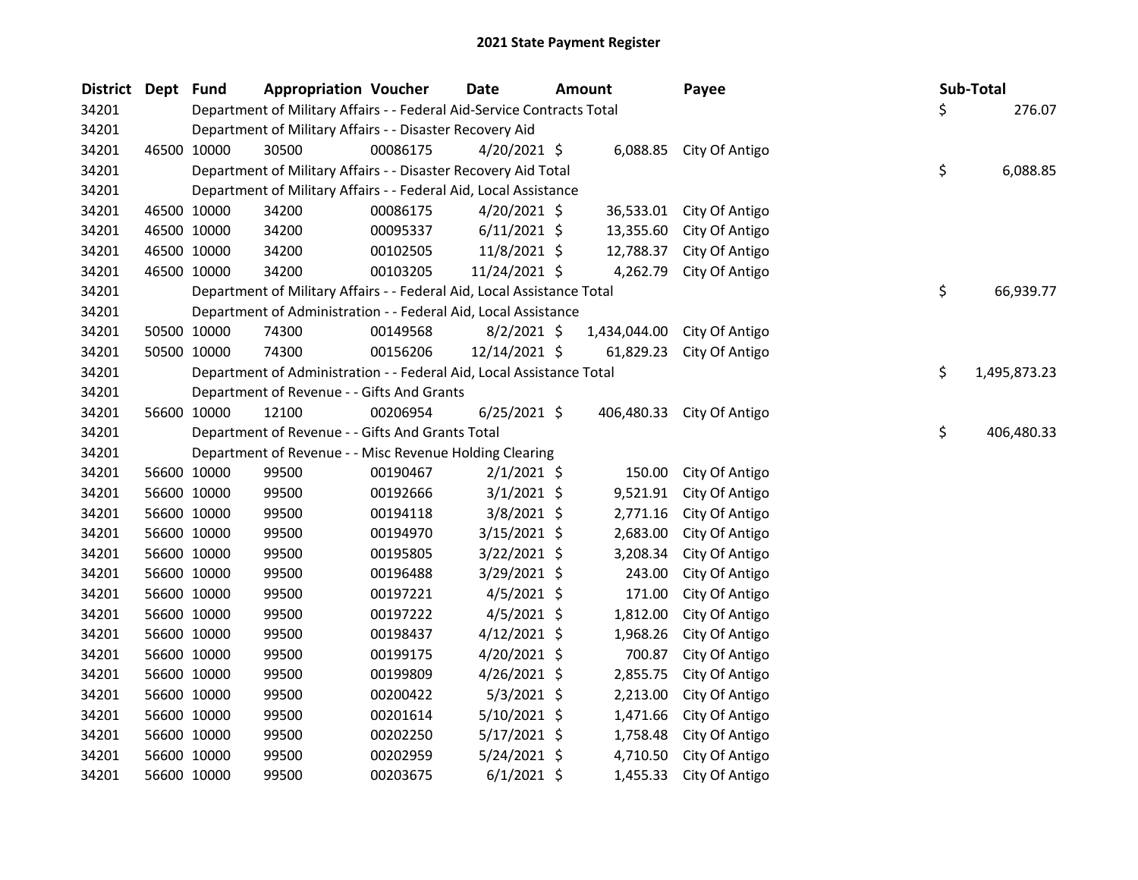| <b>District</b> | Dept Fund |             | <b>Appropriation Voucher</b>                                           |          | <b>Date</b>    | <b>Amount</b> | Payee                     |    | Sub-Total    |
|-----------------|-----------|-------------|------------------------------------------------------------------------|----------|----------------|---------------|---------------------------|----|--------------|
| 34201           |           |             | Department of Military Affairs - - Federal Aid-Service Contracts Total |          |                |               |                           | Ś. | 276.07       |
| 34201           |           |             | Department of Military Affairs - - Disaster Recovery Aid               |          |                |               |                           |    |              |
| 34201           |           | 46500 10000 | 30500                                                                  | 00086175 | $4/20/2021$ \$ |               | 6,088.85 City Of Antigo   |    |              |
| 34201           |           |             | Department of Military Affairs - - Disaster Recovery Aid Total         |          |                |               |                           | \$ | 6,088.85     |
| 34201           |           |             | Department of Military Affairs - - Federal Aid, Local Assistance       |          |                |               |                           |    |              |
| 34201           |           | 46500 10000 | 34200                                                                  | 00086175 | $4/20/2021$ \$ | 36,533.01     | City Of Antigo            |    |              |
| 34201           |           | 46500 10000 | 34200                                                                  | 00095337 | $6/11/2021$ \$ | 13,355.60     | City Of Antigo            |    |              |
| 34201           |           | 46500 10000 | 34200                                                                  | 00102505 | 11/8/2021 \$   | 12,788.37     | City Of Antigo            |    |              |
| 34201           |           | 46500 10000 | 34200                                                                  | 00103205 | 11/24/2021 \$  | 4,262.79      | City Of Antigo            |    |              |
| 34201           |           |             | Department of Military Affairs - - Federal Aid, Local Assistance Total |          |                |               |                           | \$ | 66,939.77    |
| 34201           |           |             | Department of Administration - - Federal Aid, Local Assistance         |          |                |               |                           |    |              |
| 34201           |           | 50500 10000 | 74300                                                                  | 00149568 | $8/2/2021$ \$  | 1,434,044.00  | City Of Antigo            |    |              |
| 34201           |           | 50500 10000 | 74300                                                                  | 00156206 | 12/14/2021 \$  | 61,829.23     | City Of Antigo            |    |              |
| 34201           |           |             | Department of Administration - - Federal Aid, Local Assistance Total   |          |                |               |                           | \$ | 1,495,873.23 |
| 34201           |           |             | Department of Revenue - - Gifts And Grants                             |          |                |               |                           |    |              |
| 34201           |           | 56600 10000 | 12100                                                                  | 00206954 | $6/25/2021$ \$ |               | 406,480.33 City Of Antigo |    |              |
| 34201           |           |             | Department of Revenue - - Gifts And Grants Total                       |          |                |               |                           | \$ | 406,480.33   |
| 34201           |           |             | Department of Revenue - - Misc Revenue Holding Clearing                |          |                |               |                           |    |              |
| 34201           |           | 56600 10000 | 99500                                                                  | 00190467 | $2/1/2021$ \$  | 150.00        | City Of Antigo            |    |              |
| 34201           |           | 56600 10000 | 99500                                                                  | 00192666 | $3/1/2021$ \$  | 9,521.91      | City Of Antigo            |    |              |
| 34201           |           | 56600 10000 | 99500                                                                  | 00194118 | $3/8/2021$ \$  | 2,771.16      | City Of Antigo            |    |              |
| 34201           |           | 56600 10000 | 99500                                                                  | 00194970 | $3/15/2021$ \$ | 2,683.00      | City Of Antigo            |    |              |
| 34201           |           | 56600 10000 | 99500                                                                  | 00195805 | $3/22/2021$ \$ | 3,208.34      | City Of Antigo            |    |              |
| 34201           |           | 56600 10000 | 99500                                                                  | 00196488 | 3/29/2021 \$   | 243.00        | City Of Antigo            |    |              |
| 34201           |           | 56600 10000 | 99500                                                                  | 00197221 | $4/5/2021$ \$  | 171.00        | City Of Antigo            |    |              |
| 34201           |           | 56600 10000 | 99500                                                                  | 00197222 | $4/5/2021$ \$  | 1,812.00      | City Of Antigo            |    |              |
| 34201           |           | 56600 10000 | 99500                                                                  | 00198437 | $4/12/2021$ \$ | 1,968.26      | City Of Antigo            |    |              |
| 34201           |           | 56600 10000 | 99500                                                                  | 00199175 | $4/20/2021$ \$ | 700.87        | City Of Antigo            |    |              |
| 34201           |           | 56600 10000 | 99500                                                                  | 00199809 | $4/26/2021$ \$ | 2,855.75      | City Of Antigo            |    |              |
| 34201           |           | 56600 10000 | 99500                                                                  | 00200422 | $5/3/2021$ \$  | 2,213.00      | City Of Antigo            |    |              |
| 34201           |           | 56600 10000 | 99500                                                                  | 00201614 | $5/10/2021$ \$ | 1,471.66      | City Of Antigo            |    |              |
| 34201           |           | 56600 10000 | 99500                                                                  | 00202250 | $5/17/2021$ \$ | 1,758.48      | City Of Antigo            |    |              |
| 34201           |           | 56600 10000 | 99500                                                                  | 00202959 | $5/24/2021$ \$ | 4,710.50      | City Of Antigo            |    |              |
| 34201           |           | 56600 10000 | 99500                                                                  | 00203675 | $6/1/2021$ \$  | 1,455.33      | City Of Antigo            |    |              |